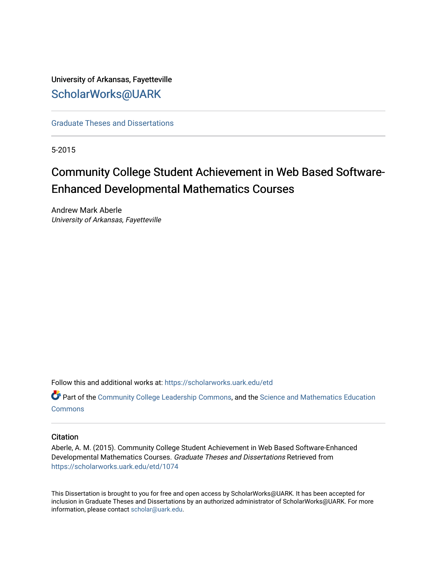University of Arkansas, Fayetteville [ScholarWorks@UARK](https://scholarworks.uark.edu/) 

[Graduate Theses and Dissertations](https://scholarworks.uark.edu/etd) 

5-2015

# Community College Student Achievement in Web Based Software-Enhanced Developmental Mathematics Courses

Andrew Mark Aberle University of Arkansas, Fayetteville

Follow this and additional works at: [https://scholarworks.uark.edu/etd](https://scholarworks.uark.edu/etd?utm_source=scholarworks.uark.edu%2Fetd%2F1074&utm_medium=PDF&utm_campaign=PDFCoverPages)

Part of the [Community College Leadership Commons](http://network.bepress.com/hgg/discipline/1039?utm_source=scholarworks.uark.edu%2Fetd%2F1074&utm_medium=PDF&utm_campaign=PDFCoverPages), and the [Science and Mathematics Education](http://network.bepress.com/hgg/discipline/800?utm_source=scholarworks.uark.edu%2Fetd%2F1074&utm_medium=PDF&utm_campaign=PDFCoverPages) **[Commons](http://network.bepress.com/hgg/discipline/800?utm_source=scholarworks.uark.edu%2Fetd%2F1074&utm_medium=PDF&utm_campaign=PDFCoverPages)** 

# **Citation**

Aberle, A. M. (2015). Community College Student Achievement in Web Based Software-Enhanced Developmental Mathematics Courses. Graduate Theses and Dissertations Retrieved from [https://scholarworks.uark.edu/etd/1074](https://scholarworks.uark.edu/etd/1074?utm_source=scholarworks.uark.edu%2Fetd%2F1074&utm_medium=PDF&utm_campaign=PDFCoverPages)

This Dissertation is brought to you for free and open access by ScholarWorks@UARK. It has been accepted for inclusion in Graduate Theses and Dissertations by an authorized administrator of ScholarWorks@UARK. For more information, please contact [scholar@uark.edu.](mailto:scholar@uark.edu)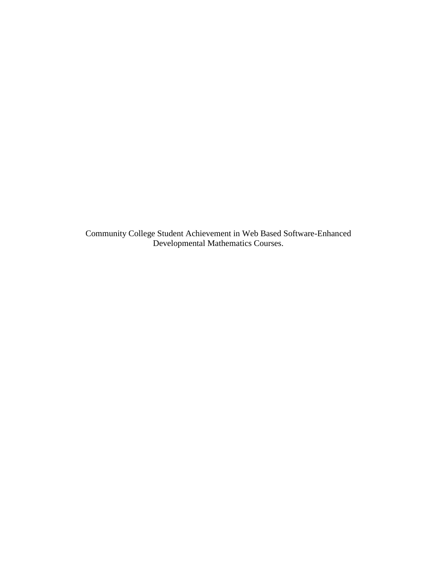Community College Student Achievement in Web Based Software-Enhanced Developmental Mathematics Courses.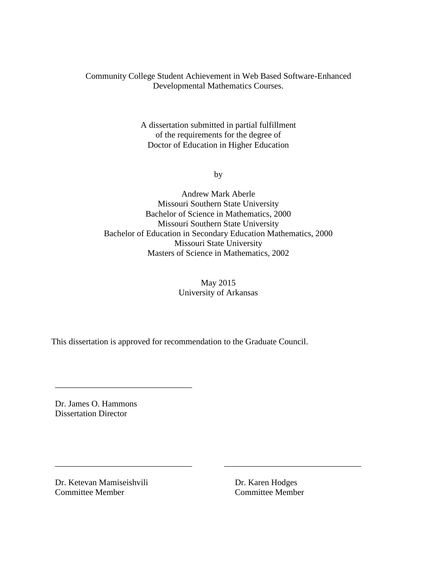Community College Student Achievement in Web Based Software-Enhanced Developmental Mathematics Courses.

> A dissertation submitted in partial fulfillment of the requirements for the degree of Doctor of Education in Higher Education

> > by

Andrew Mark Aberle Missouri Southern State University Bachelor of Science in Mathematics, 2000 Missouri Southern State University Bachelor of Education in Secondary Education Mathematics, 2000 Missouri State University Masters of Science in Mathematics, 2002

> May 2015 University of Arkansas

\_\_\_\_\_\_\_\_\_\_\_\_\_\_\_\_\_\_\_\_\_\_\_\_\_\_\_\_\_\_\_\_ \_\_\_\_\_\_\_\_\_\_\_\_\_\_\_\_\_\_\_\_\_\_\_\_\_\_\_\_\_\_\_\_

This dissertation is approved for recommendation to the Graduate Council.

Dr. James O. Hammons Dissertation Director

\_\_\_\_\_\_\_\_\_\_\_\_\_\_\_\_\_\_\_\_\_\_\_\_\_\_\_\_\_\_\_\_

Dr. Ketevan Mamiseishvili Dr. Karen Hodges Committee Member Committee Member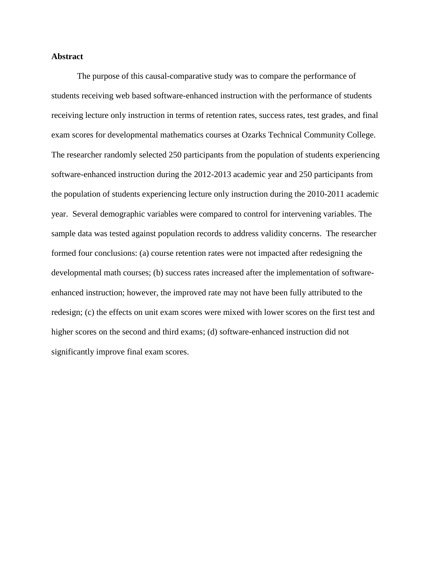# **Abstract**

The purpose of this causal-comparative study was to compare the performance of students receiving web based software-enhanced instruction with the performance of students receiving lecture only instruction in terms of retention rates, success rates, test grades, and final exam scores for developmental mathematics courses at Ozarks Technical Community College. The researcher randomly selected 250 participants from the population of students experiencing software-enhanced instruction during the 2012-2013 academic year and 250 participants from the population of students experiencing lecture only instruction during the 2010-2011 academic year. Several demographic variables were compared to control for intervening variables. The sample data was tested against population records to address validity concerns. The researcher formed four conclusions: (a) course retention rates were not impacted after redesigning the developmental math courses; (b) success rates increased after the implementation of softwareenhanced instruction; however, the improved rate may not have been fully attributed to the redesign; (c) the effects on unit exam scores were mixed with lower scores on the first test and higher scores on the second and third exams; (d) software-enhanced instruction did not significantly improve final exam scores.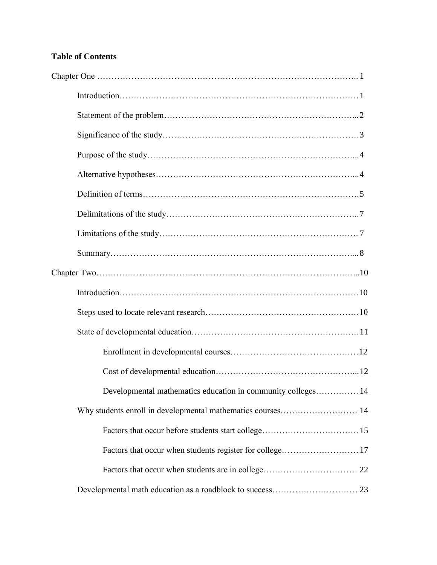# **Table of Contents**

| Chapter One $\ldots$ $\ldots$ $\ldots$ $\ldots$ $\ldots$ $\ldots$ $\ldots$ $\ldots$ $\ldots$ $\ldots$ $\ldots$ $\ldots$ $\ldots$ $\ldots$ $\ldots$ |  |
|----------------------------------------------------------------------------------------------------------------------------------------------------|--|
|                                                                                                                                                    |  |
|                                                                                                                                                    |  |
|                                                                                                                                                    |  |
|                                                                                                                                                    |  |
|                                                                                                                                                    |  |
|                                                                                                                                                    |  |
|                                                                                                                                                    |  |
|                                                                                                                                                    |  |
|                                                                                                                                                    |  |
|                                                                                                                                                    |  |
|                                                                                                                                                    |  |
|                                                                                                                                                    |  |
|                                                                                                                                                    |  |
|                                                                                                                                                    |  |
|                                                                                                                                                    |  |
| Developmental mathematics education in community colleges 14                                                                                       |  |
| Why students enroll in developmental mathematics courses 14                                                                                        |  |
|                                                                                                                                                    |  |
| Factors that occur when students register for college17                                                                                            |  |
|                                                                                                                                                    |  |
|                                                                                                                                                    |  |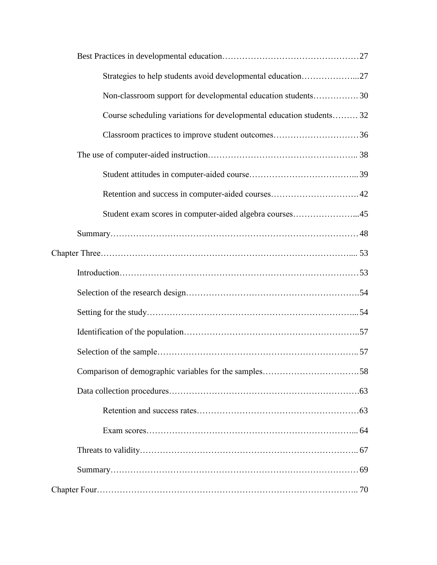| Strategies to help students avoid developmental education27          |  |
|----------------------------------------------------------------------|--|
| Non-classroom support for developmental education students 30        |  |
| Course scheduling variations for developmental education students 32 |  |
| Classroom practices to improve student outcomes36                    |  |
|                                                                      |  |
|                                                                      |  |
|                                                                      |  |
| Student exam scores in computer-aided algebra courses45              |  |
|                                                                      |  |
|                                                                      |  |
|                                                                      |  |
|                                                                      |  |
|                                                                      |  |
|                                                                      |  |
|                                                                      |  |
|                                                                      |  |
|                                                                      |  |
|                                                                      |  |
|                                                                      |  |
|                                                                      |  |
|                                                                      |  |
|                                                                      |  |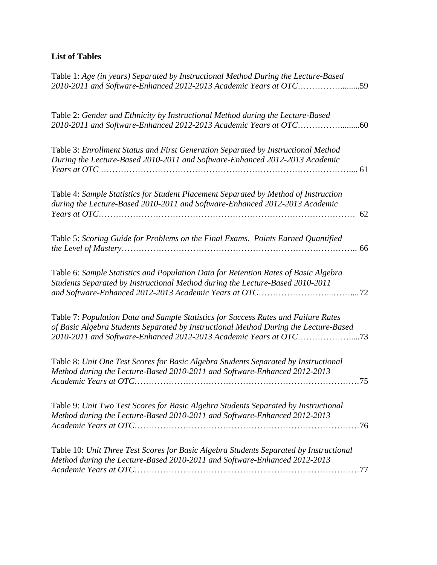# **List of Tables**

| Table 1: Age (in years) Separated by Instructional Method During the Lecture-Based<br>2010-2011 and Software-Enhanced 2012-2013 Academic Years at OTC59                                                                                         |     |
|-------------------------------------------------------------------------------------------------------------------------------------------------------------------------------------------------------------------------------------------------|-----|
| Table 2: Gender and Ethnicity by Instructional Method during the Lecture-Based                                                                                                                                                                  |     |
| Table 3: Enrollment Status and First Generation Separated by Instructional Method<br>During the Lecture-Based 2010-2011 and Software-Enhanced 2012-2013 Academic                                                                                |     |
| Table 4: Sample Statistics for Student Placement Separated by Method of Instruction<br>during the Lecture-Based 2010-2011 and Software-Enhanced 2012-2013 Academic                                                                              | 62  |
| Table 5: Scoring Guide for Problems on the Final Exams. Points Earned Quantified                                                                                                                                                                | 66  |
| Table 6: Sample Statistics and Population Data for Retention Rates of Basic Algebra<br>Students Separated by Instructional Method during the Lecture-Based 2010-2011                                                                            |     |
| Table 7: Population Data and Sample Statistics for Success Rates and Failure Rates<br>of Basic Algebra Students Separated by Instructional Method During the Lecture-Based<br>2010-2011 and Software-Enhanced 2012-2013 Academic Years at OTC73 |     |
| Table 8: Unit One Test Scores for Basic Algebra Students Separated by Instructional<br>Method during the Lecture-Based 2010-2011 and Software-Enhanced 2012-2013                                                                                | .75 |
| Table 9: Unit Two Test Scores for Basic Algebra Students Separated by Instructional<br>Method during the Lecture-Based 2010-2011 and Software-Enhanced 2012-2013                                                                                |     |
| Table 10: Unit Three Test Scores for Basic Algebra Students Separated by Instructional<br>Method during the Lecture-Based 2010-2011 and Software-Enhanced 2012-2013                                                                             |     |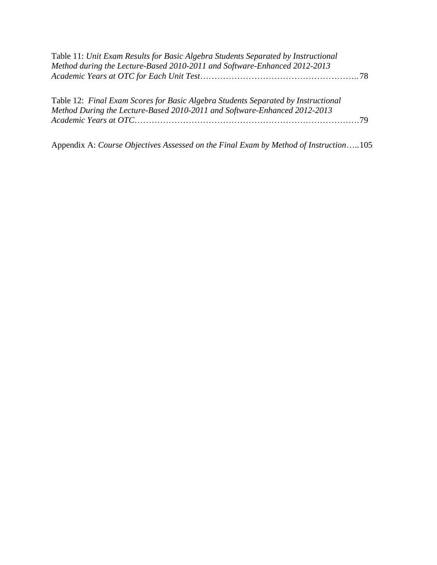| Table 11: Unit Exam Results for Basic Algebra Students Separated by Instructional |  |
|-----------------------------------------------------------------------------------|--|
| Method during the Lecture-Based 2010-2011 and Software-Enhanced 2012-2013         |  |
|                                                                                   |  |

| Table 12: Final Exam Scores for Basic Algebra Students Separated by Instructional |  |
|-----------------------------------------------------------------------------------|--|
| Method During the Lecture-Based 2010-2011 and Software-Enhanced 2012-2013         |  |
|                                                                                   |  |

Appendix A: *Course Objectives Assessed on the Final Exam by Method of Instruction*…..105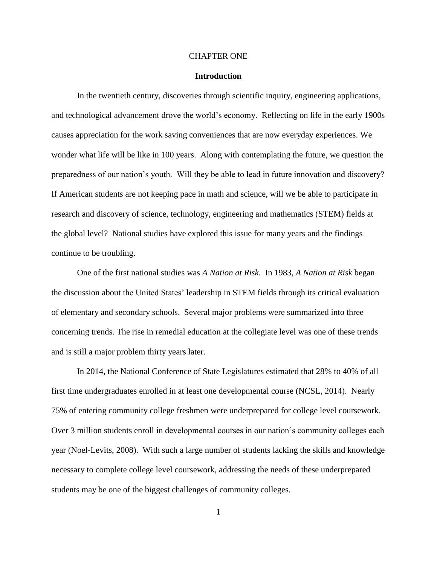#### CHAPTER ONE

#### **Introduction**

In the twentieth century, discoveries through scientific inquiry, engineering applications, and technological advancement drove the world's economy. Reflecting on life in the early 1900s causes appreciation for the work saving conveniences that are now everyday experiences. We wonder what life will be like in 100 years. Along with contemplating the future, we question the preparedness of our nation's youth. Will they be able to lead in future innovation and discovery? If American students are not keeping pace in math and science, will we be able to participate in research and discovery of science, technology, engineering and mathematics (STEM) fields at the global level? National studies have explored this issue for many years and the findings continue to be troubling.

One of the first national studies was *A Nation at Risk*. In 1983, *A Nation at Risk* began the discussion about the United States' leadership in STEM fields through its critical evaluation of elementary and secondary schools. Several major problems were summarized into three concerning trends. The rise in remedial education at the collegiate level was one of these trends and is still a major problem thirty years later.

In 2014, the National Conference of State Legislatures estimated that 28% to 40% of all first time undergraduates enrolled in at least one developmental course (NCSL, 2014). Nearly 75% of entering community college freshmen were underprepared for college level coursework. Over 3 million students enroll in developmental courses in our nation's community colleges each year (Noel-Levits, 2008). With such a large number of students lacking the skills and knowledge necessary to complete college level coursework, addressing the needs of these underprepared students may be one of the biggest challenges of community colleges.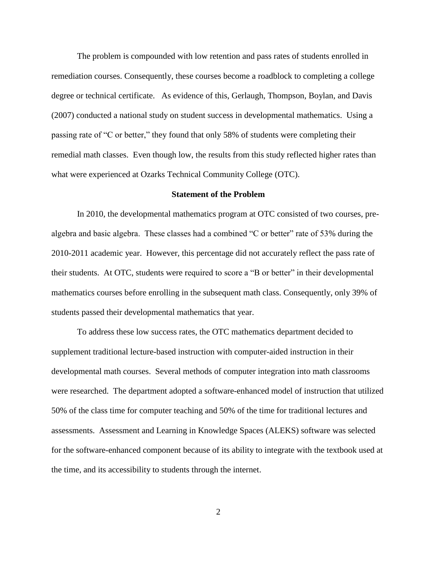The problem is compounded with low retention and pass rates of students enrolled in remediation courses. Consequently, these courses become a roadblock to completing a college degree or technical certificate. As evidence of this, Gerlaugh, Thompson, Boylan, and Davis (2007) conducted a national study on student success in developmental mathematics. Using a passing rate of "C or better," they found that only 58% of students were completing their remedial math classes. Even though low, the results from this study reflected higher rates than what were experienced at Ozarks Technical Community College (OTC).

#### **Statement of the Problem**

In 2010, the developmental mathematics program at OTC consisted of two courses, prealgebra and basic algebra. These classes had a combined "C or better" rate of 53% during the 2010-2011 academic year. However, this percentage did not accurately reflect the pass rate of their students. At OTC, students were required to score a "B or better" in their developmental mathematics courses before enrolling in the subsequent math class. Consequently, only 39% of students passed their developmental mathematics that year.

To address these low success rates, the OTC mathematics department decided to supplement traditional lecture-based instruction with computer-aided instruction in their developmental math courses. Several methods of computer integration into math classrooms were researched. The department adopted a software-enhanced model of instruction that utilized 50% of the class time for computer teaching and 50% of the time for traditional lectures and assessments. Assessment and Learning in Knowledge Spaces (ALEKS) software was selected for the software-enhanced component because of its ability to integrate with the textbook used at the time, and its accessibility to students through the internet.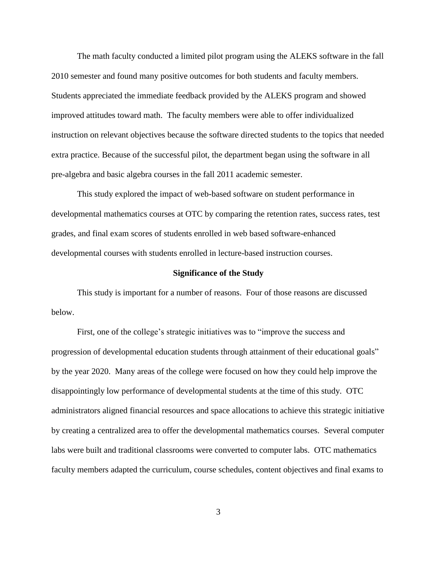The math faculty conducted a limited pilot program using the ALEKS software in the fall 2010 semester and found many positive outcomes for both students and faculty members. Students appreciated the immediate feedback provided by the ALEKS program and showed improved attitudes toward math. The faculty members were able to offer individualized instruction on relevant objectives because the software directed students to the topics that needed extra practice. Because of the successful pilot, the department began using the software in all pre-algebra and basic algebra courses in the fall 2011 academic semester.

This study explored the impact of web-based software on student performance in developmental mathematics courses at OTC by comparing the retention rates, success rates, test grades, and final exam scores of students enrolled in web based software-enhanced developmental courses with students enrolled in lecture-based instruction courses.

#### **Significance of the Study**

This study is important for a number of reasons. Four of those reasons are discussed below.

First, one of the college's strategic initiatives was to "improve the success and progression of developmental education students through attainment of their educational goals" by the year 2020. Many areas of the college were focused on how they could help improve the disappointingly low performance of developmental students at the time of this study. OTC administrators aligned financial resources and space allocations to achieve this strategic initiative by creating a centralized area to offer the developmental mathematics courses. Several computer labs were built and traditional classrooms were converted to computer labs. OTC mathematics faculty members adapted the curriculum, course schedules, content objectives and final exams to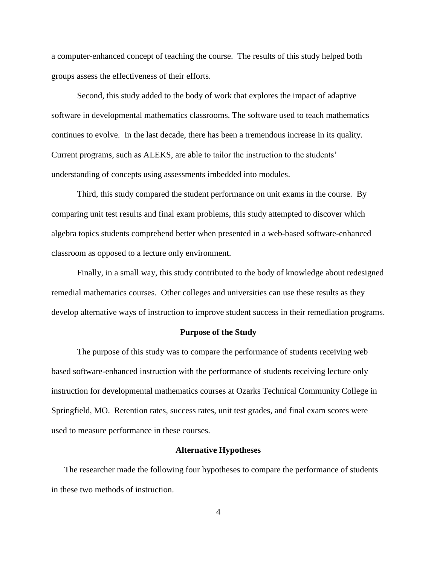a computer-enhanced concept of teaching the course. The results of this study helped both groups assess the effectiveness of their efforts.

Second, this study added to the body of work that explores the impact of adaptive software in developmental mathematics classrooms. The software used to teach mathematics continues to evolve. In the last decade, there has been a tremendous increase in its quality. Current programs, such as ALEKS, are able to tailor the instruction to the students' understanding of concepts using assessments imbedded into modules.

Third, this study compared the student performance on unit exams in the course. By comparing unit test results and final exam problems, this study attempted to discover which algebra topics students comprehend better when presented in a web-based software-enhanced classroom as opposed to a lecture only environment.

Finally, in a small way, this study contributed to the body of knowledge about redesigned remedial mathematics courses. Other colleges and universities can use these results as they develop alternative ways of instruction to improve student success in their remediation programs.

### **Purpose of the Study**

The purpose of this study was to compare the performance of students receiving web based software-enhanced instruction with the performance of students receiving lecture only instruction for developmental mathematics courses at Ozarks Technical Community College in Springfield, MO. Retention rates, success rates, unit test grades, and final exam scores were used to measure performance in these courses.

#### **Alternative Hypotheses**

The researcher made the following four hypotheses to compare the performance of students in these two methods of instruction.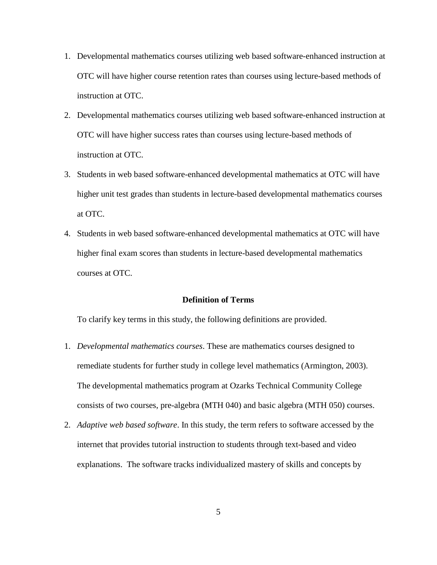- 1. Developmental mathematics courses utilizing web based software-enhanced instruction at OTC will have higher course retention rates than courses using lecture-based methods of instruction at OTC.
- 2. Developmental mathematics courses utilizing web based software-enhanced instruction at OTC will have higher success rates than courses using lecture-based methods of instruction at OTC.
- 3. Students in web based software-enhanced developmental mathematics at OTC will have higher unit test grades than students in lecture-based developmental mathematics courses at OTC.
- 4. Students in web based software-enhanced developmental mathematics at OTC will have higher final exam scores than students in lecture-based developmental mathematics courses at OTC.

# **Definition of Terms**

To clarify key terms in this study, the following definitions are provided.

- 1. *Developmental mathematics courses*. These are mathematics courses designed to remediate students for further study in college level mathematics (Armington, 2003). The developmental mathematics program at Ozarks Technical Community College consists of two courses, pre-algebra (MTH 040) and basic algebra (MTH 050) courses.
- 2. *Adaptive web based software*. In this study, the term refers to software accessed by the internet that provides tutorial instruction to students through text-based and video explanations. The software tracks individualized mastery of skills and concepts by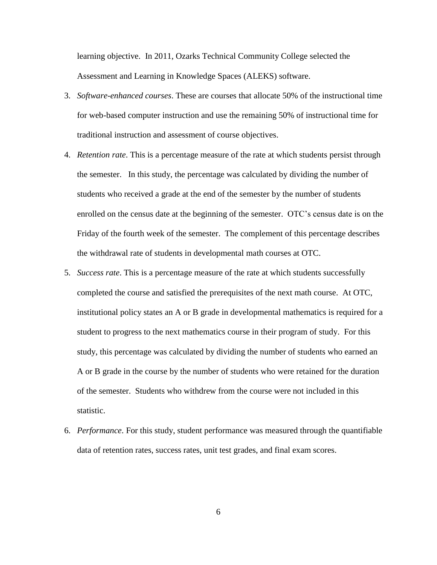learning objective. In 2011, Ozarks Technical Community College selected the Assessment and Learning in Knowledge Spaces (ALEKS) software.

- 3. *Software-enhanced courses*. These are courses that allocate 50% of the instructional time for web-based computer instruction and use the remaining 50% of instructional time for traditional instruction and assessment of course objectives.
- 4. *Retention rate*. This is a percentage measure of the rate at which students persist through the semester. In this study, the percentage was calculated by dividing the number of students who received a grade at the end of the semester by the number of students enrolled on the census date at the beginning of the semester. OTC's census date is on the Friday of the fourth week of the semester. The complement of this percentage describes the withdrawal rate of students in developmental math courses at OTC.
- 5. *Success rate*. This is a percentage measure of the rate at which students successfully completed the course and satisfied the prerequisites of the next math course. At OTC, institutional policy states an A or B grade in developmental mathematics is required for a student to progress to the next mathematics course in their program of study. For this study, this percentage was calculated by dividing the number of students who earned an A or B grade in the course by the number of students who were retained for the duration of the semester. Students who withdrew from the course were not included in this statistic.
- 6. *Performance*. For this study, student performance was measured through the quantifiable data of retention rates, success rates, unit test grades, and final exam scores.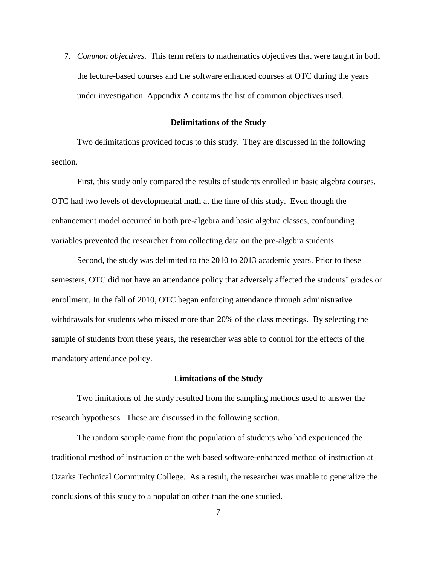7. *Common objectives*. This term refers to mathematics objectives that were taught in both the lecture-based courses and the software enhanced courses at OTC during the years under investigation. Appendix A contains the list of common objectives used.

#### **Delimitations of the Study**

Two delimitations provided focus to this study. They are discussed in the following section.

First, this study only compared the results of students enrolled in basic algebra courses. OTC had two levels of developmental math at the time of this study. Even though the enhancement model occurred in both pre-algebra and basic algebra classes, confounding variables prevented the researcher from collecting data on the pre-algebra students.

Second, the study was delimited to the 2010 to 2013 academic years. Prior to these semesters, OTC did not have an attendance policy that adversely affected the students' grades or enrollment. In the fall of 2010, OTC began enforcing attendance through administrative withdrawals for students who missed more than 20% of the class meetings. By selecting the sample of students from these years, the researcher was able to control for the effects of the mandatory attendance policy.

#### **Limitations of the Study**

Two limitations of the study resulted from the sampling methods used to answer the research hypotheses. These are discussed in the following section.

The random sample came from the population of students who had experienced the traditional method of instruction or the web based software-enhanced method of instruction at Ozarks Technical Community College. As a result, the researcher was unable to generalize the conclusions of this study to a population other than the one studied.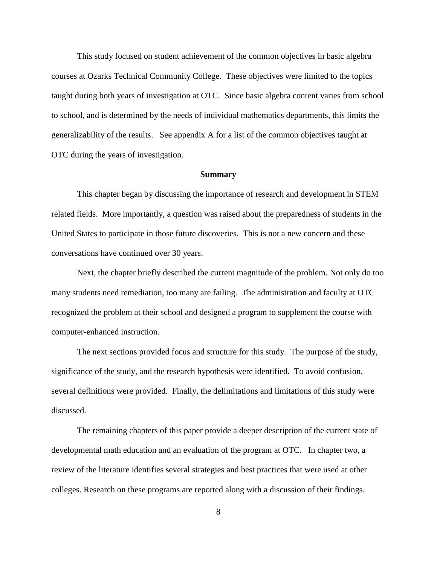This study focused on student achievement of the common objectives in basic algebra courses at Ozarks Technical Community College. These objectives were limited to the topics taught during both years of investigation at OTC. Since basic algebra content varies from school to school, and is determined by the needs of individual mathematics departments, this limits the generalizability of the results. See appendix A for a list of the common objectives taught at OTC during the years of investigation.

#### **Summary**

This chapter began by discussing the importance of research and development in STEM related fields. More importantly, a question was raised about the preparedness of students in the United States to participate in those future discoveries. This is not a new concern and these conversations have continued over 30 years.

Next, the chapter briefly described the current magnitude of the problem. Not only do too many students need remediation, too many are failing. The administration and faculty at OTC recognized the problem at their school and designed a program to supplement the course with computer-enhanced instruction.

The next sections provided focus and structure for this study. The purpose of the study, significance of the study, and the research hypothesis were identified. To avoid confusion, several definitions were provided. Finally, the delimitations and limitations of this study were discussed.

The remaining chapters of this paper provide a deeper description of the current state of developmental math education and an evaluation of the program at OTC. In chapter two, a review of the literature identifies several strategies and best practices that were used at other colleges. Research on these programs are reported along with a discussion of their findings.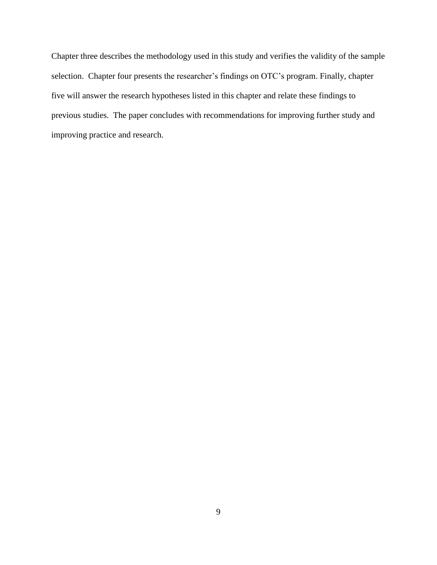Chapter three describes the methodology used in this study and verifies the validity of the sample selection. Chapter four presents the researcher's findings on OTC's program. Finally, chapter five will answer the research hypotheses listed in this chapter and relate these findings to previous studies. The paper concludes with recommendations for improving further study and improving practice and research.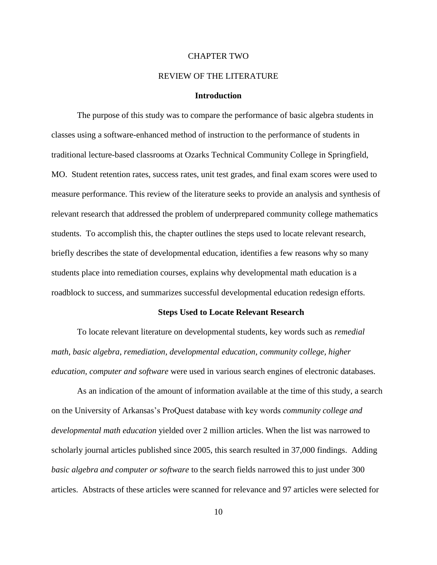# CHAPTER TWO

#### REVIEW OF THE LITERATURE

# **Introduction**

The purpose of this study was to compare the performance of basic algebra students in classes using a software-enhanced method of instruction to the performance of students in traditional lecture-based classrooms at Ozarks Technical Community College in Springfield, MO. Student retention rates, success rates, unit test grades, and final exam scores were used to measure performance. This review of the literature seeks to provide an analysis and synthesis of relevant research that addressed the problem of underprepared community college mathematics students. To accomplish this, the chapter outlines the steps used to locate relevant research, briefly describes the state of developmental education, identifies a few reasons why so many students place into remediation courses, explains why developmental math education is a roadblock to success, and summarizes successful developmental education redesign efforts.

#### **Steps Used to Locate Relevant Research**

To locate relevant literature on developmental students, key words such as *remedial math, basic algebra, remediation, developmental education, community college, higher education, computer and software* were used in various search engines of electronic databases.

As an indication of the amount of information available at the time of this study, a search on the University of Arkansas's ProQuest database with key words *community college and developmental math education* yielded over 2 million articles. When the list was narrowed to scholarly journal articles published since 2005, this search resulted in 37,000 findings. Adding *basic algebra and computer or software* to the search fields narrowed this to just under 300 articles. Abstracts of these articles were scanned for relevance and 97 articles were selected for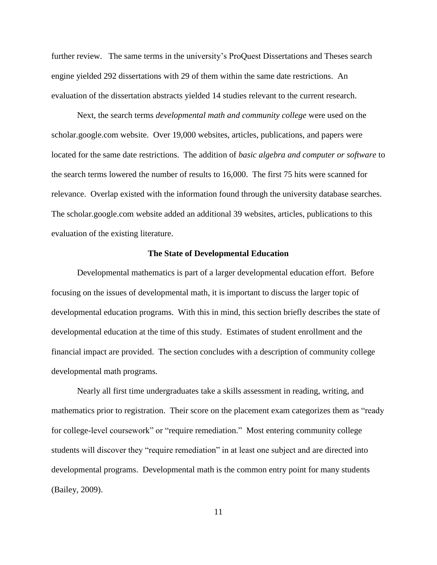further review. The same terms in the university's ProQuest Dissertations and Theses search engine yielded 292 dissertations with 29 of them within the same date restrictions. An evaluation of the dissertation abstracts yielded 14 studies relevant to the current research.

Next, the search terms *developmental math and community college* were used on the scholar.google.com website. Over 19,000 websites, articles, publications, and papers were located for the same date restrictions. The addition of *basic algebra and computer or software* to the search terms lowered the number of results to 16,000. The first 75 hits were scanned for relevance. Overlap existed with the information found through the university database searches. The scholar.google.com website added an additional 39 websites, articles, publications to this evaluation of the existing literature.

#### **The State of Developmental Education**

Developmental mathematics is part of a larger developmental education effort. Before focusing on the issues of developmental math, it is important to discuss the larger topic of developmental education programs. With this in mind, this section briefly describes the state of developmental education at the time of this study. Estimates of student enrollment and the financial impact are provided. The section concludes with a description of community college developmental math programs.

Nearly all first time undergraduates take a skills assessment in reading, writing, and mathematics prior to registration. Their score on the placement exam categorizes them as "ready for college-level coursework" or "require remediation." Most entering community college students will discover they "require remediation" in at least one subject and are directed into developmental programs. Developmental math is the common entry point for many students (Bailey, 2009).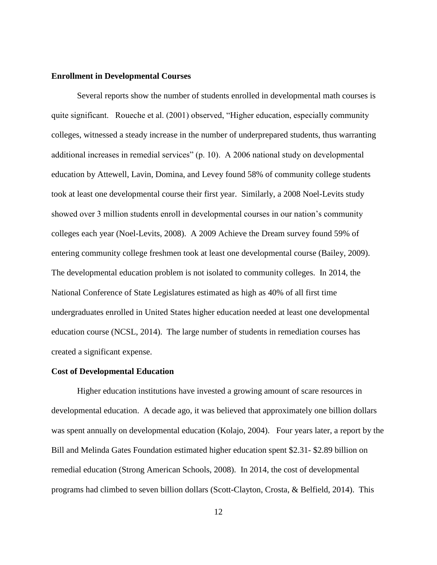### **Enrollment in Developmental Courses**

Several reports show the number of students enrolled in developmental math courses is quite significant. Roueche et al. (2001) observed, "Higher education, especially community colleges, witnessed a steady increase in the number of underprepared students, thus warranting additional increases in remedial services" (p. 10). A 2006 national study on developmental education by Attewell, Lavin, Domina, and Levey found 58% of community college students took at least one developmental course their first year. Similarly, a 2008 Noel-Levits study showed over 3 million students enroll in developmental courses in our nation's community colleges each year (Noel-Levits, 2008). A 2009 Achieve the Dream survey found 59% of entering community college freshmen took at least one developmental course (Bailey, 2009). The developmental education problem is not isolated to community colleges. In 2014, the National Conference of State Legislatures estimated as high as 40% of all first time undergraduates enrolled in United States higher education needed at least one developmental education course (NCSL, 2014). The large number of students in remediation courses has created a significant expense.

#### **Cost of Developmental Education**

Higher education institutions have invested a growing amount of scare resources in developmental education. A decade ago, it was believed that approximately one billion dollars was spent annually on developmental education (Kolajo, 2004). Four years later, a report by the Bill and Melinda Gates Foundation estimated higher education spent \$2.31- \$2.89 billion on remedial education (Strong American Schools, 2008). In 2014, the cost of developmental programs had climbed to seven billion dollars (Scott-Clayton, Crosta, & Belfield, 2014). This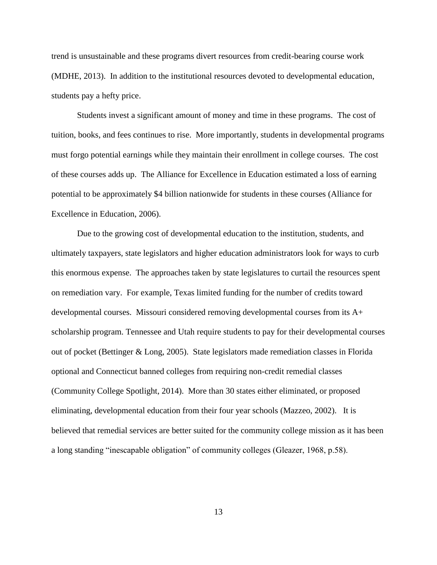trend is unsustainable and these programs divert resources from credit-bearing course work (MDHE, 2013). In addition to the institutional resources devoted to developmental education, students pay a hefty price.

Students invest a significant amount of money and time in these programs. The cost of tuition, books, and fees continues to rise. More importantly, students in developmental programs must forgo potential earnings while they maintain their enrollment in college courses. The cost of these courses adds up. The Alliance for Excellence in Education estimated a loss of earning potential to be approximately \$4 billion nationwide for students in these courses (Alliance for Excellence in Education, 2006).

Due to the growing cost of developmental education to the institution, students, and ultimately taxpayers, state legislators and higher education administrators look for ways to curb this enormous expense. The approaches taken by state legislatures to curtail the resources spent on remediation vary. For example, Texas limited funding for the number of credits toward developmental courses. Missouri considered removing developmental courses from its A+ scholarship program. Tennessee and Utah require students to pay for their developmental courses out of pocket (Bettinger & Long, 2005). State legislators made remediation classes in Florida optional and Connecticut banned colleges from requiring non-credit remedial classes (Community College Spotlight, 2014). More than 30 states either eliminated, or proposed eliminating, developmental education from their four year schools (Mazzeo, 2002). It is believed that remedial services are better suited for the community college mission as it has been a long standing "inescapable obligation" of community colleges (Gleazer, 1968, p.58).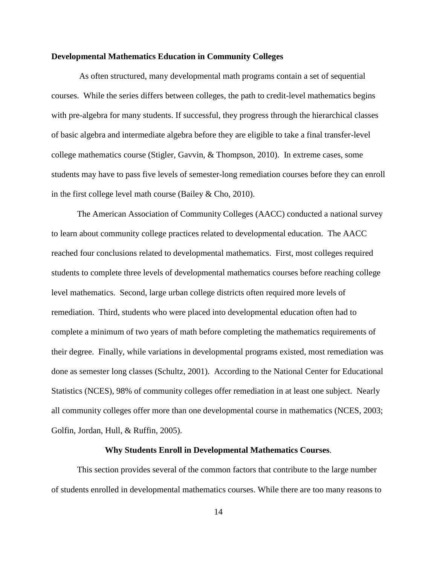#### **Developmental Mathematics Education in Community Colleges**

As often structured, many developmental math programs contain a set of sequential courses. While the series differs between colleges, the path to credit-level mathematics begins with pre-algebra for many students. If successful, they progress through the hierarchical classes of basic algebra and intermediate algebra before they are eligible to take a final transfer-level college mathematics course (Stigler, Gavvin, & Thompson, 2010). In extreme cases, some students may have to pass five levels of semester-long remediation courses before they can enroll in the first college level math course (Bailey & Cho, 2010).

The American Association of Community Colleges (AACC) conducted a national survey to learn about community college practices related to developmental education. The AACC reached four conclusions related to developmental mathematics. First, most colleges required students to complete three levels of developmental mathematics courses before reaching college level mathematics. Second, large urban college districts often required more levels of remediation. Third, students who were placed into developmental education often had to complete a minimum of two years of math before completing the mathematics requirements of their degree. Finally, while variations in developmental programs existed, most remediation was done as semester long classes (Schultz, 2001). According to the National Center for Educational Statistics (NCES), 98% of community colleges offer remediation in at least one subject. Nearly all community colleges offer more than one developmental course in mathematics (NCES, 2003; Golfin, Jordan, Hull, & Ruffin, 2005).

#### **Why Students Enroll in Developmental Mathematics Courses**.

This section provides several of the common factors that contribute to the large number of students enrolled in developmental mathematics courses. While there are too many reasons to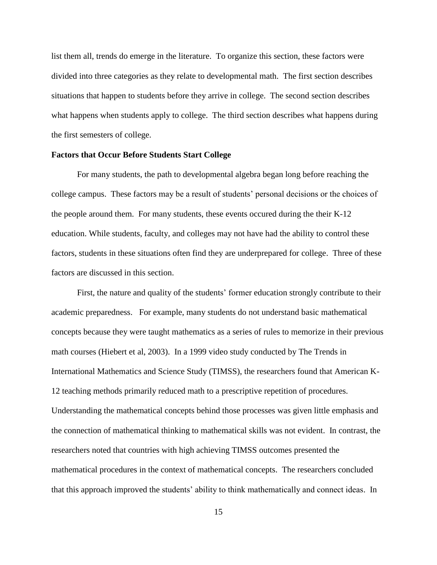list them all, trends do emerge in the literature. To organize this section, these factors were divided into three categories as they relate to developmental math. The first section describes situations that happen to students before they arrive in college. The second section describes what happens when students apply to college. The third section describes what happens during the first semesters of college.

#### **Factors that Occur Before Students Start College**

For many students, the path to developmental algebra began long before reaching the college campus. These factors may be a result of students' personal decisions or the choices of the people around them. For many students, these events occured during the their K-12 education. While students, faculty, and colleges may not have had the ability to control these factors, students in these situations often find they are underprepared for college. Three of these factors are discussed in this section.

First, the nature and quality of the students' former education strongly contribute to their academic preparedness. For example, many students do not understand basic mathematical concepts because they were taught mathematics as a series of rules to memorize in their previous math courses (Hiebert et al, 2003). In a 1999 video study conducted by The Trends in International Mathematics and Science Study (TIMSS), the researchers found that American K-12 teaching methods primarily reduced math to a prescriptive repetition of procedures. Understanding the mathematical concepts behind those processes was given little emphasis and the connection of mathematical thinking to mathematical skills was not evident. In contrast, the researchers noted that countries with high achieving TIMSS outcomes presented the mathematical procedures in the context of mathematical concepts. The researchers concluded that this approach improved the students' ability to think mathematically and connect ideas. In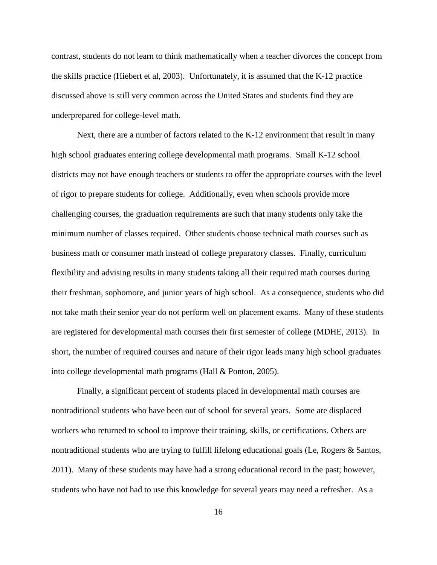contrast, students do not learn to think mathematically when a teacher divorces the concept from the skills practice (Hiebert et al, 2003). Unfortunately, it is assumed that the K-12 practice discussed above is still very common across the United States and students find they are underprepared for college-level math.

Next, there are a number of factors related to the K-12 environment that result in many high school graduates entering college developmental math programs. Small K-12 school districts may not have enough teachers or students to offer the appropriate courses with the level of rigor to prepare students for college. Additionally, even when schools provide more challenging courses, the graduation requirements are such that many students only take the minimum number of classes required. Other students choose technical math courses such as business math or consumer math instead of college preparatory classes. Finally, curriculum flexibility and advising results in many students taking all their required math courses during their freshman, sophomore, and junior years of high school. As a consequence, students who did not take math their senior year do not perform well on placement exams. Many of these students are registered for developmental math courses their first semester of college (MDHE, 2013). In short, the number of required courses and nature of their rigor leads many high school graduates into college developmental math programs (Hall & Ponton, 2005).

Finally, a significant percent of students placed in developmental math courses are nontraditional students who have been out of school for several years. Some are displaced workers who returned to school to improve their training, skills, or certifications. Others are nontraditional students who are trying to fulfill lifelong educational goals (Le, Rogers & Santos, 2011). Many of these students may have had a strong educational record in the past; however, students who have not had to use this knowledge for several years may need a refresher. As a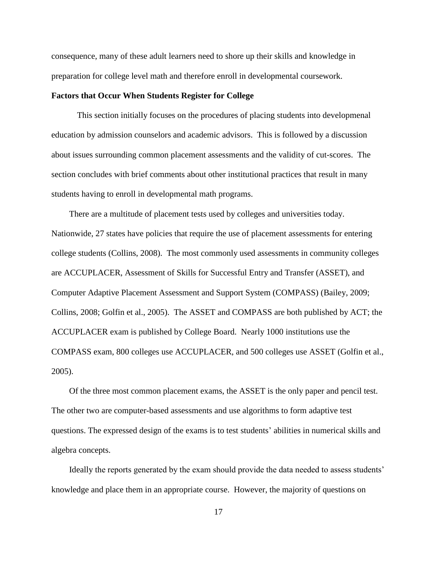consequence, many of these adult learners need to shore up their skills and knowledge in preparation for college level math and therefore enroll in developmental coursework.

### **Factors that Occur When Students Register for College**

This section initially focuses on the procedures of placing students into developmenal education by admission counselors and academic advisors. This is followed by a discussion about issues surrounding common placement assessments and the validity of cut-scores. The section concludes with brief comments about other institutional practices that result in many students having to enroll in developmental math programs.

There are a multitude of placement tests used by colleges and universities today. Nationwide, 27 states have policies that require the use of placement assessments for entering college students (Collins, 2008). The most commonly used assessments in community colleges are ACCUPLACER, Assessment of Skills for Successful Entry and Transfer (ASSET), and Computer Adaptive Placement Assessment and Support System (COMPASS) (Bailey, 2009; Collins, 2008; Golfin et al., 2005). The ASSET and COMPASS are both published by ACT; the ACCUPLACER exam is published by College Board. Nearly 1000 institutions use the COMPASS exam, 800 colleges use ACCUPLACER, and 500 colleges use ASSET (Golfin et al., 2005).

Of the three most common placement exams, the ASSET is the only paper and pencil test. The other two are computer-based assessments and use algorithms to form adaptive test questions. The expressed design of the exams is to test students' abilities in numerical skills and algebra concepts.

Ideally the reports generated by the exam should provide the data needed to assess students' knowledge and place them in an appropriate course. However, the majority of questions on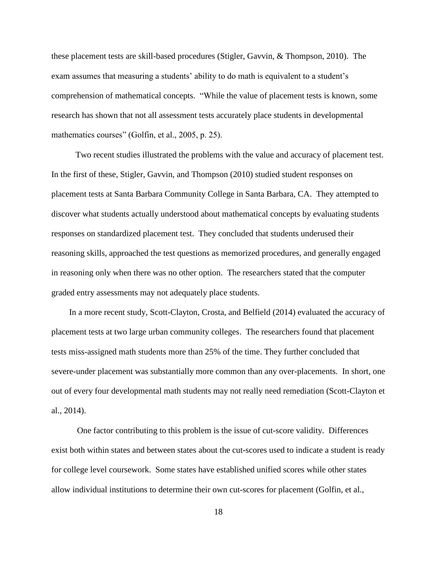these placement tests are skill-based procedures (Stigler, Gavvin, & Thompson, 2010). The exam assumes that measuring a students' ability to do math is equivalent to a student's comprehension of mathematical concepts. "While the value of placement tests is known, some research has shown that not all assessment tests accurately place students in developmental mathematics courses" (Golfin, et al., 2005, p. 25).

 Two recent studies illustrated the problems with the value and accuracy of placement test. In the first of these, Stigler, Gavvin, and Thompson (2010) studied student responses on placement tests at Santa Barbara Community College in Santa Barbara, CA. They attempted to discover what students actually understood about mathematical concepts by evaluating students responses on standardized placement test. They concluded that students underused their reasoning skills, approached the test questions as memorized procedures, and generally engaged in reasoning only when there was no other option. The researchers stated that the computer graded entry assessments may not adequately place students.

In a more recent study, Scott-Clayton, Crosta, and Belfield (2014) evaluated the accuracy of placement tests at two large urban community colleges. The researchers found that placement tests miss-assigned math students more than 25% of the time. They further concluded that severe-under placement was substantially more common than any over-placements. In short, one out of every four developmental math students may not really need remediation (Scott-Clayton et al., 2014).

One factor contributing to this problem is the issue of cut-score validity. Differences exist both within states and between states about the cut-scores used to indicate a student is ready for college level coursework. Some states have established unified scores while other states allow individual institutions to determine their own cut-scores for placement (Golfin, et al.,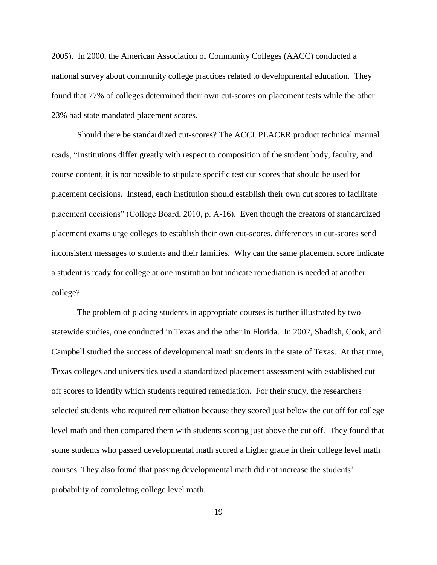2005). In 2000, the American Association of Community Colleges (AACC) conducted a national survey about community college practices related to developmental education. They found that 77% of colleges determined their own cut-scores on placement tests while the other 23% had state mandated placement scores.

Should there be standardized cut-scores? The ACCUPLACER product technical manual reads, "Institutions differ greatly with respect to composition of the student body, faculty, and course content, it is not possible to stipulate specific test cut scores that should be used for placement decisions. Instead, each institution should establish their own cut scores to facilitate placement decisions" (College Board, 2010, p. A-16). Even though the creators of standardized placement exams urge colleges to establish their own cut-scores, differences in cut-scores send inconsistent messages to students and their families. Why can the same placement score indicate a student is ready for college at one institution but indicate remediation is needed at another college?

The problem of placing students in appropriate courses is further illustrated by two statewide studies, one conducted in Texas and the other in Florida. In 2002, Shadish, Cook, and Campbell studied the success of developmental math students in the state of Texas. At that time, Texas colleges and universities used a standardized placement assessment with established cut off scores to identify which students required remediation. For their study, the researchers selected students who required remediation because they scored just below the cut off for college level math and then compared them with students scoring just above the cut off. They found that some students who passed developmental math scored a higher grade in their college level math courses. They also found that passing developmental math did not increase the students' probability of completing college level math.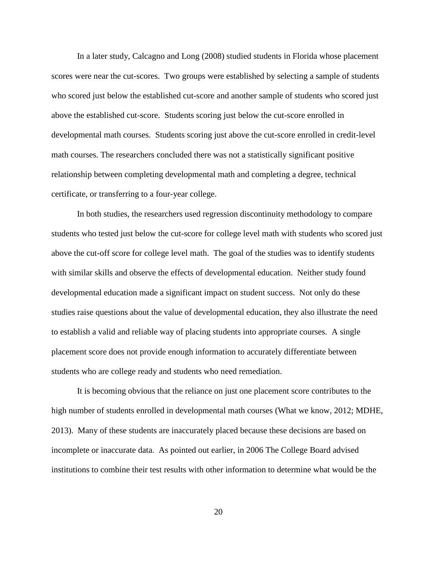In a later study, Calcagno and Long (2008) studied students in Florida whose placement scores were near the cut-scores. Two groups were established by selecting a sample of students who scored just below the established cut-score and another sample of students who scored just above the established cut-score. Students scoring just below the cut-score enrolled in developmental math courses. Students scoring just above the cut-score enrolled in credit-level math courses. The researchers concluded there was not a statistically significant positive relationship between completing developmental math and completing a degree, technical certificate, or transferring to a four-year college.

In both studies, the researchers used regression discontinuity methodology to compare students who tested just below the cut-score for college level math with students who scored just above the cut-off score for college level math. The goal of the studies was to identify students with similar skills and observe the effects of developmental education. Neither study found developmental education made a significant impact on student success. Not only do these studies raise questions about the value of developmental education, they also illustrate the need to establish a valid and reliable way of placing students into appropriate courses. A single placement score does not provide enough information to accurately differentiate between students who are college ready and students who need remediation.

It is becoming obvious that the reliance on just one placement score contributes to the high number of students enrolled in developmental math courses (What we know, 2012; MDHE, 2013). Many of these students are inaccurately placed because these decisions are based on incomplete or inaccurate data. As pointed out earlier, in 2006 The College Board advised institutions to combine their test results with other information to determine what would be the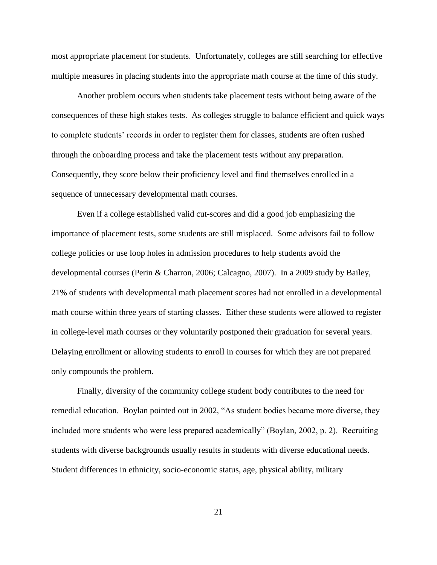most appropriate placement for students. Unfortunately, colleges are still searching for effective multiple measures in placing students into the appropriate math course at the time of this study.

Another problem occurs when students take placement tests without being aware of the consequences of these high stakes tests. As colleges struggle to balance efficient and quick ways to complete students' records in order to register them for classes, students are often rushed through the onboarding process and take the placement tests without any preparation. Consequently, they score below their proficiency level and find themselves enrolled in a sequence of unnecessary developmental math courses.

Even if a college established valid cut-scores and did a good job emphasizing the importance of placement tests, some students are still misplaced. Some advisors fail to follow college policies or use loop holes in admission procedures to help students avoid the developmental courses (Perin & Charron, 2006; Calcagno, 2007). In a 2009 study by Bailey, 21% of students with developmental math placement scores had not enrolled in a developmental math course within three years of starting classes. Either these students were allowed to register in college-level math courses or they voluntarily postponed their graduation for several years. Delaying enrollment or allowing students to enroll in courses for which they are not prepared only compounds the problem.

Finally, diversity of the community college student body contributes to the need for remedial education. Boylan pointed out in 2002, "As student bodies became more diverse, they included more students who were less prepared academically" (Boylan, 2002, p. 2). Recruiting students with diverse backgrounds usually results in students with diverse educational needs. Student differences in ethnicity, socio-economic status, age, physical ability, military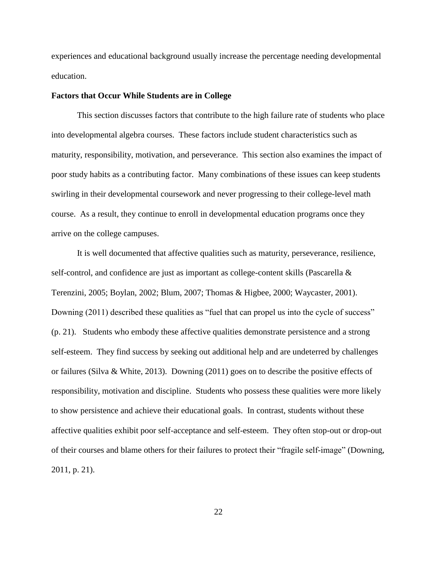experiences and educational background usually increase the percentage needing developmental education.

#### **Factors that Occur While Students are in College**

This section discusses factors that contribute to the high failure rate of students who place into developmental algebra courses. These factors include student characteristics such as maturity, responsibility, motivation, and perseverance. This section also examines the impact of poor study habits as a contributing factor. Many combinations of these issues can keep students swirling in their developmental coursework and never progressing to their college-level math course. As a result, they continue to enroll in developmental education programs once they arrive on the college campuses.

It is well documented that affective qualities such as maturity, perseverance, resilience, self-control, and confidence are just as important as college-content skills (Pascarella & Terenzini, 2005; Boylan, 2002; Blum, 2007; Thomas & Higbee, 2000; Waycaster, 2001). Downing (2011) described these qualities as "fuel that can propel us into the cycle of success" (p. 21). Students who embody these affective qualities demonstrate persistence and a strong self-esteem. They find success by seeking out additional help and are undeterred by challenges or failures (Silva & White, 2013). Downing (2011) goes on to describe the positive effects of responsibility, motivation and discipline. Students who possess these qualities were more likely to show persistence and achieve their educational goals. In contrast, students without these affective qualities exhibit poor self-acceptance and self-esteem. They often stop-out or drop-out of their courses and blame others for their failures to protect their "fragile self-image" (Downing, 2011, p. 21).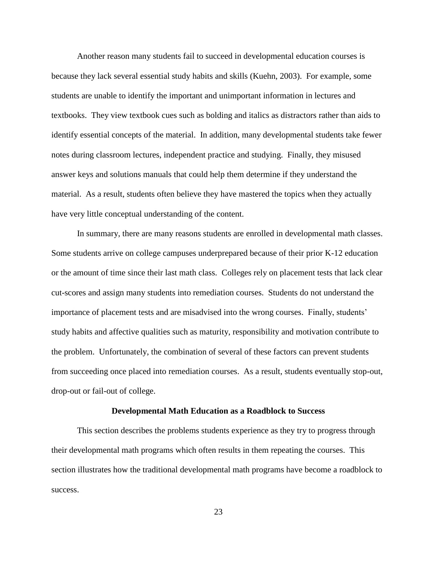Another reason many students fail to succeed in developmental education courses is because they lack several essential study habits and skills (Kuehn, 2003). For example, some students are unable to identify the important and unimportant information in lectures and textbooks. They view textbook cues such as bolding and italics as distractors rather than aids to identify essential concepts of the material. In addition, many developmental students take fewer notes during classroom lectures, independent practice and studying. Finally, they misused answer keys and solutions manuals that could help them determine if they understand the material. As a result, students often believe they have mastered the topics when they actually have very little conceptual understanding of the content.

In summary, there are many reasons students are enrolled in developmental math classes. Some students arrive on college campuses underprepared because of their prior K-12 education or the amount of time since their last math class. Colleges rely on placement tests that lack clear cut-scores and assign many students into remediation courses. Students do not understand the importance of placement tests and are misadvised into the wrong courses. Finally, students' study habits and affective qualities such as maturity, responsibility and motivation contribute to the problem. Unfortunately, the combination of several of these factors can prevent students from succeeding once placed into remediation courses. As a result, students eventually stop-out, drop-out or fail-out of college.

#### **Developmental Math Education as a Roadblock to Success**

This section describes the problems students experience as they try to progress through their developmental math programs which often results in them repeating the courses. This section illustrates how the traditional developmental math programs have become a roadblock to success.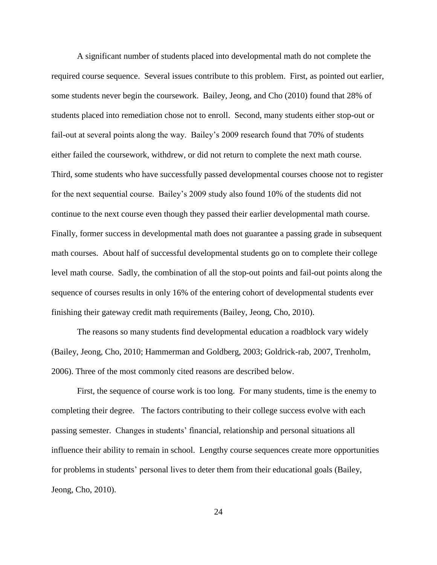A significant number of students placed into developmental math do not complete the required course sequence. Several issues contribute to this problem. First, as pointed out earlier, some students never begin the coursework. Bailey, Jeong, and Cho (2010) found that 28% of students placed into remediation chose not to enroll. Second, many students either stop-out or fail-out at several points along the way. Bailey's 2009 research found that 70% of students either failed the coursework, withdrew, or did not return to complete the next math course. Third, some students who have successfully passed developmental courses choose not to register for the next sequential course. Bailey's 2009 study also found 10% of the students did not continue to the next course even though they passed their earlier developmental math course. Finally, former success in developmental math does not guarantee a passing grade in subsequent math courses. About half of successful developmental students go on to complete their college level math course. Sadly, the combination of all the stop-out points and fail-out points along the sequence of courses results in only 16% of the entering cohort of developmental students ever finishing their gateway credit math requirements (Bailey, Jeong, Cho, 2010).

The reasons so many students find developmental education a roadblock vary widely (Bailey, Jeong, Cho, 2010; Hammerman and Goldberg, 2003; Goldrick-rab, 2007, Trenholm, 2006). Three of the most commonly cited reasons are described below.

First, the sequence of course work is too long. For many students, time is the enemy to completing their degree. The factors contributing to their college success evolve with each passing semester. Changes in students' financial, relationship and personal situations all influence their ability to remain in school. Lengthy course sequences create more opportunities for problems in students' personal lives to deter them from their educational goals (Bailey, Jeong, Cho, 2010).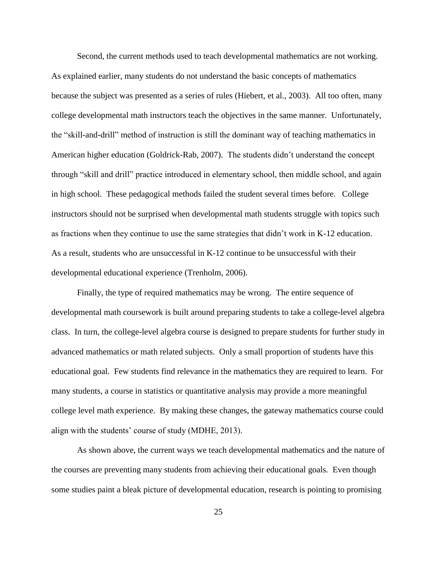Second, the current methods used to teach developmental mathematics are not working. As explained earlier, many students do not understand the basic concepts of mathematics because the subject was presented as a series of rules (Hiebert, et al., 2003). All too often, many college developmental math instructors teach the objectives in the same manner. Unfortunately, the "skill-and-drill" method of instruction is still the dominant way of teaching mathematics in American higher education (Goldrick-Rab, 2007). The students didn't understand the concept through "skill and drill" practice introduced in elementary school, then middle school, and again in high school. These pedagogical methods failed the student several times before. College instructors should not be surprised when developmental math students struggle with topics such as fractions when they continue to use the same strategies that didn't work in K-12 education. As a result, students who are unsuccessful in K-12 continue to be unsuccessful with their developmental educational experience (Trenholm, 2006).

Finally, the type of required mathematics may be wrong. The entire sequence of developmental math coursework is built around preparing students to take a college-level algebra class. In turn, the college-level algebra course is designed to prepare students for further study in advanced mathematics or math related subjects. Only a small proportion of students have this educational goal. Few students find relevance in the mathematics they are required to learn. For many students, a course in statistics or quantitative analysis may provide a more meaningful college level math experience. By making these changes, the gateway mathematics course could align with the students' course of study (MDHE, 2013).

As shown above, the current ways we teach developmental mathematics and the nature of the courses are preventing many students from achieving their educational goals. Even though some studies paint a bleak picture of developmental education, research is pointing to promising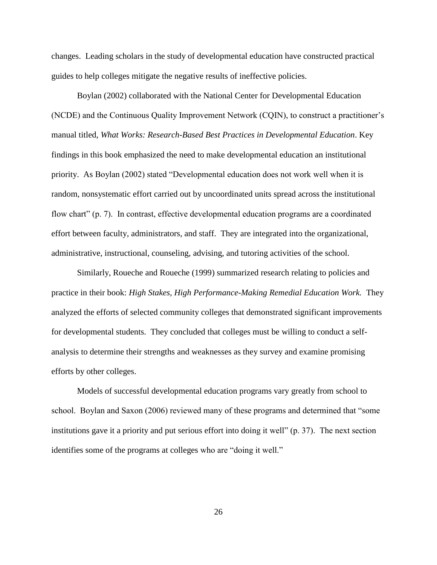changes. Leading scholars in the study of developmental education have constructed practical guides to help colleges mitigate the negative results of ineffective policies.

Boylan (2002) collaborated with the National Center for Developmental Education (NCDE) and the Continuous Quality Improvement Network (CQIN), to construct a practitioner's manual titled, *What Works: Research-Based Best Practices in Developmental Education*. Key findings in this book emphasized the need to make developmental education an institutional priority. As Boylan (2002) stated "Developmental education does not work well when it is random, nonsystematic effort carried out by uncoordinated units spread across the institutional flow chart" (p. 7). In contrast, effective developmental education programs are a coordinated effort between faculty, administrators, and staff. They are integrated into the organizational, administrative, instructional, counseling, advising, and tutoring activities of the school.

Similarly, Roueche and Roueche (1999) summarized research relating to policies and practice in their book: *High Stakes, High Performance-Making Remedial Education Work.* They analyzed the efforts of selected community colleges that demonstrated significant improvements for developmental students. They concluded that colleges must be willing to conduct a selfanalysis to determine their strengths and weaknesses as they survey and examine promising efforts by other colleges.

Models of successful developmental education programs vary greatly from school to school. Boylan and Saxon (2006) reviewed many of these programs and determined that "some institutions gave it a priority and put serious effort into doing it well" (p. 37). The next section identifies some of the programs at colleges who are "doing it well."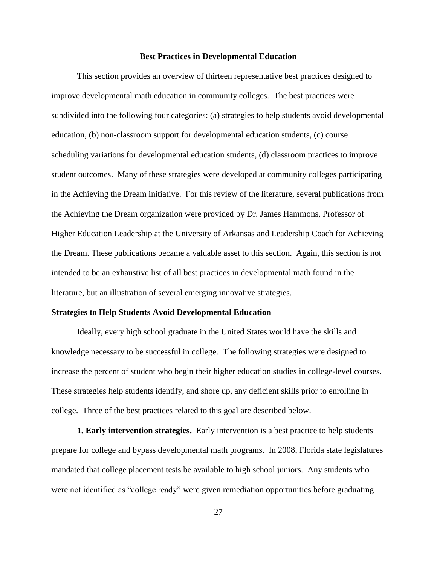### **Best Practices in Developmental Education**

This section provides an overview of thirteen representative best practices designed to improve developmental math education in community colleges. The best practices were subdivided into the following four categories: (a) strategies to help students avoid developmental education, (b) non-classroom support for developmental education students, (c) course scheduling variations for developmental education students, (d) classroom practices to improve student outcomes. Many of these strategies were developed at community colleges participating in the Achieving the Dream initiative. For this review of the literature, several publications from the Achieving the Dream organization were provided by Dr. James Hammons, Professor of Higher Education Leadership at the University of Arkansas and Leadership Coach for Achieving the Dream. These publications became a valuable asset to this section. Again, this section is not intended to be an exhaustive list of all best practices in developmental math found in the literature, but an illustration of several emerging innovative strategies.

# **Strategies to Help Students Avoid Developmental Education**

Ideally, every high school graduate in the United States would have the skills and knowledge necessary to be successful in college. The following strategies were designed to increase the percent of student who begin their higher education studies in college-level courses. These strategies help students identify, and shore up, any deficient skills prior to enrolling in college. Three of the best practices related to this goal are described below.

**1. Early intervention strategies.** Early intervention is a best practice to help students prepare for college and bypass developmental math programs. In 2008, Florida state legislatures mandated that college placement tests be available to high school juniors. Any students who were not identified as "college ready" were given remediation opportunities before graduating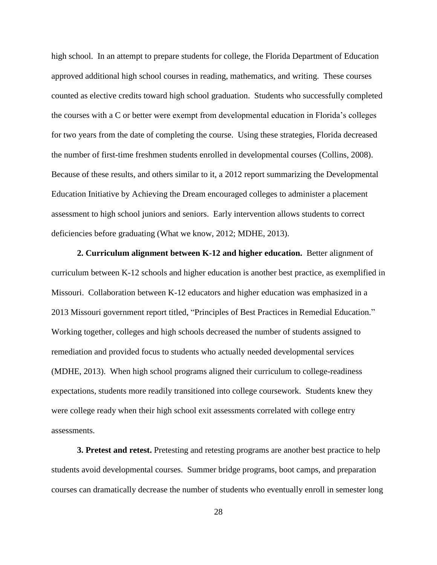high school. In an attempt to prepare students for college, the Florida Department of Education approved additional high school courses in reading, mathematics, and writing. These courses counted as elective credits toward high school graduation. Students who successfully completed the courses with a C or better were exempt from developmental education in Florida's colleges for two years from the date of completing the course. Using these strategies, Florida decreased the number of first-time freshmen students enrolled in developmental courses (Collins, 2008). Because of these results, and others similar to it, a 2012 report summarizing the Developmental Education Initiative by Achieving the Dream encouraged colleges to administer a placement assessment to high school juniors and seniors. Early intervention allows students to correct deficiencies before graduating (What we know, 2012; MDHE, 2013).

**2. Curriculum alignment between K-12 and higher education.** Better alignment of curriculum between K-12 schools and higher education is another best practice, as exemplified in Missouri. Collaboration between K-12 educators and higher education was emphasized in a 2013 Missouri government report titled, "Principles of Best Practices in Remedial Education." Working together, colleges and high schools decreased the number of students assigned to remediation and provided focus to students who actually needed developmental services (MDHE, 2013). When high school programs aligned their curriculum to college-readiness expectations, students more readily transitioned into college coursework. Students knew they were college ready when their high school exit assessments correlated with college entry assessments.

**3. Pretest and retest.** Pretesting and retesting programs are another best practice to help students avoid developmental courses. Summer bridge programs, boot camps, and preparation courses can dramatically decrease the number of students who eventually enroll in semester long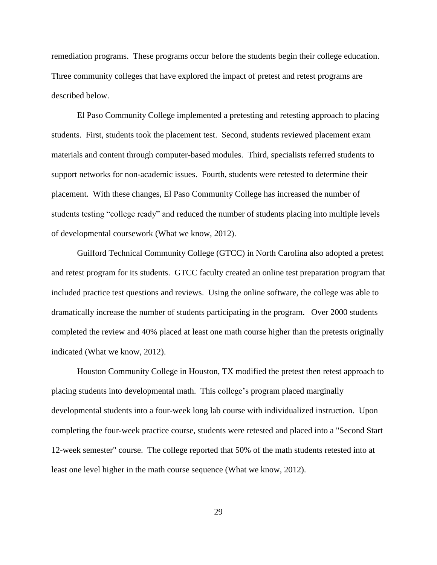remediation programs. These programs occur before the students begin their college education. Three community colleges that have explored the impact of pretest and retest programs are described below.

El Paso Community College implemented a pretesting and retesting approach to placing students. First, students took the placement test. Second, students reviewed placement exam materials and content through computer-based modules. Third, specialists referred students to support networks for non-academic issues. Fourth, students were retested to determine their placement. With these changes, El Paso Community College has increased the number of students testing "college ready" and reduced the number of students placing into multiple levels of developmental coursework (What we know, 2012).

Guilford Technical Community College (GTCC) in North Carolina also adopted a pretest and retest program for its students. GTCC faculty created an online test preparation program that included practice test questions and reviews. Using the online software, the college was able to dramatically increase the number of students participating in the program. Over 2000 students completed the review and 40% placed at least one math course higher than the pretests originally indicated (What we know, 2012).

Houston Community College in Houston, TX modified the pretest then retest approach to placing students into developmental math. This college's program placed marginally developmental students into a four-week long lab course with individualized instruction. Upon completing the four-week practice course, students were retested and placed into a "Second Start 12-week semester" course. The college reported that 50% of the math students retested into at least one level higher in the math course sequence (What we know, 2012).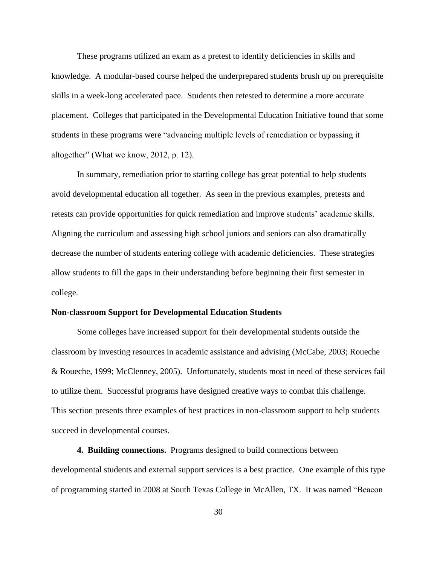These programs utilized an exam as a pretest to identify deficiencies in skills and knowledge. A modular-based course helped the underprepared students brush up on prerequisite skills in a week-long accelerated pace. Students then retested to determine a more accurate placement. Colleges that participated in the Developmental Education Initiative found that some students in these programs were "advancing multiple levels of remediation or bypassing it altogether" (What we know, 2012, p. 12).

In summary, remediation prior to starting college has great potential to help students avoid developmental education all together. As seen in the previous examples, pretests and retests can provide opportunities for quick remediation and improve students' academic skills. Aligning the curriculum and assessing high school juniors and seniors can also dramatically decrease the number of students entering college with academic deficiencies. These strategies allow students to fill the gaps in their understanding before beginning their first semester in college.

# **Non-classroom Support for Developmental Education Students**

Some colleges have increased support for their developmental students outside the classroom by investing resources in academic assistance and advising (McCabe, 2003; Roueche & Roueche, 1999; McClenney, 2005). Unfortunately, students most in need of these services fail to utilize them. Successful programs have designed creative ways to combat this challenge. This section presents three examples of best practices in non-classroom support to help students succeed in developmental courses.

**4. Building connections.** Programs designed to build connections between developmental students and external support services is a best practice. One example of this type of programming started in 2008 at South Texas College in McAllen, TX. It was named "Beacon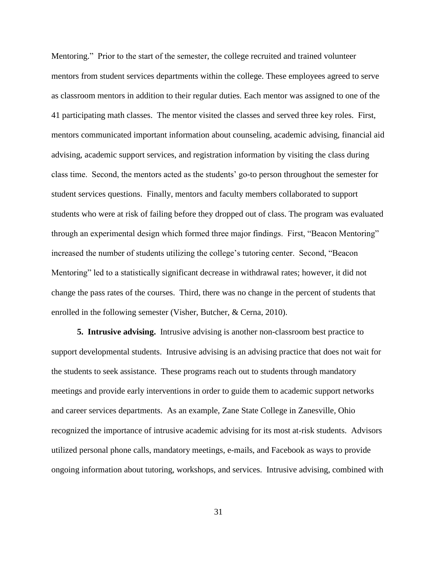Mentoring." Prior to the start of the semester, the college recruited and trained volunteer mentors from student services departments within the college. These employees agreed to serve as classroom mentors in addition to their regular duties. Each mentor was assigned to one of the 41 participating math classes. The mentor visited the classes and served three key roles. First, mentors communicated important information about counseling, academic advising, financial aid advising, academic support services, and registration information by visiting the class during class time. Second, the mentors acted as the students' go-to person throughout the semester for student services questions. Finally, mentors and faculty members collaborated to support students who were at risk of failing before they dropped out of class. The program was evaluated through an experimental design which formed three major findings. First, "Beacon Mentoring" increased the number of students utilizing the college's tutoring center. Second, "Beacon Mentoring" led to a statistically significant decrease in withdrawal rates; however, it did not change the pass rates of the courses. Third, there was no change in the percent of students that enrolled in the following semester (Visher, Butcher, & Cerna, 2010).

**5. Intrusive advising.** Intrusive advising is another non-classroom best practice to support developmental students. Intrusive advising is an advising practice that does not wait for the students to seek assistance. These programs reach out to students through mandatory meetings and provide early interventions in order to guide them to academic support networks and career services departments. As an example, Zane State College in Zanesville, Ohio recognized the importance of intrusive academic advising for its most at-risk students. Advisors utilized personal phone calls, mandatory meetings, e-mails, and Facebook as ways to provide ongoing information about tutoring, workshops, and services. Intrusive advising, combined with

31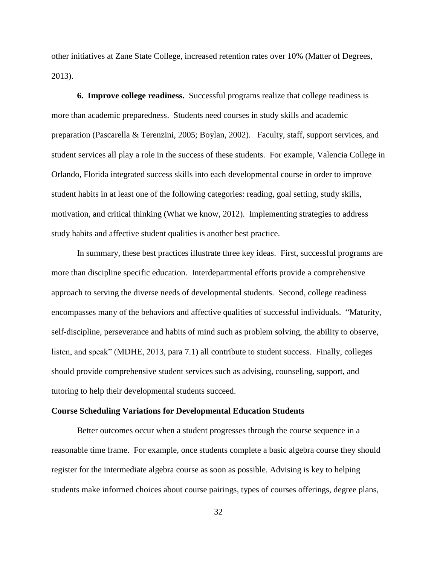other initiatives at Zane State College, increased retention rates over 10% (Matter of Degrees, 2013).

**6. Improve college readiness.** Successful programs realize that college readiness is more than academic preparedness. Students need courses in study skills and academic preparation (Pascarella & Terenzini, 2005; Boylan, 2002). Faculty, staff, support services, and student services all play a role in the success of these students. For example, Valencia College in Orlando, Florida integrated success skills into each developmental course in order to improve student habits in at least one of the following categories: reading, goal setting, study skills, motivation, and critical thinking (What we know, 2012). Implementing strategies to address study habits and affective student qualities is another best practice.

In summary, these best practices illustrate three key ideas. First, successful programs are more than discipline specific education. Interdepartmental efforts provide a comprehensive approach to serving the diverse needs of developmental students. Second, college readiness encompasses many of the behaviors and affective qualities of successful individuals. "Maturity, self-discipline, perseverance and habits of mind such as problem solving, the ability to observe, listen, and speak" (MDHE, 2013, para 7.1) all contribute to student success. Finally, colleges should provide comprehensive student services such as advising, counseling, support, and tutoring to help their developmental students succeed.

### **Course Scheduling Variations for Developmental Education Students**

Better outcomes occur when a student progresses through the course sequence in a reasonable time frame. For example, once students complete a basic algebra course they should register for the intermediate algebra course as soon as possible. Advising is key to helping students make informed choices about course pairings, types of courses offerings, degree plans,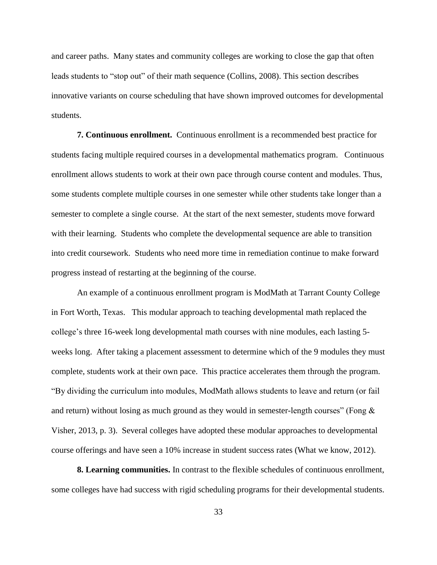and career paths. Many states and community colleges are working to close the gap that often leads students to "stop out" of their math sequence (Collins, 2008). This section describes innovative variants on course scheduling that have shown improved outcomes for developmental students.

**7. Continuous enrollment.** Continuous enrollment is a recommended best practice for students facing multiple required courses in a developmental mathematics program. Continuous enrollment allows students to work at their own pace through course content and modules. Thus, some students complete multiple courses in one semester while other students take longer than a semester to complete a single course. At the start of the next semester, students move forward with their learning. Students who complete the developmental sequence are able to transition into credit coursework. Students who need more time in remediation continue to make forward progress instead of restarting at the beginning of the course.

An example of a continuous enrollment program is ModMath at Tarrant County College in Fort Worth, Texas. This modular approach to teaching developmental math replaced the college's three 16-week long developmental math courses with nine modules, each lasting 5 weeks long. After taking a placement assessment to determine which of the 9 modules they must complete, students work at their own pace. This practice accelerates them through the program. "By dividing the curriculum into modules, ModMath allows students to leave and return (or fail and return) without losing as much ground as they would in semester-length courses" (Fong  $\&$ Visher, 2013, p. 3). Several colleges have adopted these modular approaches to developmental course offerings and have seen a 10% increase in student success rates (What we know, 2012).

**8. Learning communities.** In contrast to the flexible schedules of continuous enrollment, some colleges have had success with rigid scheduling programs for their developmental students.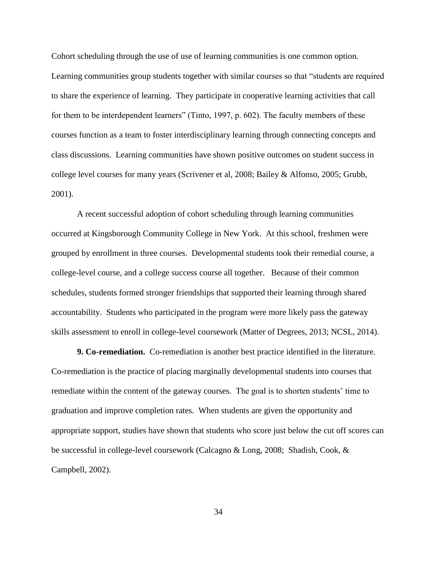Cohort scheduling through the use of use of learning communities is one common option. Learning communities group students together with similar courses so that "students are required to share the experience of learning. They participate in cooperative learning activities that call for them to be interdependent learners" (Tinto, 1997, p. 602). The faculty members of these courses function as a team to foster interdisciplinary learning through connecting concepts and class discussions. Learning communities have shown positive outcomes on student success in college level courses for many years (Scrivener et al, 2008; Bailey & Alfonso, 2005; Grubb, 2001).

A recent successful adoption of cohort scheduling through learning communities occurred at Kingsborough Community College in New York. At this school, freshmen were grouped by enrollment in three courses. Developmental students took their remedial course, a college-level course, and a college success course all together. Because of their common schedules, students formed stronger friendships that supported their learning through shared accountability. Students who participated in the program were more likely pass the gateway skills assessment to enroll in college-level coursework (Matter of Degrees, 2013; NCSL, 2014).

**9. Co-remediation.** Co-remediation is another best practice identified in the literature. Co-remediation is the practice of placing marginally developmental students into courses that remediate within the content of the gateway courses. The goal is to shorten students' time to graduation and improve completion rates. When students are given the opportunity and appropriate support, studies have shown that students who score just below the cut off scores can be successful in college-level coursework (Calcagno & Long, 2008; Shadish, Cook, & Campbell, 2002).

34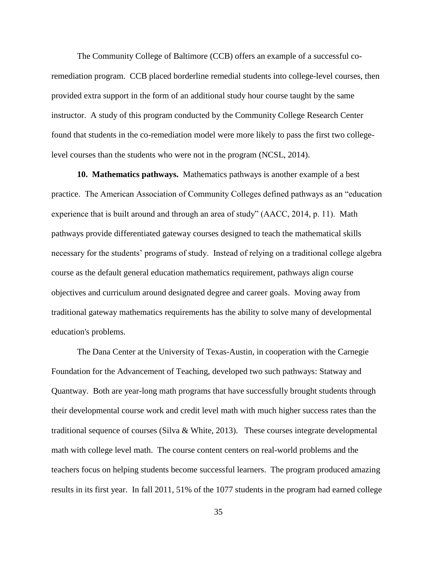The Community College of Baltimore (CCB) offers an example of a successful coremediation program. CCB placed borderline remedial students into college-level courses, then provided extra support in the form of an additional study hour course taught by the same instructor. A study of this program conducted by the Community College Research Center found that students in the co-remediation model were more likely to pass the first two collegelevel courses than the students who were not in the program (NCSL, 2014).

**10. Mathematics pathways.** Mathematics pathways is another example of a best practice. The American Association of Community Colleges defined pathways as an "education experience that is built around and through an area of study" (AACC, 2014, p. 11). Math pathways provide differentiated gateway courses designed to teach the mathematical skills necessary for the students' programs of study. Instead of relying on a traditional college algebra course as the default general education mathematics requirement, pathways align course objectives and curriculum around designated degree and career goals. Moving away from traditional gateway mathematics requirements has the ability to solve many of developmental education's problems.

The Dana Center at the University of Texas-Austin, in cooperation with the Carnegie Foundation for the Advancement of Teaching, developed two such pathways: Statway and Quantway. Both are year-long math programs that have successfully brought students through their developmental course work and credit level math with much higher success rates than the traditional sequence of courses (Silva & White, 2013). These courses integrate developmental math with college level math. The course content centers on real-world problems and the teachers focus on helping students become successful learners. The program produced amazing results in its first year. In fall 2011, 51% of the 1077 students in the program had earned college

35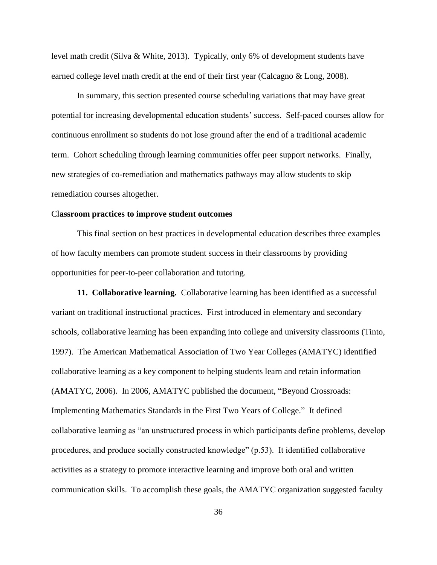level math credit (Silva & White, 2013). Typically, only 6% of development students have earned college level math credit at the end of their first year (Calcagno & Long, 2008).

In summary, this section presented course scheduling variations that may have great potential for increasing developmental education students' success. Self-paced courses allow for continuous enrollment so students do not lose ground after the end of a traditional academic term. Cohort scheduling through learning communities offer peer support networks. Finally, new strategies of co-remediation and mathematics pathways may allow students to skip remediation courses altogether.

### Cl**assroom practices to improve student outcomes**

This final section on best practices in developmental education describes three examples of how faculty members can promote student success in their classrooms by providing opportunities for peer-to-peer collaboration and tutoring.

**11. Collaborative learning.** Collaborative learning has been identified as a successful variant on traditional instructional practices. First introduced in elementary and secondary schools, collaborative learning has been expanding into college and university classrooms (Tinto, 1997). The American Mathematical Association of Two Year Colleges (AMATYC) identified collaborative learning as a key component to helping students learn and retain information (AMATYC, 2006). In 2006, AMATYC published the document, "Beyond Crossroads: Implementing Mathematics Standards in the First Two Years of College." It defined collaborative learning as "an unstructured process in which participants define problems, develop procedures, and produce socially constructed knowledge" (p.53). It identified collaborative activities as a strategy to promote interactive learning and improve both oral and written communication skills. To accomplish these goals, the AMATYC organization suggested faculty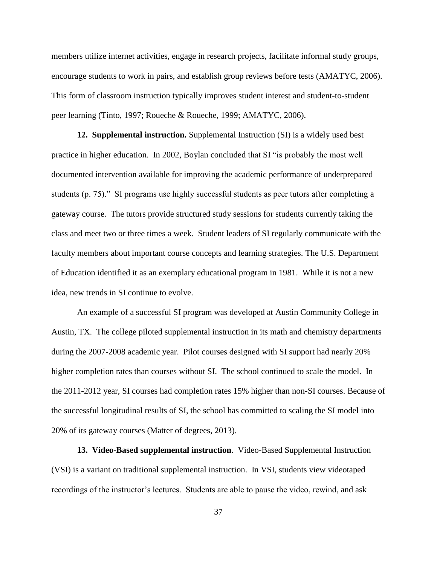members utilize internet activities, engage in research projects, facilitate informal study groups, encourage students to work in pairs, and establish group reviews before tests (AMATYC, 2006). This form of classroom instruction typically improves student interest and student-to-student peer learning (Tinto, 1997; Roueche & Roueche, 1999; AMATYC, 2006).

**12. Supplemental instruction.** Supplemental Instruction (SI) is a widely used best practice in higher education. In 2002, Boylan concluded that SI "is probably the most well documented intervention available for improving the academic performance of underprepared students (p. 75)." SI programs use highly successful students as peer tutors after completing a gateway course. The tutors provide structured study sessions for students currently taking the class and meet two or three times a week. Student leaders of SI regularly communicate with the faculty members about important course concepts and learning strategies. The U.S. Department of Education identified it as an exemplary educational program in 1981. While it is not a new idea, new trends in SI continue to evolve.

An example of a successful SI program was developed at Austin Community College in Austin, TX. The college piloted supplemental instruction in its math and chemistry departments during the 2007-2008 academic year. Pilot courses designed with SI support had nearly 20% higher completion rates than courses without SI. The school continued to scale the model. In the 2011-2012 year, SI courses had completion rates 15% higher than non-SI courses. Because of the successful longitudinal results of SI, the school has committed to scaling the SI model into 20% of its gateway courses (Matter of degrees, 2013).

**13. Video-Based supplemental instruction**. Video-Based Supplemental Instruction (VSI) is a variant on traditional supplemental instruction. In VSI, students view videotaped recordings of the instructor's lectures. Students are able to pause the video, rewind, and ask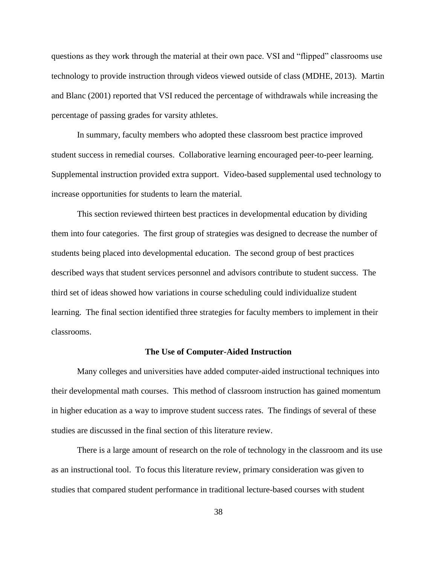questions as they work through the material at their own pace. VSI and "flipped" classrooms use technology to provide instruction through videos viewed outside of class (MDHE, 2013). Martin and Blanc (2001) reported that VSI reduced the percentage of withdrawals while increasing the percentage of passing grades for varsity athletes.

In summary, faculty members who adopted these classroom best practice improved student success in remedial courses. Collaborative learning encouraged peer-to-peer learning. Supplemental instruction provided extra support. Video-based supplemental used technology to increase opportunities for students to learn the material.

This section reviewed thirteen best practices in developmental education by dividing them into four categories. The first group of strategies was designed to decrease the number of students being placed into developmental education. The second group of best practices described ways that student services personnel and advisors contribute to student success. The third set of ideas showed how variations in course scheduling could individualize student learning. The final section identified three strategies for faculty members to implement in their classrooms.

# **The Use of Computer-Aided Instruction**

Many colleges and universities have added computer-aided instructional techniques into their developmental math courses. This method of classroom instruction has gained momentum in higher education as a way to improve student success rates. The findings of several of these studies are discussed in the final section of this literature review.

There is a large amount of research on the role of technology in the classroom and its use as an instructional tool. To focus this literature review, primary consideration was given to studies that compared student performance in traditional lecture-based courses with student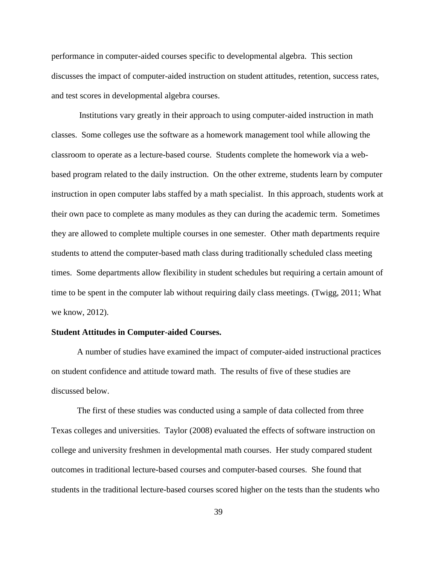performance in computer-aided courses specific to developmental algebra. This section discusses the impact of computer-aided instruction on student attitudes, retention, success rates, and test scores in developmental algebra courses.

Institutions vary greatly in their approach to using computer-aided instruction in math classes. Some colleges use the software as a homework management tool while allowing the classroom to operate as a lecture-based course. Students complete the homework via a webbased program related to the daily instruction. On the other extreme, students learn by computer instruction in open computer labs staffed by a math specialist. In this approach, students work at their own pace to complete as many modules as they can during the academic term. Sometimes they are allowed to complete multiple courses in one semester. Other math departments require students to attend the computer-based math class during traditionally scheduled class meeting times. Some departments allow flexibility in student schedules but requiring a certain amount of time to be spent in the computer lab without requiring daily class meetings. (Twigg, 2011; What we know, 2012).

### **Student Attitudes in Computer-aided Courses.**

A number of studies have examined the impact of computer-aided instructional practices on student confidence and attitude toward math. The results of five of these studies are discussed below.

The first of these studies was conducted using a sample of data collected from three Texas colleges and universities. Taylor (2008) evaluated the effects of software instruction on college and university freshmen in developmental math courses. Her study compared student outcomes in traditional lecture-based courses and computer-based courses. She found that students in the traditional lecture-based courses scored higher on the tests than the students who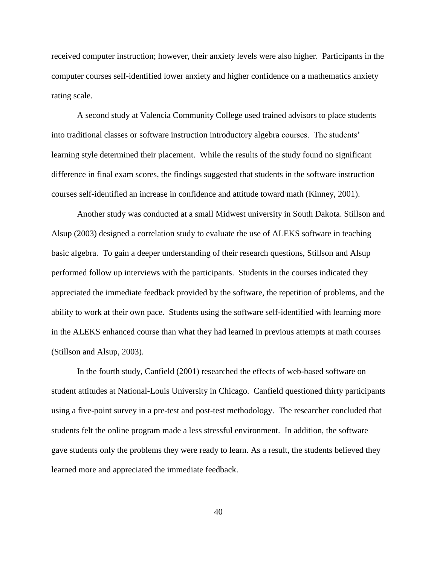received computer instruction; however, their anxiety levels were also higher. Participants in the computer courses self-identified lower anxiety and higher confidence on a mathematics anxiety rating scale.

A second study at Valencia Community College used trained advisors to place students into traditional classes or software instruction introductory algebra courses. The students' learning style determined their placement. While the results of the study found no significant difference in final exam scores, the findings suggested that students in the software instruction courses self-identified an increase in confidence and attitude toward math (Kinney, 2001).

Another study was conducted at a small Midwest university in South Dakota. Stillson and Alsup (2003) designed a correlation study to evaluate the use of ALEKS software in teaching basic algebra. To gain a deeper understanding of their research questions, Stillson and Alsup performed follow up interviews with the participants. Students in the courses indicated they appreciated the immediate feedback provided by the software, the repetition of problems, and the ability to work at their own pace. Students using the software self-identified with learning more in the ALEKS enhanced course than what they had learned in previous attempts at math courses (Stillson and Alsup, 2003).

In the fourth study, Canfield (2001) researched the effects of web-based software on student attitudes at National-Louis University in Chicago. Canfield questioned thirty participants using a five-point survey in a pre-test and post-test methodology. The researcher concluded that students felt the online program made a less stressful environment. In addition, the software gave students only the problems they were ready to learn. As a result, the students believed they learned more and appreciated the immediate feedback.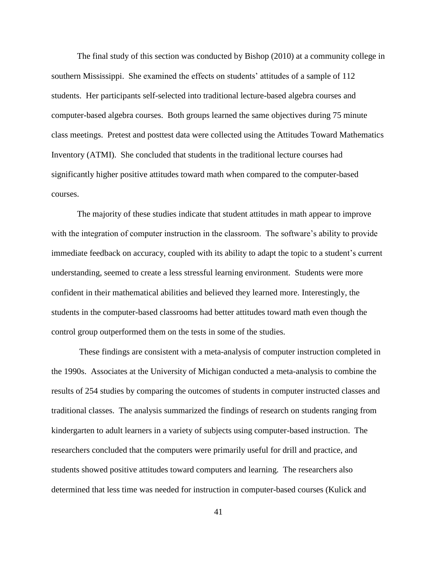The final study of this section was conducted by Bishop (2010) at a community college in southern Mississippi. She examined the effects on students' attitudes of a sample of 112 students. Her participants self-selected into traditional lecture-based algebra courses and computer-based algebra courses. Both groups learned the same objectives during 75 minute class meetings. Pretest and posttest data were collected using the Attitudes Toward Mathematics Inventory (ATMI). She concluded that students in the traditional lecture courses had significantly higher positive attitudes toward math when compared to the computer-based courses.

The majority of these studies indicate that student attitudes in math appear to improve with the integration of computer instruction in the classroom. The software's ability to provide immediate feedback on accuracy, coupled with its ability to adapt the topic to a student's current understanding, seemed to create a less stressful learning environment. Students were more confident in their mathematical abilities and believed they learned more. Interestingly, the students in the computer-based classrooms had better attitudes toward math even though the control group outperformed them on the tests in some of the studies.

These findings are consistent with a meta-analysis of computer instruction completed in the 1990s. Associates at the University of Michigan conducted a meta-analysis to combine the results of 254 studies by comparing the outcomes of students in computer instructed classes and traditional classes. The analysis summarized the findings of research on students ranging from kindergarten to adult learners in a variety of subjects using computer-based instruction. The researchers concluded that the computers were primarily useful for drill and practice, and students showed positive attitudes toward computers and learning. The researchers also determined that less time was needed for instruction in computer-based courses (Kulick and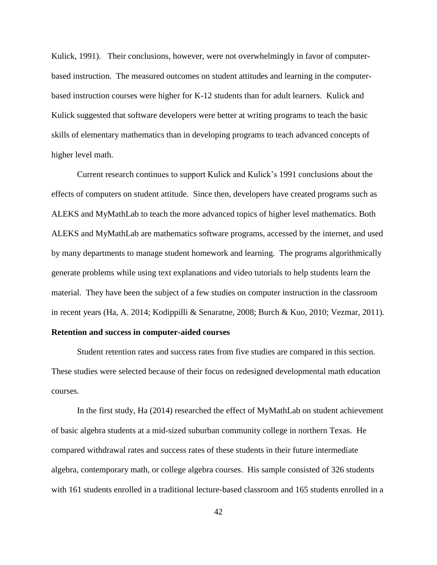Kulick, 1991). Their conclusions, however, were not overwhelmingly in favor of computerbased instruction. The measured outcomes on student attitudes and learning in the computerbased instruction courses were higher for K-12 students than for adult learners. Kulick and Kulick suggested that software developers were better at writing programs to teach the basic skills of elementary mathematics than in developing programs to teach advanced concepts of higher level math.

Current research continues to support Kulick and Kulick's 1991 conclusions about the effects of computers on student attitude. Since then, developers have created programs such as ALEKS and MyMathLab to teach the more advanced topics of higher level mathematics. Both ALEKS and MyMathLab are mathematics software programs, accessed by the internet, and used by many departments to manage student homework and learning. The programs algorithmically generate problems while using text explanations and video tutorials to help students learn the material. They have been the subject of a few studies on computer instruction in the classroom in recent years (Ha, A. 2014; Kodippilli & Senaratne, 2008; Burch & Kuo, 2010; Vezmar, 2011).

# **Retention and success in computer-aided courses**

Student retention rates and success rates from five studies are compared in this section. These studies were selected because of their focus on redesigned developmental math education courses.

In the first study, Ha (2014) researched the effect of MyMathLab on student achievement of basic algebra students at a mid-sized suburban community college in northern Texas. He compared withdrawal rates and success rates of these students in their future intermediate algebra, contemporary math, or college algebra courses. His sample consisted of 326 students with 161 students enrolled in a traditional lecture-based classroom and 165 students enrolled in a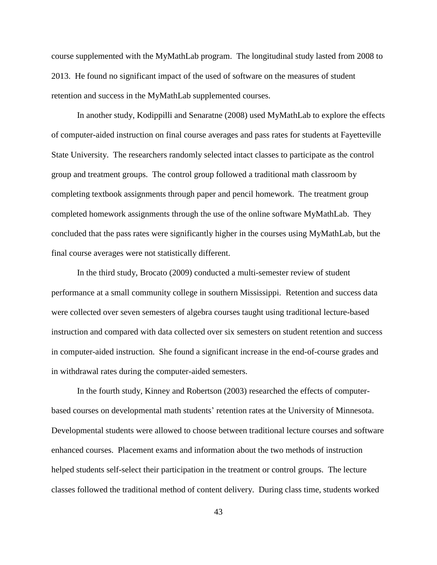course supplemented with the MyMathLab program. The longitudinal study lasted from 2008 to 2013. He found no significant impact of the used of software on the measures of student retention and success in the MyMathLab supplemented courses.

In another study, Kodippilli and Senaratne (2008) used MyMathLab to explore the effects of computer-aided instruction on final course averages and pass rates for students at Fayetteville State University. The researchers randomly selected intact classes to participate as the control group and treatment groups. The control group followed a traditional math classroom by completing textbook assignments through paper and pencil homework. The treatment group completed homework assignments through the use of the online software MyMathLab. They concluded that the pass rates were significantly higher in the courses using MyMathLab, but the final course averages were not statistically different.

In the third study, Brocato (2009) conducted a multi-semester review of student performance at a small community college in southern Mississippi. Retention and success data were collected over seven semesters of algebra courses taught using traditional lecture-based instruction and compared with data collected over six semesters on student retention and success in computer-aided instruction. She found a significant increase in the end-of-course grades and in withdrawal rates during the computer-aided semesters.

In the fourth study, Kinney and Robertson (2003) researched the effects of computerbased courses on developmental math students' retention rates at the University of Minnesota. Developmental students were allowed to choose between traditional lecture courses and software enhanced courses. Placement exams and information about the two methods of instruction helped students self-select their participation in the treatment or control groups. The lecture classes followed the traditional method of content delivery. During class time, students worked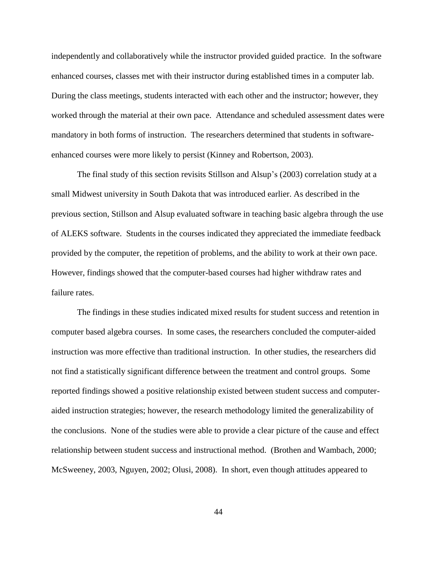independently and collaboratively while the instructor provided guided practice. In the software enhanced courses, classes met with their instructor during established times in a computer lab. During the class meetings, students interacted with each other and the instructor; however, they worked through the material at their own pace. Attendance and scheduled assessment dates were mandatory in both forms of instruction. The researchers determined that students in softwareenhanced courses were more likely to persist (Kinney and Robertson, 2003).

The final study of this section revisits Stillson and Alsup's (2003) correlation study at a small Midwest university in South Dakota that was introduced earlier. As described in the previous section, Stillson and Alsup evaluated software in teaching basic algebra through the use of ALEKS software. Students in the courses indicated they appreciated the immediate feedback provided by the computer, the repetition of problems, and the ability to work at their own pace. However, findings showed that the computer-based courses had higher withdraw rates and failure rates.

The findings in these studies indicated mixed results for student success and retention in computer based algebra courses. In some cases, the researchers concluded the computer-aided instruction was more effective than traditional instruction. In other studies, the researchers did not find a statistically significant difference between the treatment and control groups. Some reported findings showed a positive relationship existed between student success and computeraided instruction strategies; however, the research methodology limited the generalizability of the conclusions. None of the studies were able to provide a clear picture of the cause and effect relationship between student success and instructional method. (Brothen and Wambach, 2000; McSweeney, 2003, Nguyen, 2002; Olusi, 2008). In short, even though attitudes appeared to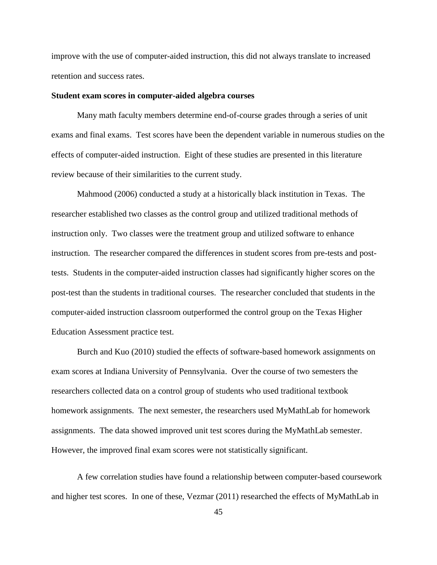improve with the use of computer-aided instruction, this did not always translate to increased retention and success rates.

### **Student exam scores in computer-aided algebra courses**

Many math faculty members determine end-of-course grades through a series of unit exams and final exams. Test scores have been the dependent variable in numerous studies on the effects of computer-aided instruction. Eight of these studies are presented in this literature review because of their similarities to the current study.

Mahmood (2006) conducted a study at a historically black institution in Texas. The researcher established two classes as the control group and utilized traditional methods of instruction only. Two classes were the treatment group and utilized software to enhance instruction. The researcher compared the differences in student scores from pre-tests and posttests. Students in the computer-aided instruction classes had significantly higher scores on the post-test than the students in traditional courses. The researcher concluded that students in the computer-aided instruction classroom outperformed the control group on the Texas Higher Education Assessment practice test.

Burch and Kuo (2010) studied the effects of software-based homework assignments on exam scores at Indiana University of Pennsylvania. Over the course of two semesters the researchers collected data on a control group of students who used traditional textbook homework assignments. The next semester, the researchers used MyMathLab for homework assignments. The data showed improved unit test scores during the MyMathLab semester. However, the improved final exam scores were not statistically significant.

A few correlation studies have found a relationship between computer-based coursework and higher test scores. In one of these, Vezmar (2011) researched the effects of MyMathLab in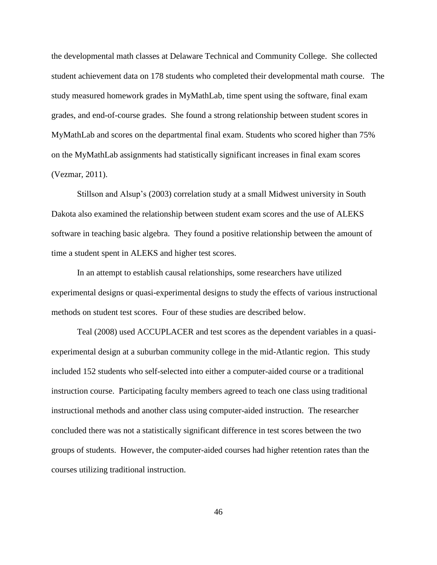the developmental math classes at Delaware Technical and Community College. She collected student achievement data on 178 students who completed their developmental math course. The study measured homework grades in MyMathLab, time spent using the software, final exam grades, and end-of-course grades. She found a strong relationship between student scores in MyMathLab and scores on the departmental final exam. Students who scored higher than 75% on the MyMathLab assignments had statistically significant increases in final exam scores (Vezmar, 2011).

Stillson and Alsup's (2003) correlation study at a small Midwest university in South Dakota also examined the relationship between student exam scores and the use of ALEKS software in teaching basic algebra. They found a positive relationship between the amount of time a student spent in ALEKS and higher test scores.

In an attempt to establish causal relationships, some researchers have utilized experimental designs or quasi-experimental designs to study the effects of various instructional methods on student test scores. Four of these studies are described below.

Teal (2008) used ACCUPLACER and test scores as the dependent variables in a quasiexperimental design at a suburban community college in the mid-Atlantic region. This study included 152 students who self-selected into either a computer-aided course or a traditional instruction course. Participating faculty members agreed to teach one class using traditional instructional methods and another class using computer-aided instruction. The researcher concluded there was not a statistically significant difference in test scores between the two groups of students. However, the computer-aided courses had higher retention rates than the courses utilizing traditional instruction.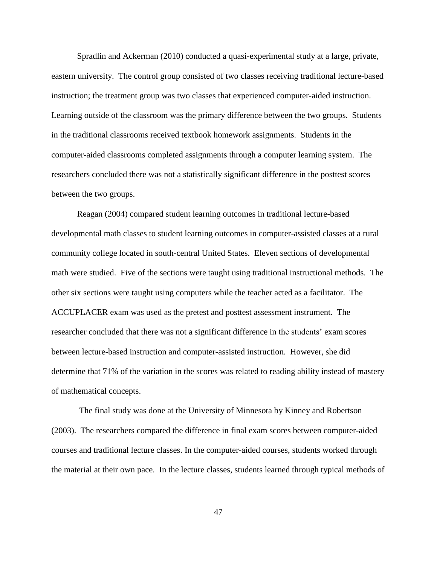Spradlin and Ackerman (2010) conducted a quasi-experimental study at a large, private, eastern university. The control group consisted of two classes receiving traditional lecture-based instruction; the treatment group was two classes that experienced computer-aided instruction. Learning outside of the classroom was the primary difference between the two groups. Students in the traditional classrooms received textbook homework assignments. Students in the computer-aided classrooms completed assignments through a computer learning system. The researchers concluded there was not a statistically significant difference in the posttest scores between the two groups.

Reagan (2004) compared student learning outcomes in traditional lecture-based developmental math classes to student learning outcomes in computer-assisted classes at a rural community college located in south-central United States. Eleven sections of developmental math were studied. Five of the sections were taught using traditional instructional methods. The other six sections were taught using computers while the teacher acted as a facilitator. The ACCUPLACER exam was used as the pretest and posttest assessment instrument. The researcher concluded that there was not a significant difference in the students' exam scores between lecture-based instruction and computer-assisted instruction. However, she did determine that 71% of the variation in the scores was related to reading ability instead of mastery of mathematical concepts.

The final study was done at the University of Minnesota by Kinney and Robertson (2003). The researchers compared the difference in final exam scores between computer-aided courses and traditional lecture classes. In the computer-aided courses, students worked through the material at their own pace. In the lecture classes, students learned through typical methods of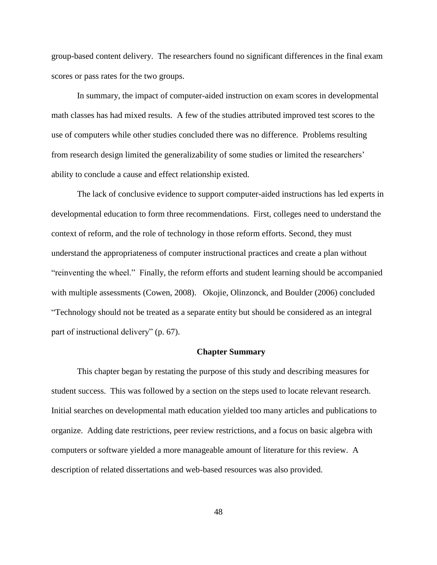group-based content delivery. The researchers found no significant differences in the final exam scores or pass rates for the two groups.

In summary, the impact of computer-aided instruction on exam scores in developmental math classes has had mixed results. A few of the studies attributed improved test scores to the use of computers while other studies concluded there was no difference. Problems resulting from research design limited the generalizability of some studies or limited the researchers' ability to conclude a cause and effect relationship existed.

The lack of conclusive evidence to support computer-aided instructions has led experts in developmental education to form three recommendations. First, colleges need to understand the context of reform, and the role of technology in those reform efforts. Second, they must understand the appropriateness of computer instructional practices and create a plan without "reinventing the wheel." Finally, the reform efforts and student learning should be accompanied with multiple assessments (Cowen, 2008). Okojie, Olinzonck, and Boulder (2006) concluded "Technology should not be treated as a separate entity but should be considered as an integral part of instructional delivery" (p. 67).

#### **Chapter Summary**

This chapter began by restating the purpose of this study and describing measures for student success. This was followed by a section on the steps used to locate relevant research. Initial searches on developmental math education yielded too many articles and publications to organize. Adding date restrictions, peer review restrictions, and a focus on basic algebra with computers or software yielded a more manageable amount of literature for this review. A description of related dissertations and web-based resources was also provided.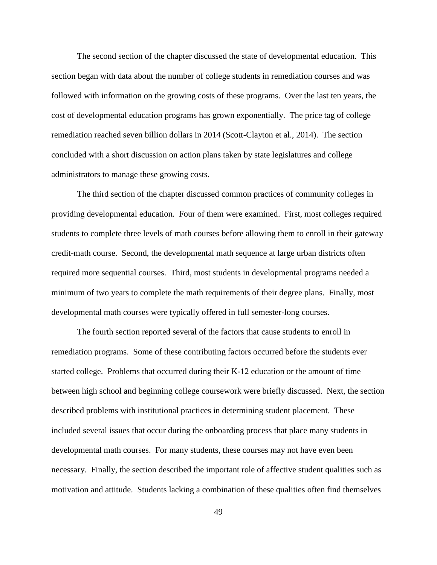The second section of the chapter discussed the state of developmental education. This section began with data about the number of college students in remediation courses and was followed with information on the growing costs of these programs. Over the last ten years, the cost of developmental education programs has grown exponentially. The price tag of college remediation reached seven billion dollars in 2014 (Scott-Clayton et al., 2014). The section concluded with a short discussion on action plans taken by state legislatures and college administrators to manage these growing costs.

The third section of the chapter discussed common practices of community colleges in providing developmental education. Four of them were examined. First, most colleges required students to complete three levels of math courses before allowing them to enroll in their gateway credit-math course. Second, the developmental math sequence at large urban districts often required more sequential courses. Third, most students in developmental programs needed a minimum of two years to complete the math requirements of their degree plans. Finally, most developmental math courses were typically offered in full semester-long courses.

The fourth section reported several of the factors that cause students to enroll in remediation programs. Some of these contributing factors occurred before the students ever started college. Problems that occurred during their K-12 education or the amount of time between high school and beginning college coursework were briefly discussed. Next, the section described problems with institutional practices in determining student placement. These included several issues that occur during the onboarding process that place many students in developmental math courses. For many students, these courses may not have even been necessary. Finally, the section described the important role of affective student qualities such as motivation and attitude. Students lacking a combination of these qualities often find themselves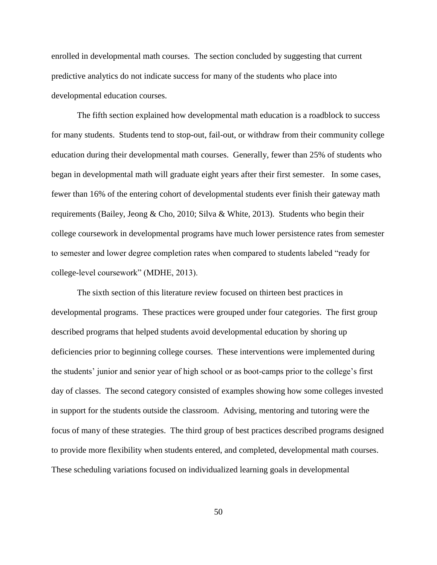enrolled in developmental math courses. The section concluded by suggesting that current predictive analytics do not indicate success for many of the students who place into developmental education courses.

The fifth section explained how developmental math education is a roadblock to success for many students. Students tend to stop-out, fail-out, or withdraw from their community college education during their developmental math courses. Generally, fewer than 25% of students who began in developmental math will graduate eight years after their first semester. In some cases, fewer than 16% of the entering cohort of developmental students ever finish their gateway math requirements (Bailey, Jeong & Cho, 2010; Silva & White, 2013). Students who begin their college coursework in developmental programs have much lower persistence rates from semester to semester and lower degree completion rates when compared to students labeled "ready for college-level coursework" (MDHE, 2013).

The sixth section of this literature review focused on thirteen best practices in developmental programs. These practices were grouped under four categories. The first group described programs that helped students avoid developmental education by shoring up deficiencies prior to beginning college courses. These interventions were implemented during the students' junior and senior year of high school or as boot-camps prior to the college's first day of classes. The second category consisted of examples showing how some colleges invested in support for the students outside the classroom. Advising, mentoring and tutoring were the focus of many of these strategies. The third group of best practices described programs designed to provide more flexibility when students entered, and completed, developmental math courses. These scheduling variations focused on individualized learning goals in developmental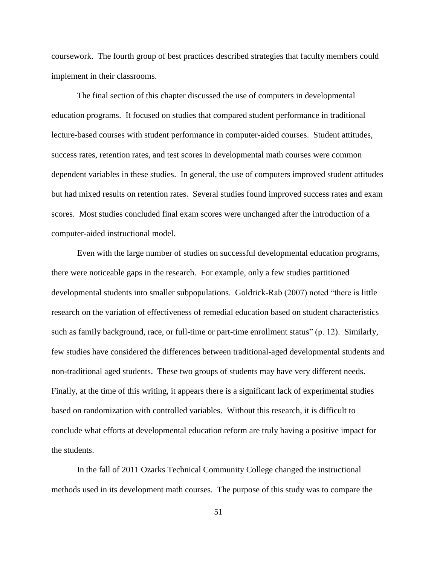coursework. The fourth group of best practices described strategies that faculty members could implement in their classrooms.

The final section of this chapter discussed the use of computers in developmental education programs. It focused on studies that compared student performance in traditional lecture-based courses with student performance in computer-aided courses. Student attitudes, success rates, retention rates, and test scores in developmental math courses were common dependent variables in these studies. In general, the use of computers improved student attitudes but had mixed results on retention rates. Several studies found improved success rates and exam scores. Most studies concluded final exam scores were unchanged after the introduction of a computer-aided instructional model.

Even with the large number of studies on successful developmental education programs, there were noticeable gaps in the research. For example, only a few studies partitioned developmental students into smaller subpopulations. Goldrick-Rab (2007) noted "there is little research on the variation of effectiveness of remedial education based on student characteristics such as family background, race, or full-time or part-time enrollment status" (p. 12). Similarly, few studies have considered the differences between traditional-aged developmental students and non-traditional aged students. These two groups of students may have very different needs. Finally, at the time of this writing, it appears there is a significant lack of experimental studies based on randomization with controlled variables. Without this research, it is difficult to conclude what efforts at developmental education reform are truly having a positive impact for the students.

In the fall of 2011 Ozarks Technical Community College changed the instructional methods used in its development math courses. The purpose of this study was to compare the

51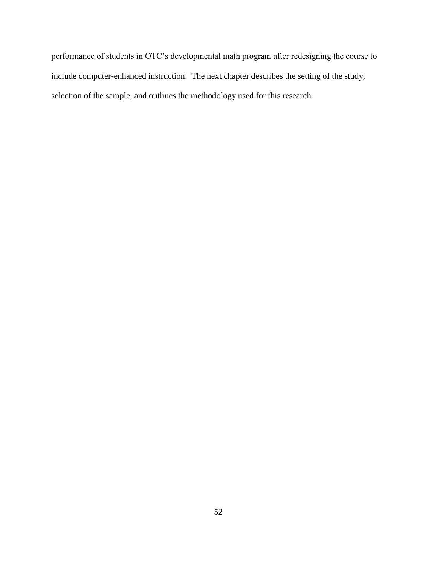performance of students in OTC's developmental math program after redesigning the course to include computer-enhanced instruction. The next chapter describes the setting of the study, selection of the sample, and outlines the methodology used for this research.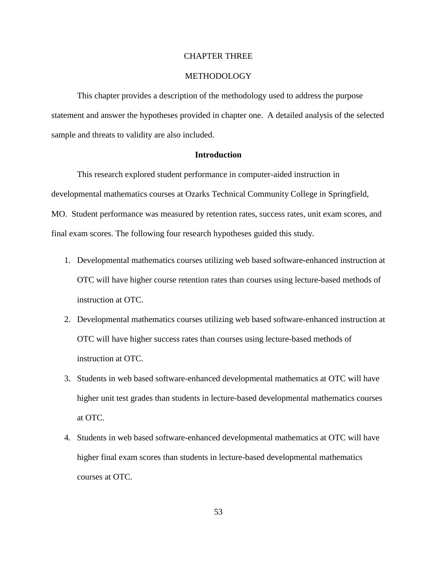# CHAPTER THREE

# METHODOLOGY

This chapter provides a description of the methodology used to address the purpose statement and answer the hypotheses provided in chapter one. A detailed analysis of the selected sample and threats to validity are also included.

### **Introduction**

This research explored student performance in computer-aided instruction in developmental mathematics courses at Ozarks Technical Community College in Springfield, MO. Student performance was measured by retention rates, success rates, unit exam scores, and final exam scores. The following four research hypotheses guided this study.

- 1. Developmental mathematics courses utilizing web based software-enhanced instruction at OTC will have higher course retention rates than courses using lecture-based methods of instruction at OTC.
- 2. Developmental mathematics courses utilizing web based software-enhanced instruction at OTC will have higher success rates than courses using lecture-based methods of instruction at OTC.
- 3. Students in web based software-enhanced developmental mathematics at OTC will have higher unit test grades than students in lecture-based developmental mathematics courses at OTC.
- 4. Students in web based software-enhanced developmental mathematics at OTC will have higher final exam scores than students in lecture-based developmental mathematics courses at OTC.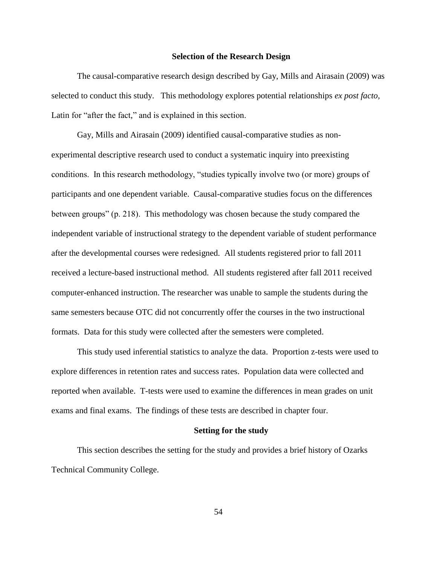# **Selection of the Research Design**

The causal-comparative research design described by Gay, Mills and Airasain (2009) was selected to conduct this study. This methodology explores potential relationships *ex post facto,*  Latin for "after the fact," and is explained in this section.

Gay, Mills and Airasain (2009) identified causal-comparative studies as nonexperimental descriptive research used to conduct a systematic inquiry into preexisting conditions. In this research methodology, "studies typically involve two (or more) groups of participants and one dependent variable. Causal-comparative studies focus on the differences between groups" (p. 218). This methodology was chosen because the study compared the independent variable of instructional strategy to the dependent variable of student performance after the developmental courses were redesigned. All students registered prior to fall 2011 received a lecture-based instructional method. All students registered after fall 2011 received computer-enhanced instruction. The researcher was unable to sample the students during the same semesters because OTC did not concurrently offer the courses in the two instructional formats. Data for this study were collected after the semesters were completed.

This study used inferential statistics to analyze the data. Proportion z-tests were used to explore differences in retention rates and success rates. Population data were collected and reported when available. T-tests were used to examine the differences in mean grades on unit exams and final exams. The findings of these tests are described in chapter four.

#### **Setting for the study**

This section describes the setting for the study and provides a brief history of Ozarks Technical Community College.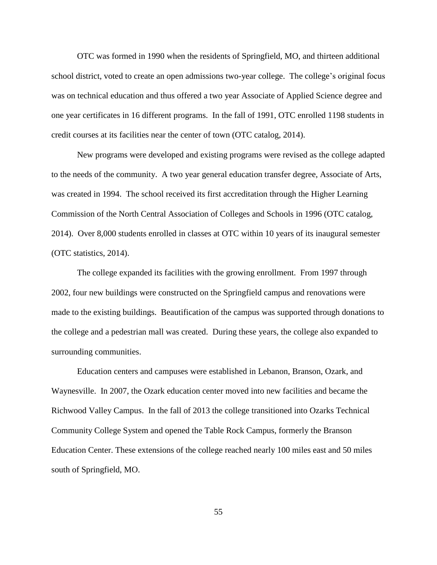OTC was formed in 1990 when the residents of Springfield, MO, and thirteen additional school district, voted to create an open admissions two-year college. The college's original focus was on technical education and thus offered a two year Associate of Applied Science degree and one year certificates in 16 different programs. In the fall of 1991, OTC enrolled 1198 students in credit courses at its facilities near the center of town (OTC catalog, 2014).

New programs were developed and existing programs were revised as the college adapted to the needs of the community. A two year general education transfer degree, Associate of Arts, was created in 1994. The school received its first accreditation through the Higher Learning Commission of the North Central Association of Colleges and Schools in 1996 (OTC catalog, 2014). Over 8,000 students enrolled in classes at OTC within 10 years of its inaugural semester (OTC statistics, 2014).

The college expanded its facilities with the growing enrollment. From 1997 through 2002, four new buildings were constructed on the Springfield campus and renovations were made to the existing buildings. Beautification of the campus was supported through donations to the college and a pedestrian mall was created. During these years, the college also expanded to surrounding communities.

Education centers and campuses were established in Lebanon, Branson, Ozark, and Waynesville. In 2007, the Ozark education center moved into new facilities and became the Richwood Valley Campus. In the fall of 2013 the college transitioned into Ozarks Technical Community College System and opened the Table Rock Campus, formerly the Branson Education Center. These extensions of the college reached nearly 100 miles east and 50 miles south of Springfield, MO.

55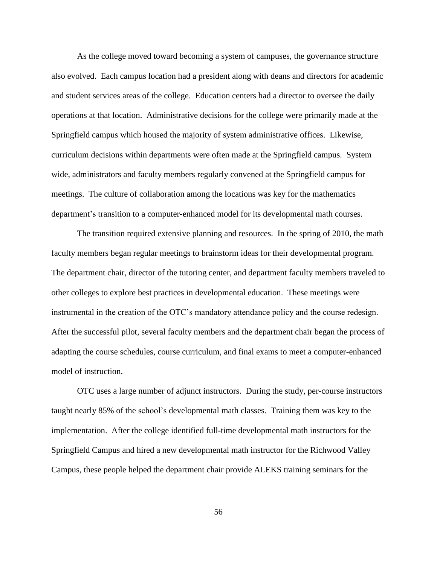As the college moved toward becoming a system of campuses, the governance structure also evolved. Each campus location had a president along with deans and directors for academic and student services areas of the college. Education centers had a director to oversee the daily operations at that location. Administrative decisions for the college were primarily made at the Springfield campus which housed the majority of system administrative offices. Likewise, curriculum decisions within departments were often made at the Springfield campus. System wide, administrators and faculty members regularly convened at the Springfield campus for meetings. The culture of collaboration among the locations was key for the mathematics department's transition to a computer-enhanced model for its developmental math courses.

The transition required extensive planning and resources. In the spring of 2010, the math faculty members began regular meetings to brainstorm ideas for their developmental program. The department chair, director of the tutoring center, and department faculty members traveled to other colleges to explore best practices in developmental education. These meetings were instrumental in the creation of the OTC's mandatory attendance policy and the course redesign. After the successful pilot, several faculty members and the department chair began the process of adapting the course schedules, course curriculum, and final exams to meet a computer-enhanced model of instruction.

OTC uses a large number of adjunct instructors. During the study, per-course instructors taught nearly 85% of the school's developmental math classes. Training them was key to the implementation. After the college identified full-time developmental math instructors for the Springfield Campus and hired a new developmental math instructor for the Richwood Valley Campus, these people helped the department chair provide ALEKS training seminars for the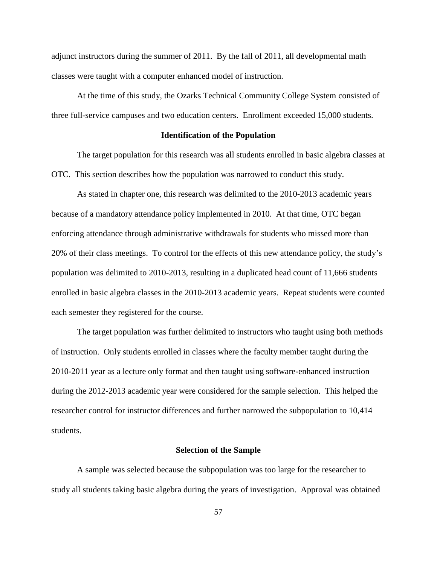adjunct instructors during the summer of 2011. By the fall of 2011, all developmental math classes were taught with a computer enhanced model of instruction.

At the time of this study, the Ozarks Technical Community College System consisted of three full-service campuses and two education centers. Enrollment exceeded 15,000 students.

## **Identification of the Population**

The target population for this research was all students enrolled in basic algebra classes at OTC. This section describes how the population was narrowed to conduct this study.

As stated in chapter one, this research was delimited to the 2010-2013 academic years because of a mandatory attendance policy implemented in 2010. At that time, OTC began enforcing attendance through administrative withdrawals for students who missed more than 20% of their class meetings. To control for the effects of this new attendance policy, the study's population was delimited to 2010-2013, resulting in a duplicated head count of 11,666 students enrolled in basic algebra classes in the 2010-2013 academic years. Repeat students were counted each semester they registered for the course.

The target population was further delimited to instructors who taught using both methods of instruction. Only students enrolled in classes where the faculty member taught during the 2010-2011 year as a lecture only format and then taught using software-enhanced instruction during the 2012-2013 academic year were considered for the sample selection. This helped the researcher control for instructor differences and further narrowed the subpopulation to 10,414 students.

#### **Selection of the Sample**

A sample was selected because the subpopulation was too large for the researcher to study all students taking basic algebra during the years of investigation. Approval was obtained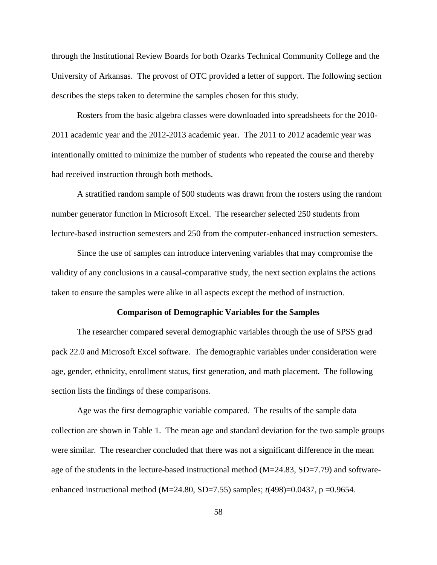through the Institutional Review Boards for both Ozarks Technical Community College and the University of Arkansas. The provost of OTC provided a letter of support. The following section describes the steps taken to determine the samples chosen for this study.

Rosters from the basic algebra classes were downloaded into spreadsheets for the 2010- 2011 academic year and the 2012-2013 academic year. The 2011 to 2012 academic year was intentionally omitted to minimize the number of students who repeated the course and thereby had received instruction through both methods.

A stratified random sample of 500 students was drawn from the rosters using the random number generator function in Microsoft Excel. The researcher selected 250 students from lecture-based instruction semesters and 250 from the computer-enhanced instruction semesters.

Since the use of samples can introduce intervening variables that may compromise the validity of any conclusions in a causal-comparative study, the next section explains the actions taken to ensure the samples were alike in all aspects except the method of instruction.

### **Comparison of Demographic Variables for the Samples**

The researcher compared several demographic variables through the use of SPSS grad pack 22.0 and Microsoft Excel software. The demographic variables under consideration were age, gender, ethnicity, enrollment status, first generation, and math placement. The following section lists the findings of these comparisons.

Age was the first demographic variable compared. The results of the sample data collection are shown in Table 1. The mean age and standard deviation for the two sample groups were similar. The researcher concluded that there was not a significant difference in the mean age of the students in the lecture-based instructional method (M=24.83, SD=7.79) and softwareenhanced instructional method (M=24.80, SD=7.55) samples; *t*(498)=0.0437, p =0.9654.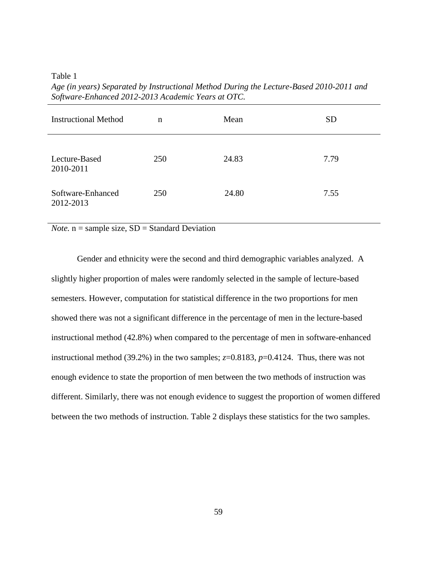Table 1

| <b>Instructional Method</b>    | n   | Mean  | <b>SD</b> |
|--------------------------------|-----|-------|-----------|
| Lecture-Based<br>2010-2011     | 250 | 24.83 | 7.79      |
| Software-Enhanced<br>2012-2013 | 250 | 24.80 | 7.55      |

*Age (in years) Separated by Instructional Method During the Lecture-Based 2010-2011 and Software-Enhanced 2012-2013 Academic Years at OTC.*

*Note.*  $\overline{n}$  = sample size,  $SD$  = Standard Deviation

Gender and ethnicity were the second and third demographic variables analyzed. A slightly higher proportion of males were randomly selected in the sample of lecture-based semesters. However, computation for statistical difference in the two proportions for men showed there was not a significant difference in the percentage of men in the lecture-based instructional method (42.8%) when compared to the percentage of men in software-enhanced instructional method (39.2%) in the two samples;  $z=0.8183$ ,  $p=0.4124$ . Thus, there was not enough evidence to state the proportion of men between the two methods of instruction was different. Similarly, there was not enough evidence to suggest the proportion of women differed between the two methods of instruction. Table 2 displays these statistics for the two samples.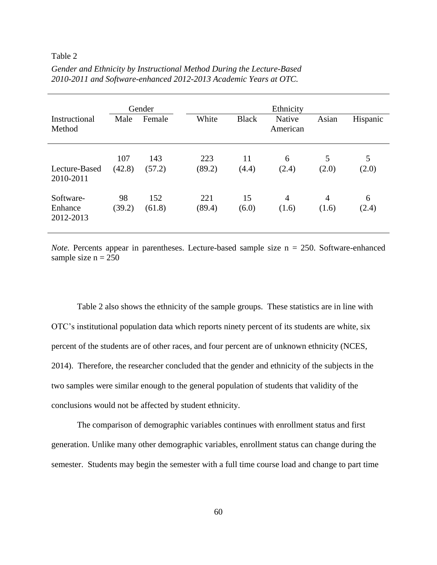# Table 2

| Instructional<br>Method           | Male          | Gender<br>Female | White         | <b>Black</b> | Ethnicity<br>Native<br>American | Asian                   | Hispanic   |
|-----------------------------------|---------------|------------------|---------------|--------------|---------------------------------|-------------------------|------------|
| Lecture-Based<br>2010-2011        | 107<br>(42.8) | 143<br>(57.2)    | 223<br>(89.2) | 11<br>(4.4)  | 6<br>(2.4)                      | 5<br>(2.0)              | 5<br>(2.0) |
| Software-<br>Enhance<br>2012-2013 | 98<br>(39.2)  | 152<br>(61.8)    | 221<br>(89.4) | 15<br>(6.0)  | $\overline{4}$<br>(1.6)         | $\overline{4}$<br>(1.6) | 6<br>(2.4) |

*Gender and Ethnicity by Instructional Method During the Lecture-Based 2010-2011 and Software-enhanced 2012-2013 Academic Years at OTC.*

*Note.* Percents appear in parentheses. Lecture-based sample size  $n = 250$ . Software-enhanced sample size  $n = 250$ 

Table 2 also shows the ethnicity of the sample groups. These statistics are in line with OTC's institutional population data which reports ninety percent of its students are white, six percent of the students are of other races, and four percent are of unknown ethnicity (NCES, 2014). Therefore, the researcher concluded that the gender and ethnicity of the subjects in the two samples were similar enough to the general population of students that validity of the conclusions would not be affected by student ethnicity.

The comparison of demographic variables continues with enrollment status and first generation. Unlike many other demographic variables, enrollment status can change during the semester. Students may begin the semester with a full time course load and change to part time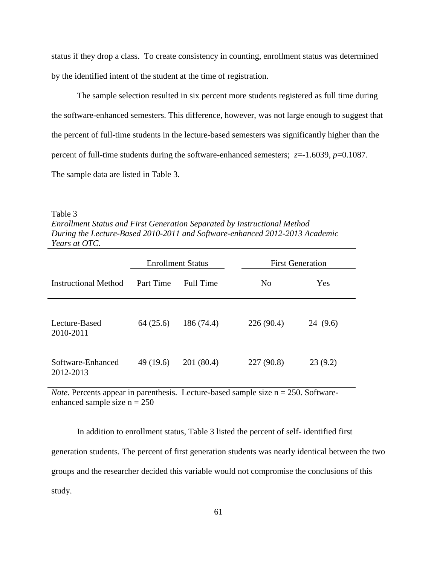status if they drop a class. To create consistency in counting, enrollment status was determined by the identified intent of the student at the time of registration.

The sample selection resulted in six percent more students registered as full time during the software-enhanced semesters. This difference, however, was not large enough to suggest that the percent of full-time students in the lecture-based semesters was significantly higher than the percent of full-time students during the software-enhanced semesters;  $z=1.6039$ ,  $p=0.1087$ . The sample data are listed in Table 3.

#### Table 3

*Enrollment Status and First Generation Separated by Instructional Method During the Lecture-Based 2010-2011 and Software-enhanced 2012-2013 Academic Years at OTC*.

|                                | <b>Enrollment Status</b> |            | <b>First Generation</b> |         |
|--------------------------------|--------------------------|------------|-------------------------|---------|
| Instructional Method           | Part Time                | Full Time  | N <sub>0</sub>          | Yes     |
| Lecture-Based<br>2010-2011     | 64(25.6)                 | 186(74.4)  | 226(90.4)               | 24(9.6) |
| Software-Enhanced<br>2012-2013 | 49 (19.6)                | 201 (80.4) | 227(90.8)               | 23(9.2) |

*Note*. Percents appear in parenthesis. Lecture-based sample size n = 250. Softwareenhanced sample size  $n = 250$ 

In addition to enrollment status, Table 3 listed the percent of self- identified first generation students. The percent of first generation students was nearly identical between the two groups and the researcher decided this variable would not compromise the conclusions of this study.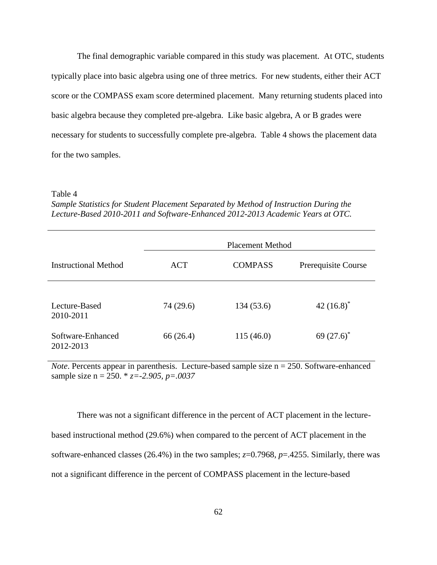The final demographic variable compared in this study was placement. At OTC, students typically place into basic algebra using one of three metrics. For new students, either their ACT score or the COMPASS exam score determined placement. Many returning students placed into basic algebra because they completed pre-algebra. Like basic algebra, A or B grades were necessary for students to successfully complete pre-algebra. Table 4 shows the placement data for the two samples.

#### Table 4

*Sample Statistics for Student Placement Separated by Method of Instruction During the Lecture-Based 2010-2011 and Software-Enhanced 2012-2013 Academic Years at OTC.* 

|                                | <b>Placement Method</b> |                |                     |
|--------------------------------|-------------------------|----------------|---------------------|
| <b>Instructional Method</b>    | <b>ACT</b>              | <b>COMPASS</b> | Prerequisite Course |
| Lecture-Based<br>2010-2011     | 74 (29.6)               | 134 (53.6)     | 42 $(16.8)^*$       |
| Software-Enhanced<br>2012-2013 | 66 (26.4)               | 115(46.0)      | 69 $(27.6)^*$       |

*Note*. Percents appear in parenthesis. Lecture-based sample size n = 250. Software-enhanced sample size n = 250. \* *z=-2.905, p=.0037*

There was not a significant difference in the percent of ACT placement in the lecturebased instructional method (29.6%) when compared to the percent of ACT placement in the software-enhanced classes (26.4%) in the two samples; *z*=0.7968, *p*=.4255. Similarly, there was not a significant difference in the percent of COMPASS placement in the lecture-based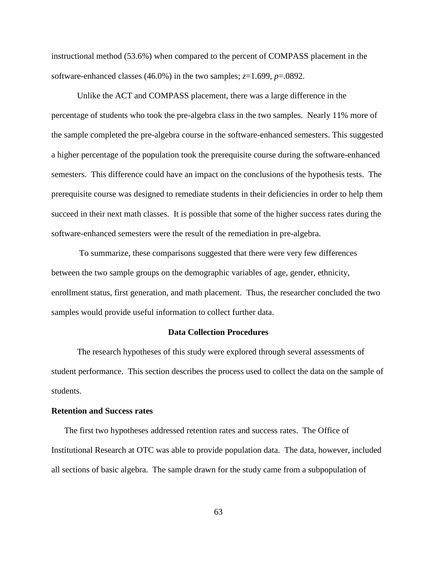instructional method (53.6%) when compared to the percent of COMPASS placement in the software-enhanced classes (46.0%) in the two samples;  $z=1.699$ ,  $p=.0892$ .

Unlike the ACT and COMPASS placement, there was a large difference in the percentage of students who took the pre-algebra class in the two samples. Nearly 11% more of the sample completed the pre-algebra course in the software-enhanced semesters. This suggested a higher percentage of the population took the prerequisite course during the software-enhanced semesters. This difference could have an impact on the conclusions of the hypothesis tests. The prerequisite course was designed to remediate students in their deficiencies in order to help them succeed in their next math classes. It is possible that some of the higher success rates during the software-enhanced semesters were the result of the remediation in pre-algebra.

To summarize, these comparisons suggested that there were very few differences between the two sample groups on the demographic variables of age, gender, ethnicity, enrollment status, first generation, and math placement. Thus, the researcher concluded the two samples would provide useful information to collect further data.

### **Data Collection Procedures**

The research hypotheses of this study were explored through several assessments of student performance. This section describes the process used to collect the data on the sample of students.

### **Retention and Success rates**

The first two hypotheses addressed retention rates and success rates. The Office of Institutional Research at OTC was able to provide population data. The data, however, included all sections of basic algebra. The sample drawn for the study came from a subpopulation of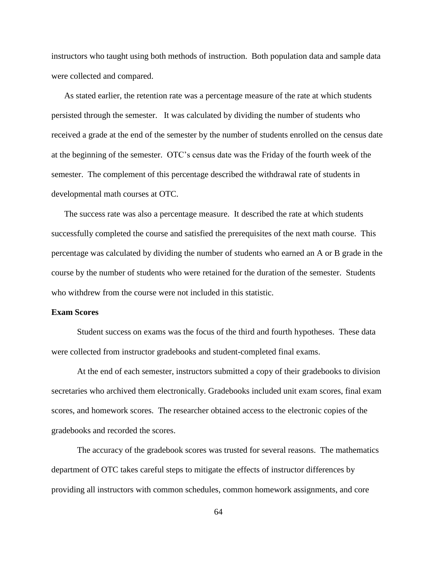instructors who taught using both methods of instruction. Both population data and sample data were collected and compared.

As stated earlier, the retention rate was a percentage measure of the rate at which students persisted through the semester. It was calculated by dividing the number of students who received a grade at the end of the semester by the number of students enrolled on the census date at the beginning of the semester. OTC's census date was the Friday of the fourth week of the semester. The complement of this percentage described the withdrawal rate of students in developmental math courses at OTC.

The success rate was also a percentage measure. It described the rate at which students successfully completed the course and satisfied the prerequisites of the next math course. This percentage was calculated by dividing the number of students who earned an A or B grade in the course by the number of students who were retained for the duration of the semester. Students who withdrew from the course were not included in this statistic.

### **Exam Scores**

Student success on exams was the focus of the third and fourth hypotheses. These data were collected from instructor gradebooks and student-completed final exams.

At the end of each semester, instructors submitted a copy of their gradebooks to division secretaries who archived them electronically. Gradebooks included unit exam scores, final exam scores, and homework scores. The researcher obtained access to the electronic copies of the gradebooks and recorded the scores.

The accuracy of the gradebook scores was trusted for several reasons. The mathematics department of OTC takes careful steps to mitigate the effects of instructor differences by providing all instructors with common schedules, common homework assignments, and core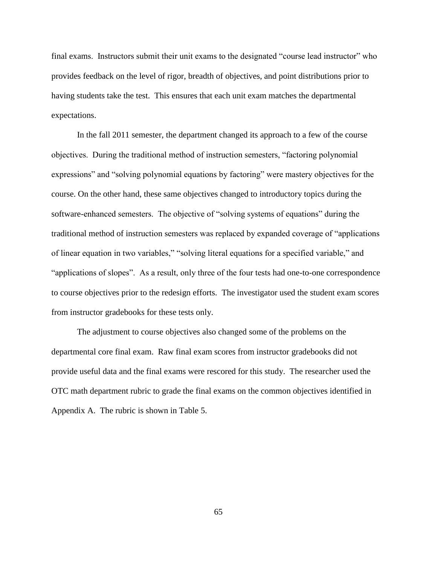final exams. Instructors submit their unit exams to the designated "course lead instructor" who provides feedback on the level of rigor, breadth of objectives, and point distributions prior to having students take the test. This ensures that each unit exam matches the departmental expectations.

In the fall 2011 semester, the department changed its approach to a few of the course objectives. During the traditional method of instruction semesters, "factoring polynomial expressions" and "solving polynomial equations by factoring" were mastery objectives for the course. On the other hand, these same objectives changed to introductory topics during the software-enhanced semesters. The objective of "solving systems of equations" during the traditional method of instruction semesters was replaced by expanded coverage of "applications of linear equation in two variables," "solving literal equations for a specified variable," and "applications of slopes". As a result, only three of the four tests had one-to-one correspondence to course objectives prior to the redesign efforts. The investigator used the student exam scores from instructor gradebooks for these tests only.

The adjustment to course objectives also changed some of the problems on the departmental core final exam. Raw final exam scores from instructor gradebooks did not provide useful data and the final exams were rescored for this study. The researcher used the OTC math department rubric to grade the final exams on the common objectives identified in Appendix A. The rubric is shown in Table 5.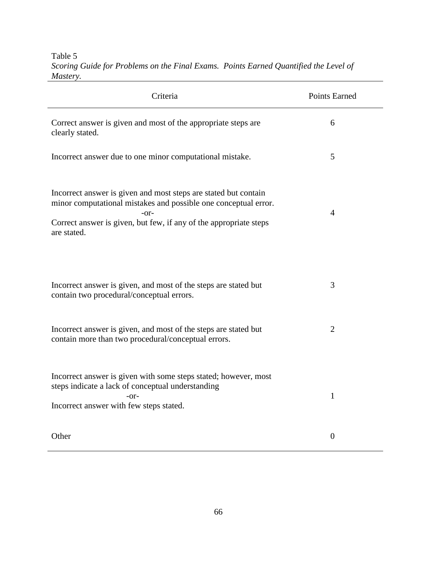Criteria Points Earned Correct answer is given and most of the appropriate steps are clearly stated. 6 Incorrect answer due to one minor computational mistake. 5 Incorrect answer is given and most steps are stated but contain minor computational mistakes and possible one conceptual error. -or-Correct answer is given, but few, if any of the appropriate steps are stated. 4 Incorrect answer is given, and most of the steps are stated but contain two procedural/conceptual errors. 3 Incorrect answer is given, and most of the steps are stated but contain more than two procedural/conceptual errors. 2 Incorrect answer is given with some steps stated; however, most steps indicate a lack of conceptual understanding -or-Incorrect answer with few steps stated. 1 Other 0

Table 5 *Scoring Guide for Problems on the Final Exams. Points Earned Quantified the Level of Mastery.*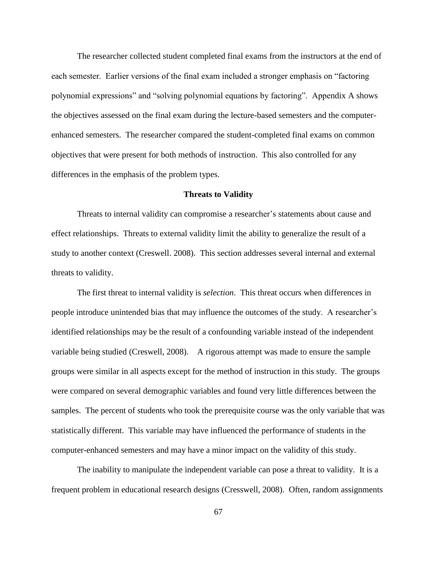The researcher collected student completed final exams from the instructors at the end of each semester. Earlier versions of the final exam included a stronger emphasis on "factoring polynomial expressions" and "solving polynomial equations by factoring". Appendix A shows the objectives assessed on the final exam during the lecture-based semesters and the computerenhanced semesters. The researcher compared the student-completed final exams on common objectives that were present for both methods of instruction. This also controlled for any differences in the emphasis of the problem types.

#### **Threats to Validity**

Threats to internal validity can compromise a researcher's statements about cause and effect relationships. Threats to external validity limit the ability to generalize the result of a study to another context (Creswell. 2008). This section addresses several internal and external threats to validity.

The first threat to internal validity is *selection*. This threat occurs when differences in people introduce unintended bias that may influence the outcomes of the study. A researcher's identified relationships may be the result of a confounding variable instead of the independent variable being studied (Creswell, 2008). A rigorous attempt was made to ensure the sample groups were similar in all aspects except for the method of instruction in this study. The groups were compared on several demographic variables and found very little differences between the samples. The percent of students who took the prerequisite course was the only variable that was statistically different. This variable may have influenced the performance of students in the computer-enhanced semesters and may have a minor impact on the validity of this study.

The inability to manipulate the independent variable can pose a threat to validity. It is a frequent problem in educational research designs (Cresswell, 2008). Often, random assignments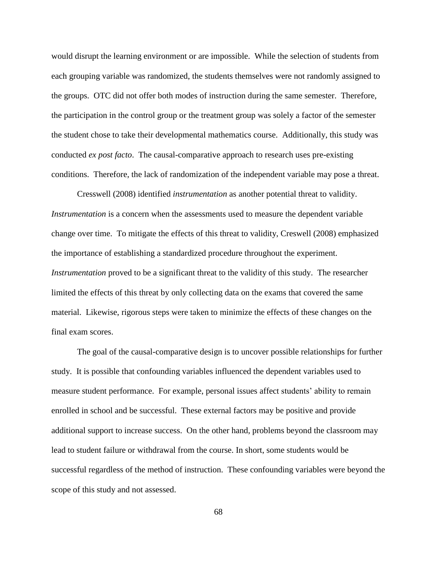would disrupt the learning environment or are impossible. While the selection of students from each grouping variable was randomized, the students themselves were not randomly assigned to the groups. OTC did not offer both modes of instruction during the same semester. Therefore, the participation in the control group or the treatment group was solely a factor of the semester the student chose to take their developmental mathematics course. Additionally, this study was conducted *ex post facto*. The causal-comparative approach to research uses pre-existing conditions. Therefore, the lack of randomization of the independent variable may pose a threat.

Cresswell (2008) identified *instrumentation* as another potential threat to validity. *Instrumentation* is a concern when the assessments used to measure the dependent variable change over time. To mitigate the effects of this threat to validity, Creswell (2008) emphasized the importance of establishing a standardized procedure throughout the experiment. *Instrumentation* proved to be a significant threat to the validity of this study. The researcher limited the effects of this threat by only collecting data on the exams that covered the same material. Likewise, rigorous steps were taken to minimize the effects of these changes on the final exam scores.

The goal of the causal-comparative design is to uncover possible relationships for further study. It is possible that confounding variables influenced the dependent variables used to measure student performance. For example, personal issues affect students' ability to remain enrolled in school and be successful. These external factors may be positive and provide additional support to increase success. On the other hand, problems beyond the classroom may lead to student failure or withdrawal from the course. In short, some students would be successful regardless of the method of instruction. These confounding variables were beyond the scope of this study and not assessed.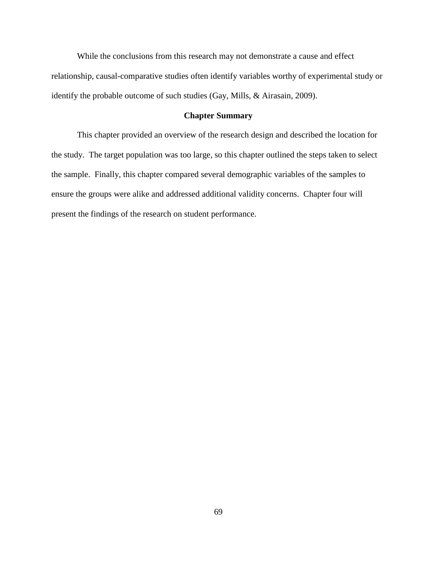While the conclusions from this research may not demonstrate a cause and effect relationship, causal-comparative studies often identify variables worthy of experimental study or identify the probable outcome of such studies (Gay, Mills, & Airasain, 2009).

## **Chapter Summary**

This chapter provided an overview of the research design and described the location for the study. The target population was too large, so this chapter outlined the steps taken to select the sample. Finally, this chapter compared several demographic variables of the samples to ensure the groups were alike and addressed additional validity concerns. Chapter four will present the findings of the research on student performance.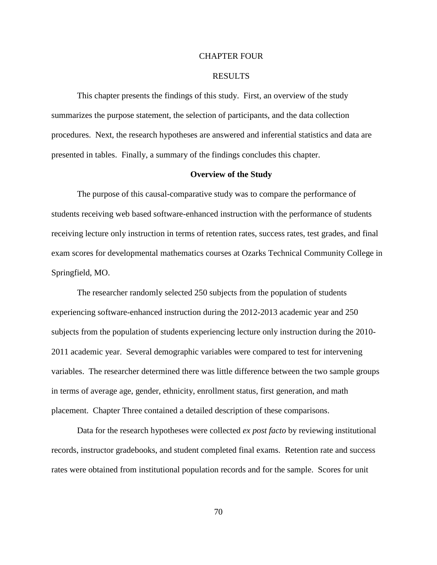#### CHAPTER FOUR

## RESULTS

This chapter presents the findings of this study. First, an overview of the study summarizes the purpose statement, the selection of participants, and the data collection procedures. Next, the research hypotheses are answered and inferential statistics and data are presented in tables. Finally, a summary of the findings concludes this chapter.

#### **Overview of the Study**

The purpose of this causal-comparative study was to compare the performance of students receiving web based software-enhanced instruction with the performance of students receiving lecture only instruction in terms of retention rates, success rates, test grades, and final exam scores for developmental mathematics courses at Ozarks Technical Community College in Springfield, MO.

The researcher randomly selected 250 subjects from the population of students experiencing software-enhanced instruction during the 2012-2013 academic year and 250 subjects from the population of students experiencing lecture only instruction during the 2010- 2011 academic year. Several demographic variables were compared to test for intervening variables. The researcher determined there was little difference between the two sample groups in terms of average age, gender, ethnicity, enrollment status, first generation, and math placement. Chapter Three contained a detailed description of these comparisons.

Data for the research hypotheses were collected *ex post facto* by reviewing institutional records, instructor gradebooks, and student completed final exams. Retention rate and success rates were obtained from institutional population records and for the sample. Scores for unit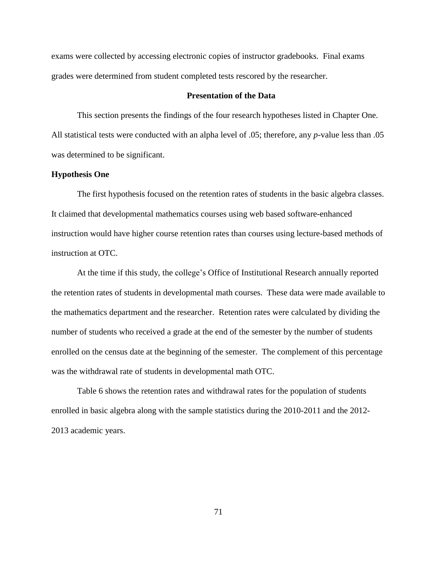exams were collected by accessing electronic copies of instructor gradebooks. Final exams grades were determined from student completed tests rescored by the researcher.

# **Presentation of the Data**

This section presents the findings of the four research hypotheses listed in Chapter One. All statistical tests were conducted with an alpha level of .05; therefore, any *p-*value less than .05 was determined to be significant.

## **Hypothesis One**

The first hypothesis focused on the retention rates of students in the basic algebra classes. It claimed that developmental mathematics courses using web based software-enhanced instruction would have higher course retention rates than courses using lecture-based methods of instruction at OTC.

At the time if this study, the college's Office of Institutional Research annually reported the retention rates of students in developmental math courses. These data were made available to the mathematics department and the researcher. Retention rates were calculated by dividing the number of students who received a grade at the end of the semester by the number of students enrolled on the census date at the beginning of the semester. The complement of this percentage was the withdrawal rate of students in developmental math OTC.

Table 6 shows the retention rates and withdrawal rates for the population of students enrolled in basic algebra along with the sample statistics during the 2010-2011 and the 2012- 2013 academic years.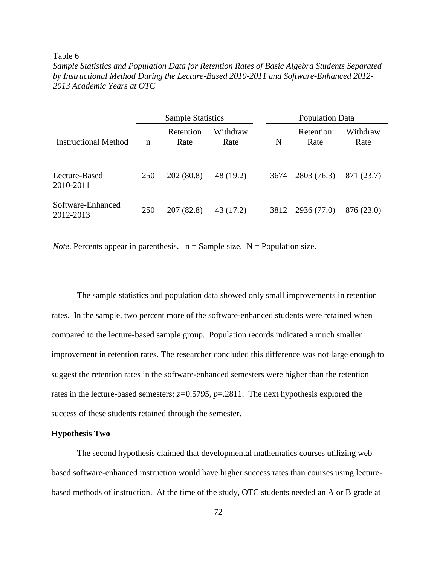#### Table 6

*Sample Statistics and Population Data for Retention Rates of Basic Algebra Students Separated by Instructional Method During the Lecture-Based 2010-2011 and Software-Enhanced 2012- 2013 Academic Years at OTC*

|                                | <b>Sample Statistics</b> |                   |                  | <b>Population Data</b> |                   |                  |
|--------------------------------|--------------------------|-------------------|------------------|------------------------|-------------------|------------------|
| Instructional Method           | n                        | Retention<br>Rate | Withdraw<br>Rate | N                      | Retention<br>Rate | Withdraw<br>Rate |
| Lecture-Based<br>2010-2011     | 250                      | 202(80.8)         | 48 (19.2)        | 3674                   | 2803 (76.3)       | 871 (23.7)       |
| Software-Enhanced<br>2012-2013 | 250                      | 207 (82.8)        | 43 (17.2)        | 3812                   | 2936 (77.0)       | 876 (23.0)       |

*Note*. Percents appear in parenthesis.  $n =$  Sample size.  $N =$  Population size.

The sample statistics and population data showed only small improvements in retention rates. In the sample, two percent more of the software-enhanced students were retained when compared to the lecture-based sample group. Population records indicated a much smaller improvement in retention rates. The researcher concluded this difference was not large enough to suggest the retention rates in the software-enhanced semesters were higher than the retention rates in the lecture-based semesters; *z=*0.5795, *p*=.2811. The next hypothesis explored the success of these students retained through the semester.

## **Hypothesis Two**

The second hypothesis claimed that developmental mathematics courses utilizing web based software-enhanced instruction would have higher success rates than courses using lecturebased methods of instruction. At the time of the study, OTC students needed an A or B grade at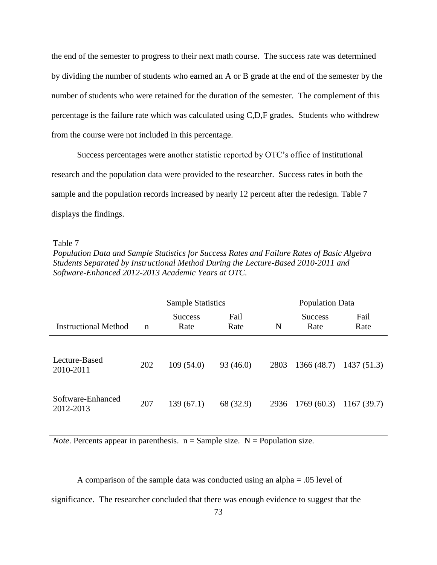the end of the semester to progress to their next math course. The success rate was determined by dividing the number of students who earned an A or B grade at the end of the semester by the number of students who were retained for the duration of the semester. The complement of this percentage is the failure rate which was calculated using C,D,F grades. Students who withdrew from the course were not included in this percentage.

Success percentages were another statistic reported by OTC's office of institutional research and the population data were provided to the researcher. Success rates in both the sample and the population records increased by nearly 12 percent after the redesign. Table 7 displays the findings.

Table 7

*Population Data and Sample Statistics for Success Rates and Failure Rates of Basic Algebra Students Separated by Instructional Method During the Lecture-Based 2010-2011 and Software-Enhanced 2012-2013 Academic Years at OTC.*

|                                | <b>Sample Statistics</b> |                        | <b>Population Data</b> |      |                        |              |
|--------------------------------|--------------------------|------------------------|------------------------|------|------------------------|--------------|
| Instructional Method           | $\mathbf n$              | <b>Success</b><br>Rate | Fail<br>Rate           | N    | <b>Success</b><br>Rate | Fail<br>Rate |
| Lecture-Based<br>2010-2011     | 202                      | 109(54.0)              | 93(46.0)               | 2803 | 1366(48.7)             | 1437(51.3)   |
| Software-Enhanced<br>2012-2013 | 207                      | 139(67.1)              | 68 (32.9)              | 2936 | 1769(60.3)             | 1167(39.7)   |

*Note*. Percents appear in parenthesis.  $n =$  Sample size.  $N =$  Population size.

A comparison of the sample data was conducted using an alpha = .05 level of significance. The researcher concluded that there was enough evidence to suggest that the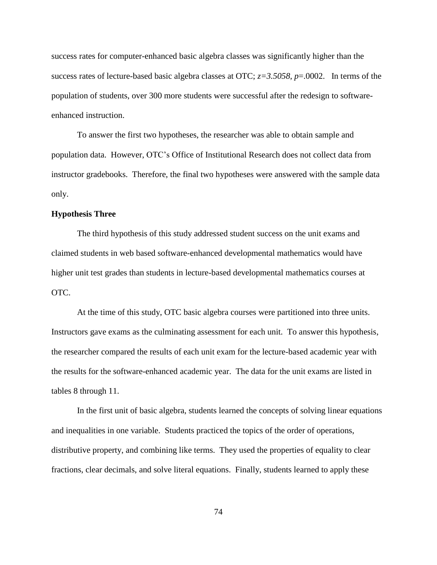success rates for computer-enhanced basic algebra classes was significantly higher than the success rates of lecture-based basic algebra classes at OTC; *z=3.5058*, *p*=.0002. In terms of the population of students, over 300 more students were successful after the redesign to softwareenhanced instruction.

To answer the first two hypotheses, the researcher was able to obtain sample and population data. However, OTC's Office of Institutional Research does not collect data from instructor gradebooks. Therefore, the final two hypotheses were answered with the sample data only.

## **Hypothesis Three**

The third hypothesis of this study addressed student success on the unit exams and claimed students in web based software-enhanced developmental mathematics would have higher unit test grades than students in lecture-based developmental mathematics courses at OTC.

At the time of this study, OTC basic algebra courses were partitioned into three units. Instructors gave exams as the culminating assessment for each unit. To answer this hypothesis, the researcher compared the results of each unit exam for the lecture-based academic year with the results for the software-enhanced academic year. The data for the unit exams are listed in tables 8 through 11.

In the first unit of basic algebra, students learned the concepts of solving linear equations and inequalities in one variable. Students practiced the topics of the order of operations, distributive property, and combining like terms. They used the properties of equality to clear fractions, clear decimals, and solve literal equations. Finally, students learned to apply these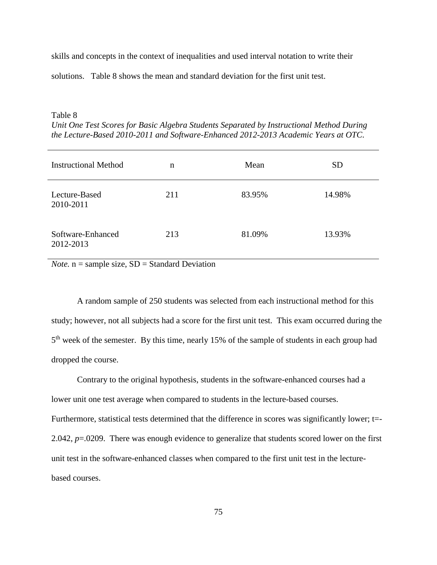skills and concepts in the context of inequalities and used interval notation to write their solutions. Table 8 shows the mean and standard deviation for the first unit test.

# Table 8 *Unit One Test Scores for Basic Algebra Students Separated by Instructional Method During the Lecture-Based 2010-2011 and Software-Enhanced 2012-2013 Academic Years at OTC.*

| <b>Instructional Method</b>    | n   | Mean   | <b>SD</b> |
|--------------------------------|-----|--------|-----------|
| Lecture-Based<br>2010-2011     | 211 | 83.95% | 14.98%    |
| Software-Enhanced<br>2012-2013 | 213 | 81.09% | 13.93%    |

*Note.*  $n =$  sample size,  $SD =$  Standard Deviation

A random sample of 250 students was selected from each instructional method for this study; however, not all subjects had a score for the first unit test. This exam occurred during the 5<sup>th</sup> week of the semester. By this time, nearly 15% of the sample of students in each group had dropped the course.

Contrary to the original hypothesis, students in the software-enhanced courses had a lower unit one test average when compared to students in the lecture-based courses. Furthermore, statistical tests determined that the difference in scores was significantly lower; t=-2.042, *p*=.0209. There was enough evidence to generalize that students scored lower on the first unit test in the software-enhanced classes when compared to the first unit test in the lecturebased courses.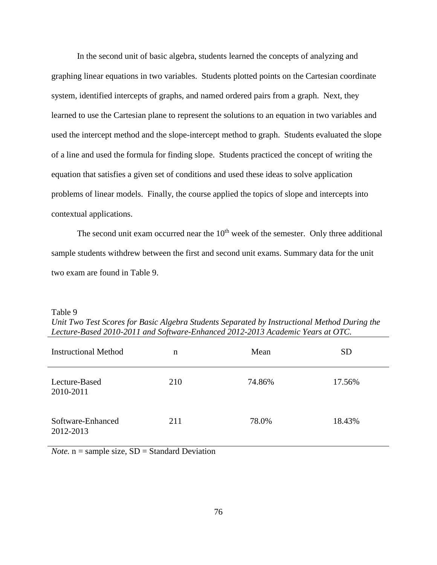In the second unit of basic algebra, students learned the concepts of analyzing and graphing linear equations in two variables. Students plotted points on the Cartesian coordinate system, identified intercepts of graphs, and named ordered pairs from a graph. Next, they learned to use the Cartesian plane to represent the solutions to an equation in two variables and used the intercept method and the slope-intercept method to graph. Students evaluated the slope of a line and used the formula for finding slope. Students practiced the concept of writing the equation that satisfies a given set of conditions and used these ideas to solve application problems of linear models. Finally, the course applied the topics of slope and intercepts into contextual applications.

The second unit exam occurred near the  $10<sup>th</sup>$  week of the semester. Only three additional sample students withdrew between the first and second unit exams. Summary data for the unit two exam are found in Table 9.

| <b>Instructional Method</b>    | n   | Mean   | <b>SD</b> |
|--------------------------------|-----|--------|-----------|
| Lecture-Based<br>2010-2011     | 210 | 74.86% | 17.56%    |
| Software-Enhanced<br>2012-2013 | 211 | 78.0%  | 18.43%    |

Table 9

*Unit Two Test Scores for Basic Algebra Students Separated by Instructional Method During the Lecture-Based 2010-2011 and Software-Enhanced 2012-2013 Academic Years at OTC.*

*Note.*  $n =$  sample size,  $SD =$  Standard Deviation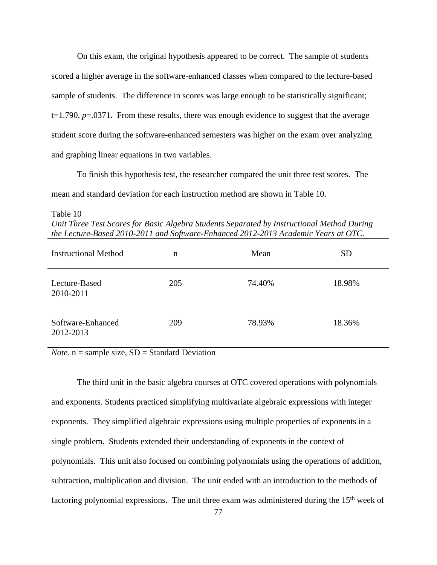On this exam, the original hypothesis appeared to be correct. The sample of students scored a higher average in the software-enhanced classes when compared to the lecture-based sample of students. The difference in scores was large enough to be statistically significant; t=1.790, *p*=.0371. From these results, there was enough evidence to suggest that the average student score during the software-enhanced semesters was higher on the exam over analyzing and graphing linear equations in two variables.

To finish this hypothesis test, the researcher compared the unit three test scores. The mean and standard deviation for each instruction method are shown in Table 10.

Table 10

| Unit Three Test Scores for Basic Algebra Students Separated by Instructional Method During |
|--------------------------------------------------------------------------------------------|
| the Lecture-Based 2010-2011 and Software-Enhanced 2012-2013 Academic Years at OTC.         |

| <b>Instructional Method</b>    | n   | Mean   | <b>SD</b> |
|--------------------------------|-----|--------|-----------|
| Lecture-Based<br>2010-2011     | 205 | 74.40% | 18.98%    |
| Software-Enhanced<br>2012-2013 | 209 | 78.93% | 18.36%    |

*Note.*  $n =$  sample size,  $SD =$  Standard Deviation

The third unit in the basic algebra courses at OTC covered operations with polynomials and exponents. Students practiced simplifying multivariate algebraic expressions with integer exponents. They simplified algebraic expressions using multiple properties of exponents in a single problem. Students extended their understanding of exponents in the context of polynomials. This unit also focused on combining polynomials using the operations of addition, subtraction, multiplication and division. The unit ended with an introduction to the methods of factoring polynomial expressions. The unit three exam was administered during the 15<sup>th</sup> week of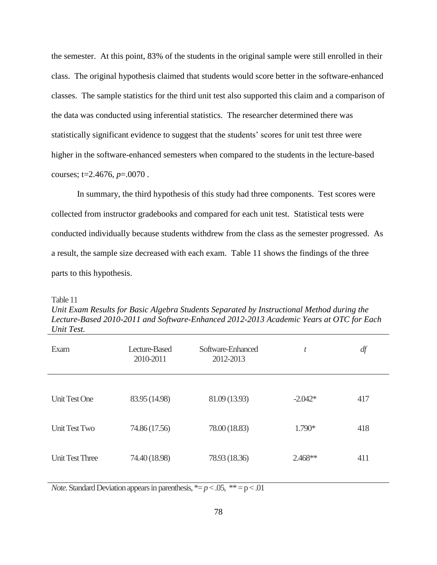the semester. At this point, 83% of the students in the original sample were still enrolled in their class. The original hypothesis claimed that students would score better in the software-enhanced classes. The sample statistics for the third unit test also supported this claim and a comparison of the data was conducted using inferential statistics. The researcher determined there was statistically significant evidence to suggest that the students' scores for unit test three were higher in the software-enhanced semesters when compared to the students in the lecture-based courses; t=2.4676, *p*=.0070 .

In summary, the third hypothesis of this study had three components. Test scores were collected from instructor gradebooks and compared for each unit test. Statistical tests were conducted individually because students withdrew from the class as the semester progressed. As a result, the sample size decreased with each exam. Table 11 shows the findings of the three parts to this hypothesis.

Table 11

*Unit Exam Results for Basic Algebra Students Separated by Instructional Method during the Lecture-Based 2010-2011 and Software-Enhanced 2012-2013 Academic Years at OTC for Each Unit Test.* 

| Exam                   | Lecture-Based<br>2010-2011 | Software-Enhanced<br>2012-2013 | t         | df  |
|------------------------|----------------------------|--------------------------------|-----------|-----|
|                        |                            |                                |           |     |
| <b>Unit Test One</b>   | 83.95 (14.98)              | 81.09 (13.93)                  | $-2.042*$ | 417 |
| Unit Test Two          | 74.86 (17.56)              | 78.00 (18.83)                  | 1.790*    | 418 |
| <b>Unit Test Three</b> | 74.40 (18.98)              | 78.93 (18.36)                  | $2.468**$ | 411 |

*Note*. Standard Deviation appears in parenthesis,  $E_p < .05$ ,  $E_p < .01$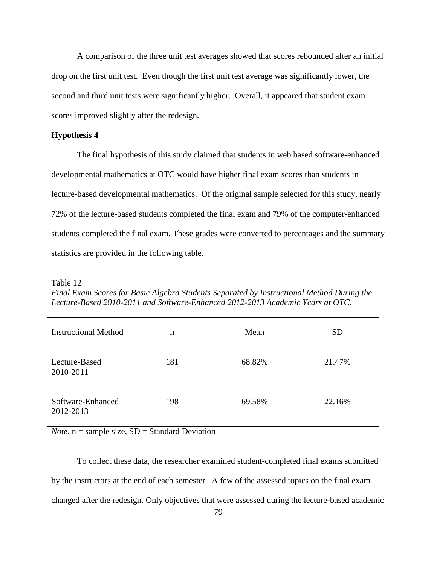A comparison of the three unit test averages showed that scores rebounded after an initial drop on the first unit test. Even though the first unit test average was significantly lower, the second and third unit tests were significantly higher. Overall, it appeared that student exam scores improved slightly after the redesign.

## **Hypothesis 4**

The final hypothesis of this study claimed that students in web based software-enhanced developmental mathematics at OTC would have higher final exam scores than students in lecture-based developmental mathematics. Of the original sample selected for this study, nearly 72% of the lecture-based students completed the final exam and 79% of the computer-enhanced students completed the final exam. These grades were converted to percentages and the summary statistics are provided in the following table.

Table 12

*Final Exam Scores for Basic Algebra Students Separated by Instructional Method During the Lecture-Based 2010-2011 and Software-Enhanced 2012-2013 Academic Years at OTC.*

| <b>Instructional Method</b>    | n   | Mean   | <b>SD</b> |
|--------------------------------|-----|--------|-----------|
| Lecture-Based<br>2010-2011     | 181 | 68.82% | 21.47%    |
| Software-Enhanced<br>2012-2013 | 198 | 69.58% | 22.16%    |

*Note.*  $n =$  sample size,  $SD =$  Standard Deviation

To collect these data, the researcher examined student-completed final exams submitted by the instructors at the end of each semester. A few of the assessed topics on the final exam changed after the redesign. Only objectives that were assessed during the lecture-based academic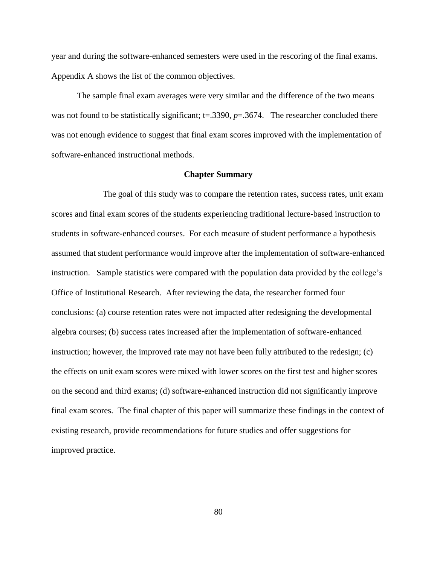year and during the software-enhanced semesters were used in the rescoring of the final exams. Appendix A shows the list of the common objectives.

The sample final exam averages were very similar and the difference of the two means was not found to be statistically significant; t=.3390,  $p=$ .3674. The researcher concluded there was not enough evidence to suggest that final exam scores improved with the implementation of software-enhanced instructional methods.

#### **Chapter Summary**

The goal of this study was to compare the retention rates, success rates, unit exam scores and final exam scores of the students experiencing traditional lecture-based instruction to students in software-enhanced courses. For each measure of student performance a hypothesis assumed that student performance would improve after the implementation of software-enhanced instruction. Sample statistics were compared with the population data provided by the college's Office of Institutional Research. After reviewing the data, the researcher formed four conclusions: (a) course retention rates were not impacted after redesigning the developmental algebra courses; (b) success rates increased after the implementation of software-enhanced instruction; however, the improved rate may not have been fully attributed to the redesign; (c) the effects on unit exam scores were mixed with lower scores on the first test and higher scores on the second and third exams; (d) software-enhanced instruction did not significantly improve final exam scores. The final chapter of this paper will summarize these findings in the context of existing research, provide recommendations for future studies and offer suggestions for improved practice.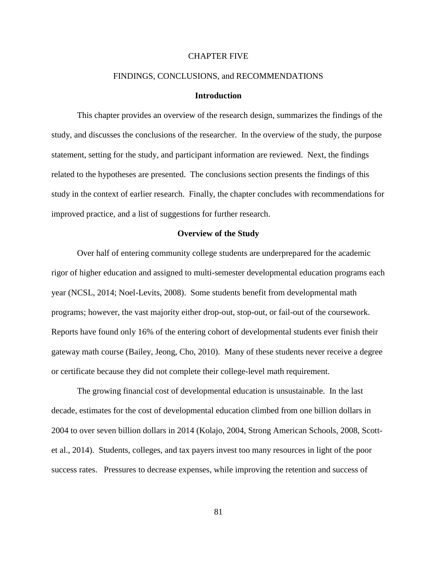#### CHAPTER FIVE

### FINDINGS, CONCLUSIONS, and RECOMMENDATIONS

### **Introduction**

This chapter provides an overview of the research design, summarizes the findings of the study, and discusses the conclusions of the researcher. In the overview of the study, the purpose statement, setting for the study, and participant information are reviewed. Next, the findings related to the hypotheses are presented. The conclusions section presents the findings of this study in the context of earlier research. Finally, the chapter concludes with recommendations for improved practice, and a list of suggestions for further research.

### **Overview of the Study**

Over half of entering community college students are underprepared for the academic rigor of higher education and assigned to multi-semester developmental education programs each year (NCSL, 2014; Noel-Levits, 2008). Some students benefit from developmental math programs; however, the vast majority either drop-out, stop-out, or fail-out of the coursework. Reports have found only 16% of the entering cohort of developmental students ever finish their gateway math course (Bailey, Jeong, Cho, 2010). Many of these students never receive a degree or certificate because they did not complete their college-level math requirement.

The growing financial cost of developmental education is unsustainable. In the last decade, estimates for the cost of developmental education climbed from one billion dollars in 2004 to over seven billion dollars in 2014 (Kolajo, 2004, Strong American Schools, 2008, Scottet al., 2014). Students, colleges, and tax payers invest too many resources in light of the poor success rates. Pressures to decrease expenses, while improving the retention and success of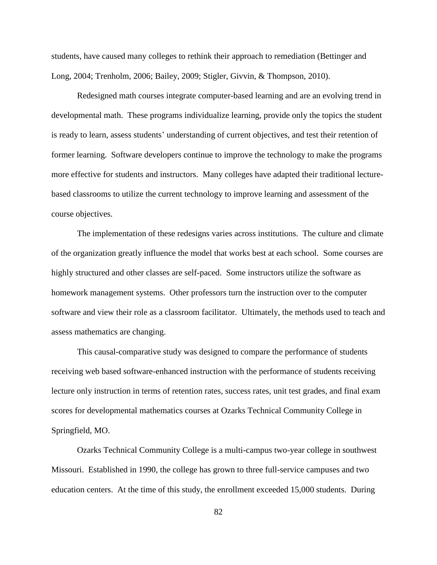students, have caused many colleges to rethink their approach to remediation (Bettinger and Long, 2004; Trenholm, 2006; Bailey, 2009; Stigler, Givvin, & Thompson, 2010).

Redesigned math courses integrate computer-based learning and are an evolving trend in developmental math. These programs individualize learning, provide only the topics the student is ready to learn, assess students' understanding of current objectives, and test their retention of former learning. Software developers continue to improve the technology to make the programs more effective for students and instructors. Many colleges have adapted their traditional lecturebased classrooms to utilize the current technology to improve learning and assessment of the course objectives.

The implementation of these redesigns varies across institutions. The culture and climate of the organization greatly influence the model that works best at each school. Some courses are highly structured and other classes are self-paced. Some instructors utilize the software as homework management systems. Other professors turn the instruction over to the computer software and view their role as a classroom facilitator. Ultimately, the methods used to teach and assess mathematics are changing.

This causal-comparative study was designed to compare the performance of students receiving web based software-enhanced instruction with the performance of students receiving lecture only instruction in terms of retention rates, success rates, unit test grades, and final exam scores for developmental mathematics courses at Ozarks Technical Community College in Springfield, MO.

Ozarks Technical Community College is a multi-campus two-year college in southwest Missouri. Established in 1990, the college has grown to three full-service campuses and two education centers. At the time of this study, the enrollment exceeded 15,000 students. During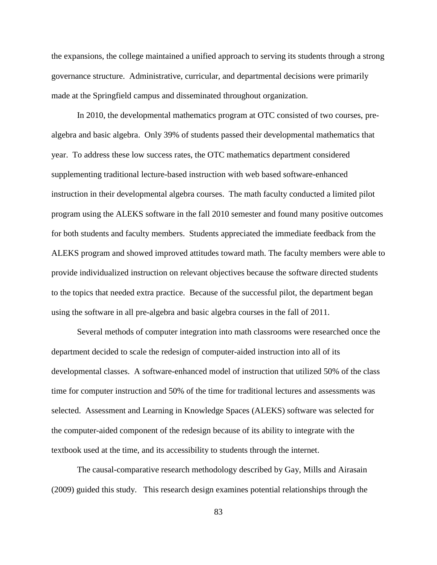the expansions, the college maintained a unified approach to serving its students through a strong governance structure. Administrative, curricular, and departmental decisions were primarily made at the Springfield campus and disseminated throughout organization.

In 2010, the developmental mathematics program at OTC consisted of two courses, prealgebra and basic algebra. Only 39% of students passed their developmental mathematics that year. To address these low success rates, the OTC mathematics department considered supplementing traditional lecture-based instruction with web based software-enhanced instruction in their developmental algebra courses. The math faculty conducted a limited pilot program using the ALEKS software in the fall 2010 semester and found many positive outcomes for both students and faculty members. Students appreciated the immediate feedback from the ALEKS program and showed improved attitudes toward math. The faculty members were able to provide individualized instruction on relevant objectives because the software directed students to the topics that needed extra practice. Because of the successful pilot, the department began using the software in all pre-algebra and basic algebra courses in the fall of 2011.

Several methods of computer integration into math classrooms were researched once the department decided to scale the redesign of computer-aided instruction into all of its developmental classes. A software-enhanced model of instruction that utilized 50% of the class time for computer instruction and 50% of the time for traditional lectures and assessments was selected. Assessment and Learning in Knowledge Spaces (ALEKS) software was selected for the computer-aided component of the redesign because of its ability to integrate with the textbook used at the time, and its accessibility to students through the internet.

The causal-comparative research methodology described by Gay, Mills and Airasain (2009) guided this study. This research design examines potential relationships through the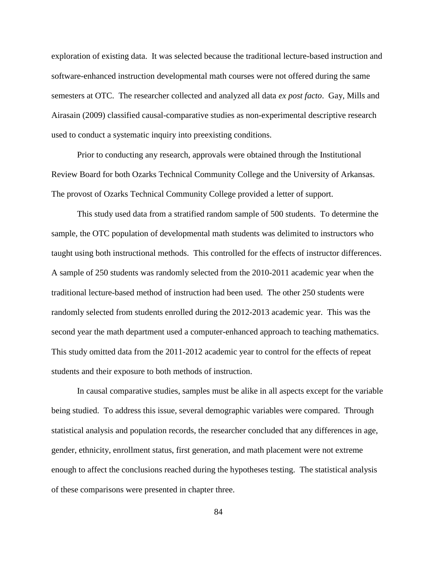exploration of existing data. It was selected because the traditional lecture-based instruction and software-enhanced instruction developmental math courses were not offered during the same semesters at OTC. The researcher collected and analyzed all data *ex post facto*. Gay, Mills and Airasain (2009) classified causal-comparative studies as non-experimental descriptive research used to conduct a systematic inquiry into preexisting conditions.

Prior to conducting any research, approvals were obtained through the Institutional Review Board for both Ozarks Technical Community College and the University of Arkansas. The provost of Ozarks Technical Community College provided a letter of support.

This study used data from a stratified random sample of 500 students. To determine the sample, the OTC population of developmental math students was delimited to instructors who taught using both instructional methods. This controlled for the effects of instructor differences. A sample of 250 students was randomly selected from the 2010-2011 academic year when the traditional lecture-based method of instruction had been used. The other 250 students were randomly selected from students enrolled during the 2012-2013 academic year. This was the second year the math department used a computer-enhanced approach to teaching mathematics. This study omitted data from the 2011-2012 academic year to control for the effects of repeat students and their exposure to both methods of instruction.

In causal comparative studies, samples must be alike in all aspects except for the variable being studied. To address this issue, several demographic variables were compared. Through statistical analysis and population records, the researcher concluded that any differences in age, gender, ethnicity, enrollment status, first generation, and math placement were not extreme enough to affect the conclusions reached during the hypotheses testing. The statistical analysis of these comparisons were presented in chapter three.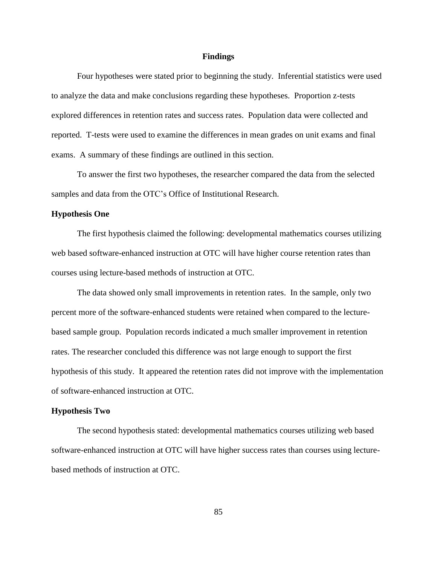#### **Findings**

Four hypotheses were stated prior to beginning the study. Inferential statistics were used to analyze the data and make conclusions regarding these hypotheses. Proportion z-tests explored differences in retention rates and success rates. Population data were collected and reported. T-tests were used to examine the differences in mean grades on unit exams and final exams. A summary of these findings are outlined in this section.

To answer the first two hypotheses, the researcher compared the data from the selected samples and data from the OTC's Office of Institutional Research.

## **Hypothesis One**

The first hypothesis claimed the following: developmental mathematics courses utilizing web based software-enhanced instruction at OTC will have higher course retention rates than courses using lecture-based methods of instruction at OTC.

The data showed only small improvements in retention rates. In the sample, only two percent more of the software-enhanced students were retained when compared to the lecturebased sample group. Population records indicated a much smaller improvement in retention rates. The researcher concluded this difference was not large enough to support the first hypothesis of this study. It appeared the retention rates did not improve with the implementation of software-enhanced instruction at OTC.

#### **Hypothesis Two**

The second hypothesis stated: developmental mathematics courses utilizing web based software-enhanced instruction at OTC will have higher success rates than courses using lecturebased methods of instruction at OTC.

85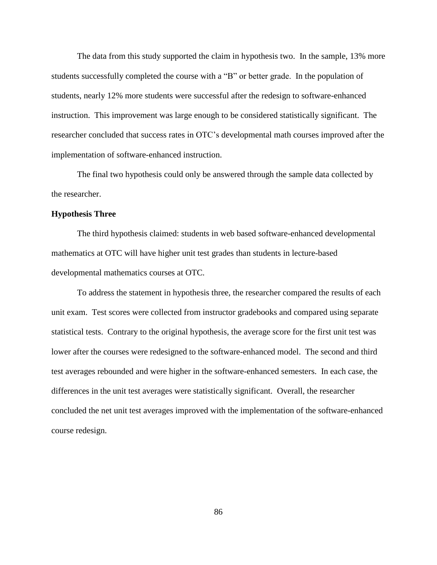The data from this study supported the claim in hypothesis two. In the sample, 13% more students successfully completed the course with a "B" or better grade. In the population of students, nearly 12% more students were successful after the redesign to software-enhanced instruction. This improvement was large enough to be considered statistically significant. The researcher concluded that success rates in OTC's developmental math courses improved after the implementation of software-enhanced instruction.

The final two hypothesis could only be answered through the sample data collected by the researcher.

## **Hypothesis Three**

The third hypothesis claimed: students in web based software-enhanced developmental mathematics at OTC will have higher unit test grades than students in lecture-based developmental mathematics courses at OTC.

To address the statement in hypothesis three, the researcher compared the results of each unit exam. Test scores were collected from instructor gradebooks and compared using separate statistical tests. Contrary to the original hypothesis, the average score for the first unit test was lower after the courses were redesigned to the software-enhanced model. The second and third test averages rebounded and were higher in the software-enhanced semesters. In each case, the differences in the unit test averages were statistically significant. Overall, the researcher concluded the net unit test averages improved with the implementation of the software-enhanced course redesign.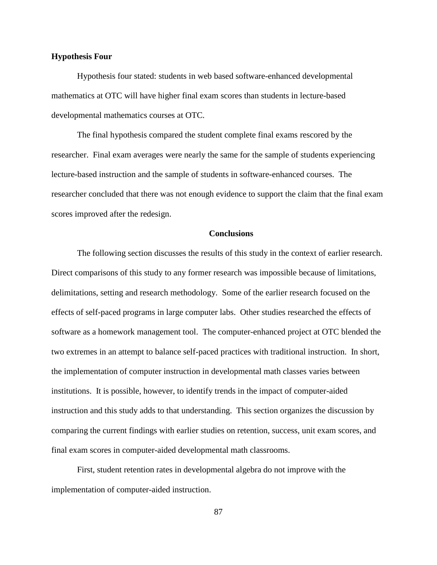#### **Hypothesis Four**

Hypothesis four stated: students in web based software-enhanced developmental mathematics at OTC will have higher final exam scores than students in lecture-based developmental mathematics courses at OTC.

The final hypothesis compared the student complete final exams rescored by the researcher. Final exam averages were nearly the same for the sample of students experiencing lecture-based instruction and the sample of students in software-enhanced courses. The researcher concluded that there was not enough evidence to support the claim that the final exam scores improved after the redesign.

# **Conclusions**

The following section discusses the results of this study in the context of earlier research. Direct comparisons of this study to any former research was impossible because of limitations, delimitations, setting and research methodology. Some of the earlier research focused on the effects of self-paced programs in large computer labs. Other studies researched the effects of software as a homework management tool. The computer-enhanced project at OTC blended the two extremes in an attempt to balance self-paced practices with traditional instruction. In short, the implementation of computer instruction in developmental math classes varies between institutions. It is possible, however, to identify trends in the impact of computer-aided instruction and this study adds to that understanding. This section organizes the discussion by comparing the current findings with earlier studies on retention, success, unit exam scores, and final exam scores in computer-aided developmental math classrooms.

First, student retention rates in developmental algebra do not improve with the implementation of computer-aided instruction.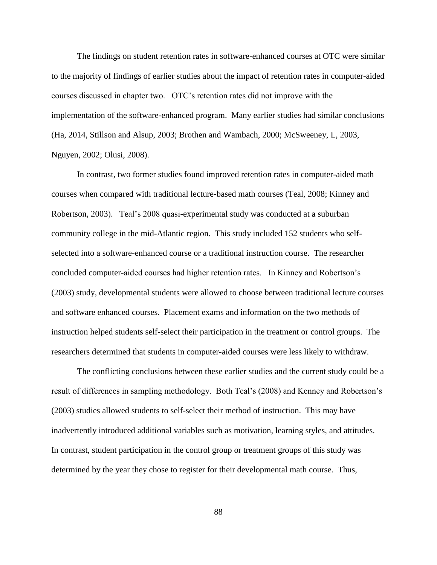The findings on student retention rates in software-enhanced courses at OTC were similar to the majority of findings of earlier studies about the impact of retention rates in computer-aided courses discussed in chapter two. OTC's retention rates did not improve with the implementation of the software-enhanced program. Many earlier studies had similar conclusions (Ha, 2014, Stillson and Alsup, 2003; Brothen and Wambach, 2000; McSweeney, L, 2003, Nguyen, 2002; Olusi, 2008).

In contrast, two former studies found improved retention rates in computer-aided math courses when compared with traditional lecture-based math courses (Teal, 2008; Kinney and Robertson, 2003). Teal's 2008 quasi-experimental study was conducted at a suburban community college in the mid-Atlantic region. This study included 152 students who selfselected into a software-enhanced course or a traditional instruction course. The researcher concluded computer-aided courses had higher retention rates. In Kinney and Robertson's (2003) study, developmental students were allowed to choose between traditional lecture courses and software enhanced courses. Placement exams and information on the two methods of instruction helped students self-select their participation in the treatment or control groups. The researchers determined that students in computer-aided courses were less likely to withdraw.

The conflicting conclusions between these earlier studies and the current study could be a result of differences in sampling methodology. Both Teal's (2008) and Kenney and Robertson's (2003) studies allowed students to self-select their method of instruction. This may have inadvertently introduced additional variables such as motivation, learning styles, and attitudes. In contrast, student participation in the control group or treatment groups of this study was determined by the year they chose to register for their developmental math course. Thus,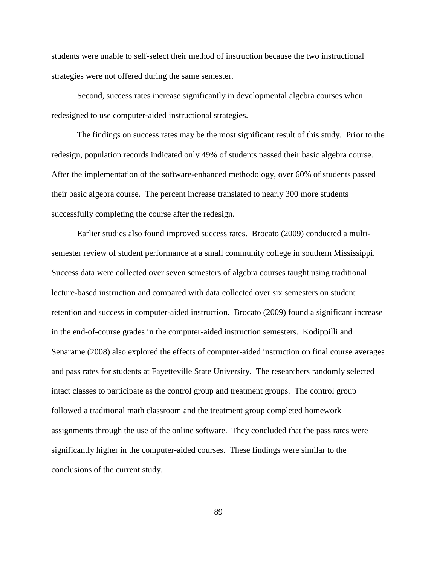students were unable to self-select their method of instruction because the two instructional strategies were not offered during the same semester.

Second, success rates increase significantly in developmental algebra courses when redesigned to use computer-aided instructional strategies.

The findings on success rates may be the most significant result of this study. Prior to the redesign, population records indicated only 49% of students passed their basic algebra course. After the implementation of the software-enhanced methodology, over 60% of students passed their basic algebra course. The percent increase translated to nearly 300 more students successfully completing the course after the redesign.

Earlier studies also found improved success rates. Brocato (2009) conducted a multisemester review of student performance at a small community college in southern Mississippi. Success data were collected over seven semesters of algebra courses taught using traditional lecture-based instruction and compared with data collected over six semesters on student retention and success in computer-aided instruction. Brocato (2009) found a significant increase in the end-of-course grades in the computer-aided instruction semesters. Kodippilli and Senaratne (2008) also explored the effects of computer-aided instruction on final course averages and pass rates for students at Fayetteville State University. The researchers randomly selected intact classes to participate as the control group and treatment groups. The control group followed a traditional math classroom and the treatment group completed homework assignments through the use of the online software. They concluded that the pass rates were significantly higher in the computer-aided courses. These findings were similar to the conclusions of the current study.

89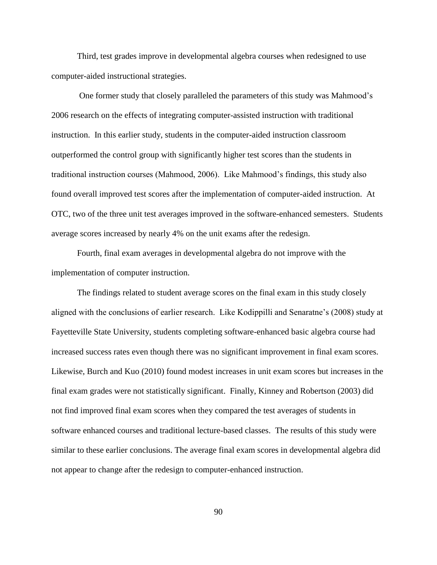Third, test grades improve in developmental algebra courses when redesigned to use computer-aided instructional strategies.

One former study that closely paralleled the parameters of this study was Mahmood's 2006 research on the effects of integrating computer-assisted instruction with traditional instruction. In this earlier study, students in the computer-aided instruction classroom outperformed the control group with significantly higher test scores than the students in traditional instruction courses (Mahmood, 2006). Like Mahmood's findings, this study also found overall improved test scores after the implementation of computer-aided instruction. At OTC, two of the three unit test averages improved in the software-enhanced semesters. Students average scores increased by nearly 4% on the unit exams after the redesign.

Fourth, final exam averages in developmental algebra do not improve with the implementation of computer instruction.

The findings related to student average scores on the final exam in this study closely aligned with the conclusions of earlier research. Like Kodippilli and Senaratne's (2008) study at Fayetteville State University, students completing software-enhanced basic algebra course had increased success rates even though there was no significant improvement in final exam scores. Likewise, Burch and Kuo (2010) found modest increases in unit exam scores but increases in the final exam grades were not statistically significant. Finally, Kinney and Robertson (2003) did not find improved final exam scores when they compared the test averages of students in software enhanced courses and traditional lecture-based classes. The results of this study were similar to these earlier conclusions. The average final exam scores in developmental algebra did not appear to change after the redesign to computer-enhanced instruction.

90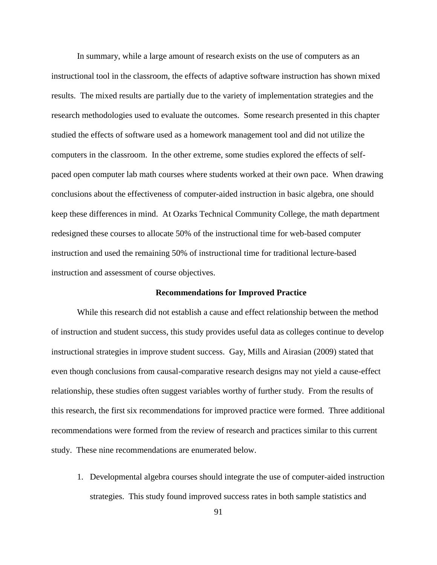In summary, while a large amount of research exists on the use of computers as an instructional tool in the classroom, the effects of adaptive software instruction has shown mixed results. The mixed results are partially due to the variety of implementation strategies and the research methodologies used to evaluate the outcomes. Some research presented in this chapter studied the effects of software used as a homework management tool and did not utilize the computers in the classroom. In the other extreme, some studies explored the effects of selfpaced open computer lab math courses where students worked at their own pace. When drawing conclusions about the effectiveness of computer-aided instruction in basic algebra, one should keep these differences in mind. At Ozarks Technical Community College, the math department redesigned these courses to allocate 50% of the instructional time for web-based computer instruction and used the remaining 50% of instructional time for traditional lecture-based instruction and assessment of course objectives.

# **Recommendations for Improved Practice**

While this research did not establish a cause and effect relationship between the method of instruction and student success, this study provides useful data as colleges continue to develop instructional strategies in improve student success. Gay, Mills and Airasian (2009) stated that even though conclusions from causal-comparative research designs may not yield a cause-effect relationship, these studies often suggest variables worthy of further study. From the results of this research, the first six recommendations for improved practice were formed. Three additional recommendations were formed from the review of research and practices similar to this current study. These nine recommendations are enumerated below.

1. Developmental algebra courses should integrate the use of computer-aided instruction strategies. This study found improved success rates in both sample statistics and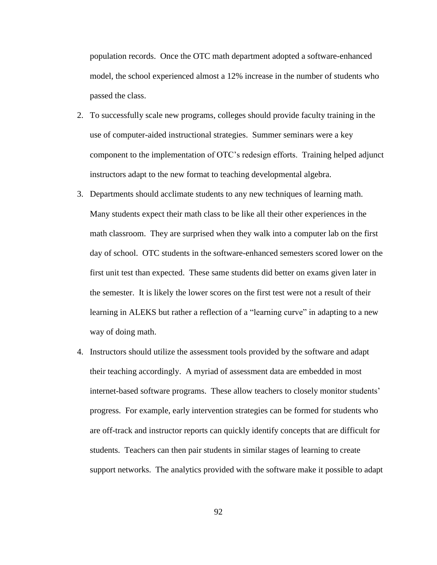population records. Once the OTC math department adopted a software-enhanced model, the school experienced almost a 12% increase in the number of students who passed the class.

- 2. To successfully scale new programs, colleges should provide faculty training in the use of computer-aided instructional strategies. Summer seminars were a key component to the implementation of OTC's redesign efforts. Training helped adjunct instructors adapt to the new format to teaching developmental algebra.
- 3. Departments should acclimate students to any new techniques of learning math. Many students expect their math class to be like all their other experiences in the math classroom. They are surprised when they walk into a computer lab on the first day of school. OTC students in the software-enhanced semesters scored lower on the first unit test than expected. These same students did better on exams given later in the semester. It is likely the lower scores on the first test were not a result of their learning in ALEKS but rather a reflection of a "learning curve" in adapting to a new way of doing math.
- 4. Instructors should utilize the assessment tools provided by the software and adapt their teaching accordingly. A myriad of assessment data are embedded in most internet-based software programs. These allow teachers to closely monitor students' progress. For example, early intervention strategies can be formed for students who are off-track and instructor reports can quickly identify concepts that are difficult for students. Teachers can then pair students in similar stages of learning to create support networks. The analytics provided with the software make it possible to adapt

92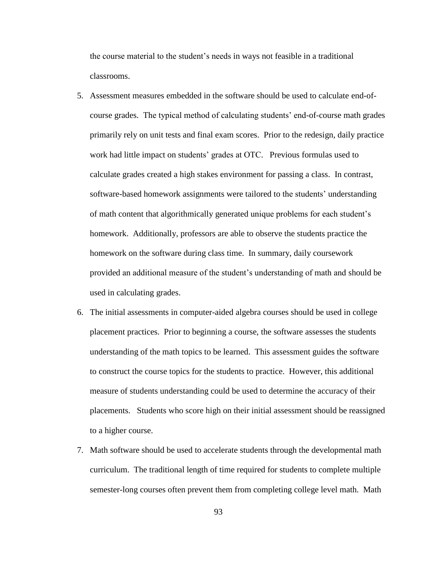the course material to the student's needs in ways not feasible in a traditional classrooms.

- 5. Assessment measures embedded in the software should be used to calculate end-ofcourse grades. The typical method of calculating students' end-of-course math grades primarily rely on unit tests and final exam scores. Prior to the redesign, daily practice work had little impact on students' grades at OTC. Previous formulas used to calculate grades created a high stakes environment for passing a class. In contrast, software-based homework assignments were tailored to the students' understanding of math content that algorithmically generated unique problems for each student's homework. Additionally, professors are able to observe the students practice the homework on the software during class time. In summary, daily coursework provided an additional measure of the student's understanding of math and should be used in calculating grades.
- 6. The initial assessments in computer-aided algebra courses should be used in college placement practices. Prior to beginning a course, the software assesses the students understanding of the math topics to be learned. This assessment guides the software to construct the course topics for the students to practice. However, this additional measure of students understanding could be used to determine the accuracy of their placements. Students who score high on their initial assessment should be reassigned to a higher course.
- 7. Math software should be used to accelerate students through the developmental math curriculum. The traditional length of time required for students to complete multiple semester-long courses often prevent them from completing college level math. Math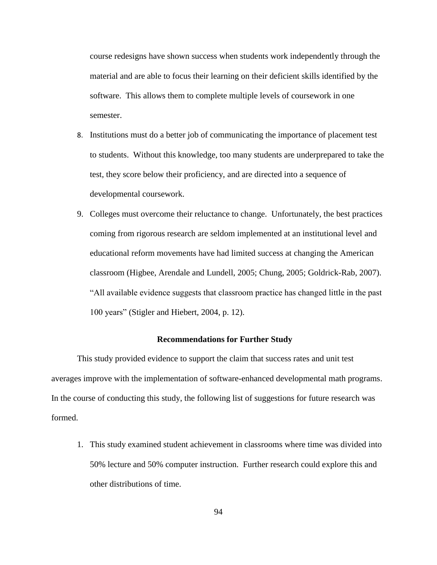course redesigns have shown success when students work independently through the material and are able to focus their learning on their deficient skills identified by the software. This allows them to complete multiple levels of coursework in one semester.

- 8. Institutions must do a better job of communicating the importance of placement test to students. Without this knowledge, too many students are underprepared to take the test, they score below their proficiency, and are directed into a sequence of developmental coursework.
- 9. Colleges must overcome their reluctance to change. Unfortunately, the best practices coming from rigorous research are seldom implemented at an institutional level and educational reform movements have had limited success at changing the American classroom (Higbee, Arendale and Lundell, 2005; Chung, 2005; Goldrick-Rab, 2007). "All available evidence suggests that classroom practice has changed little in the past 100 years" (Stigler and Hiebert, 2004, p. 12).

#### **Recommendations for Further Study**

This study provided evidence to support the claim that success rates and unit test averages improve with the implementation of software-enhanced developmental math programs. In the course of conducting this study, the following list of suggestions for future research was formed.

1. This study examined student achievement in classrooms where time was divided into 50% lecture and 50% computer instruction. Further research could explore this and other distributions of time.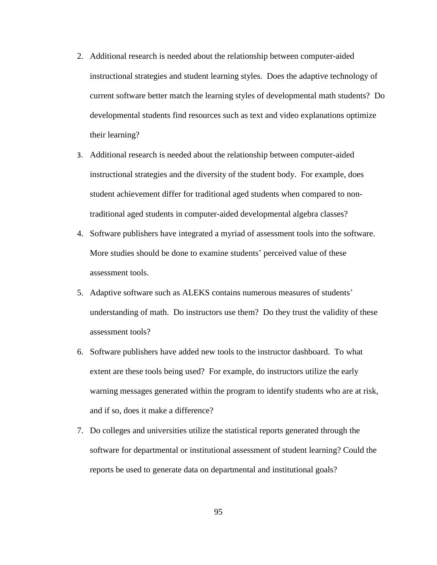- 2. Additional research is needed about the relationship between computer-aided instructional strategies and student learning styles. Does the adaptive technology of current software better match the learning styles of developmental math students? Do developmental students find resources such as text and video explanations optimize their learning?
- 3. Additional research is needed about the relationship between computer-aided instructional strategies and the diversity of the student body. For example, does student achievement differ for traditional aged students when compared to nontraditional aged students in computer-aided developmental algebra classes?
- 4. Software publishers have integrated a myriad of assessment tools into the software. More studies should be done to examine students' perceived value of these assessment tools.
- 5. Adaptive software such as ALEKS contains numerous measures of students' understanding of math. Do instructors use them? Do they trust the validity of these assessment tools?
- 6. Software publishers have added new tools to the instructor dashboard. To what extent are these tools being used? For example, do instructors utilize the early warning messages generated within the program to identify students who are at risk, and if so, does it make a difference?
- 7. Do colleges and universities utilize the statistical reports generated through the software for departmental or institutional assessment of student learning? Could the reports be used to generate data on departmental and institutional goals?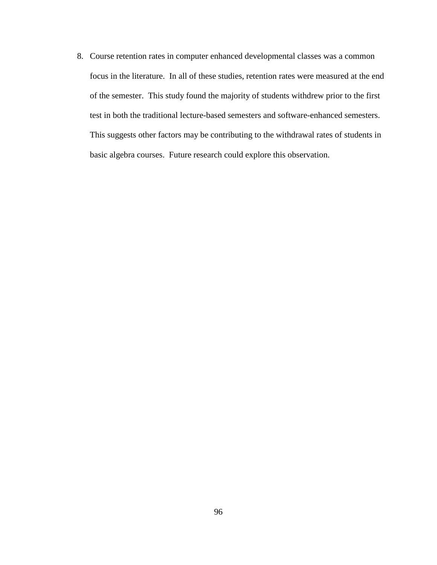8. Course retention rates in computer enhanced developmental classes was a common focus in the literature. In all of these studies, retention rates were measured at the end of the semester. This study found the majority of students withdrew prior to the first test in both the traditional lecture-based semesters and software-enhanced semesters. This suggests other factors may be contributing to the withdrawal rates of students in basic algebra courses. Future research could explore this observation.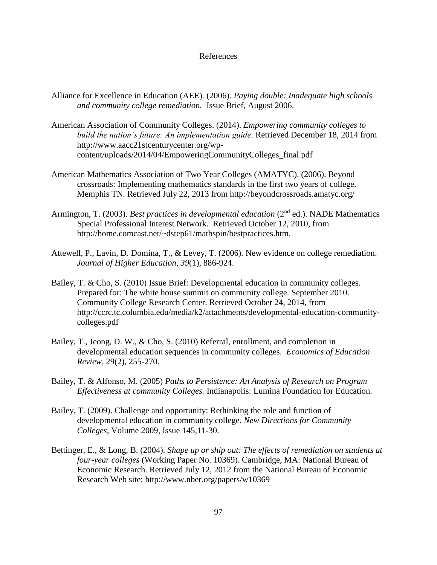### References

- Alliance for Excellence in Education (AEE). (2006). *Paying double: Inadequate high schools and community college remediation.* Issue Brief, August 2006.
- American Association of Community Colleges. (2014). *Empowering community colleges to build the nation's future: An implementation guide*. Retrieved December 18, 2014 from http://www.aacc21stcenturycenter.org/wpcontent/uploads/2014/04/EmpoweringCommunityColleges\_final.pdf
- American Mathematics Association of Two Year Colleges (AMATYC). (2006). Beyond crossroads: Implementing mathematics standards in the first two years of college. Memphis TN. Retrieved July 22, 2013 from http://beyondcrossroads.amatyc.org/
- Armington, T. (2003). *Best practices in developmental education* (2<sup>nd</sup> ed.). NADE Mathematics Special Professional Interest Network. Retrieved October 12, 2010, from http://home.comcast.net/~dstep61/mathspin/bestpractices.htm.
- Attewell, P., Lavin, D. Domina, T., & Levey, T. (2006). New evidence on college remediation. *Journal of Higher Education*, *39*(1), 886-924.
- Bailey, T. & Cho, S. (2010) Issue Brief: Developmental education in community colleges. Prepared for: The white house summit on community college. September 2010. Community College Research Center. Retrieved October 24, 2014, from [http://ccrc.tc.columbia.edu/media/k2/attachments/developmental-education-community](http://ccrc.tc.columbia.edu/media/k2/attachments/developmental-education-community-colleges.pdf)[colleges.pdf](http://ccrc.tc.columbia.edu/media/k2/attachments/developmental-education-community-colleges.pdf)
- Bailey, T., Jeong, D. W., & Cho, S. (2010) Referral, enrollment, and completion in developmental education sequences in community colleges. *Economics of Education Review,* 29(2), 255-270.
- Bailey, T. & Alfonso, M. (2005) *Paths to Persistence: An Analysis of Research on Program Effectiveness at community Colleges.* Indianapolis: Lumina Foundation for Education.
- Bailey, T. (2009). Challenge and opportunity: Rethinking the role and function of developmental education in community college. *New Directions for Community Colleges*, Volume 2009, Issue 145,11-30.
- Bettinger, E., & Long, B. (2004). *Shape up or ship out: The effects of remediation on students at four-year colleges* (Working Paper No. 10369). Cambridge, MA: National Bureau of Economic Research. Retrieved July 12, 2012 from the National Bureau of Economic Research Web site: http://www.nber.org/papers/w10369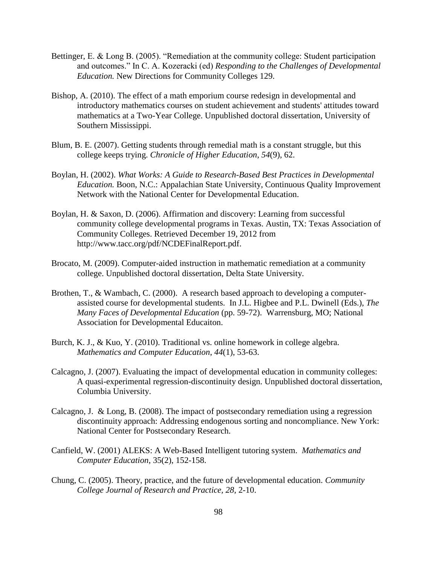- Bettinger, E. & Long B. (2005). "Remediation at the community college: Student participation and outcomes." In C. A. Kozeracki (ed) *Responding to the Challenges of Developmental Education.* New Directions for Community Colleges 129.
- Bishop, A. (2010). The effect of a math emporium course redesign in developmental and introductory mathematics courses on student achievement and students' attitudes toward mathematics at a Two-Year College. Unpublished doctoral dissertation, University of Southern Mississippi.
- Blum, B. E. (2007). Getting students through remedial math is a constant struggle, but this college keeps trying. *Chronicle of Higher Education*, *54*(9), 62.
- Boylan, H. (2002). *What Works: A Guide to Research-Based Best Practices in Developmental Education.* Boon, N.C.: Appalachian State University, Continuous Quality Improvement Network with the National Center for Developmental Education.
- Boylan, H. & Saxon, D. (2006). Affirmation and discovery: Learning from successful community college developmental programs in Texas. Austin, TX: Texas Association of Community Colleges. Retrieved December 19, 2012 from [http://www.tacc.org/pdf/NCDEFinalReport.pdf.](http://www.tacc.org/pdf/NCDEFinalReport.pdf)
- Brocato, M. (2009). Computer-aided instruction in mathematic remediation at a community college. Unpublished doctoral dissertation, Delta State University.
- Brothen, T., & Wambach, C. (2000). A research based approach to developing a computerassisted course for developmental students. In J.L. Higbee and P.L. Dwinell (Eds.), *The Many Faces of Developmental Education* (pp. 59-72). Warrensburg, MO; National Association for Developmental Educaiton.
- Burch, K. J., & Kuo, Y. (2010). Traditional vs. online homework in college algebra. *Mathematics and Computer Education*, *44*(1), 53-63.
- Calcagno, J. (2007). Evaluating the impact of developmental education in community colleges: A quasi-experimental regression-discontinuity design. Unpublished doctoral dissertation, Columbia University.
- Calcagno, J. & Long, B. (2008). The impact of postsecondary remediation using a regression discontinuity approach: Addressing endogenous sorting and noncompliance. New York: National Center for Postsecondary Research.
- Canfield, W. (2001) ALEKS: A Web-Based Intelligent tutoring system. *Mathematics and Computer Education*, 35(2), 152-158.
- Chung, C. (2005). Theory, practice, and the future of developmental education. *Community College Journal of Research and Practice, 28,* 2-10.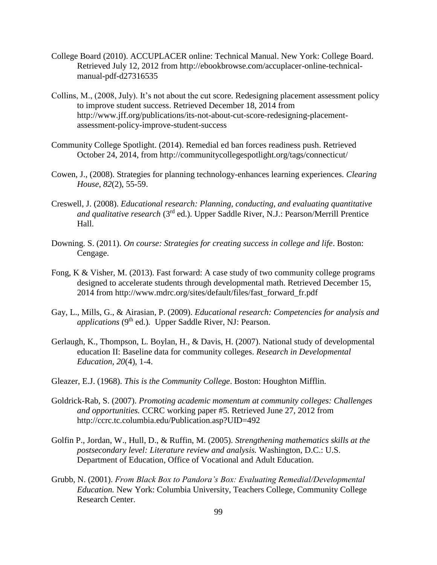- College Board (2010). ACCUPLACER online: Technical Manual. New York: College Board. Retrieved July 12, 2012 from [http://ebookbrowse.com/accuplacer-online-technical](http://ebookbrowse.com/accuplacer-online-technical-manual-pdf-d27316535)[manual-pdf-d27316535](http://ebookbrowse.com/accuplacer-online-technical-manual-pdf-d27316535)
- Collins, M., (2008, July). It's not about the cut score. Redesigning placement assessment policy to improve student success. Retrieved December 18, 2014 from http://www.jff.org/publications/its-not-about-cut-score-redesigning-placementassessment-policy-improve-student-success
- Community College Spotlight. (2014). Remedial ed ban forces readiness push. Retrieved October 24, 2014, from [http://communitycollegespotlight.org/tags/connecticut/](https://mail.otc.edu/owa/redir.aspx?C=RhrohxrNfkqsItIFpKmch-h6znQwytEIAz7vLErPiPLsG7cHGfK6Rln-jlG8aMMHs4ogmHavHwc.&URL=http%3a%2f%2fcommunitycollegespotlight.org%2ftags%2fconnecticut%2f)
- Cowen, J., (2008). Strategies for planning technology-enhances learning experiences. *Clearing House*, *82*(2), 55-59.
- Creswell, J. (2008). *Educational research: Planning, conducting, and evaluating quantitative and qualitative research* (3rd ed.). Upper Saddle River, N.J.: Pearson/Merrill Prentice Hall.
- Downing. S. (2011). *On course: Strategies for creating success in college and life*. Boston: Cengage.
- Fong, K & Visher, M. (2013). Fast forward: A case study of two community college programs designed to accelerate students through developmental math. Retrieved December 15, 2014 from http://www.mdrc.org/sites/default/files/fast\_forward\_fr.pdf
- Gay, L., Mills, G., & Airasian, P. (2009). *Educational research: Competencies for analysis and applications* (9<sup>th</sup> ed.). Upper Saddle River, NJ: Pearson.
- Gerlaugh, K., Thompson, L. Boylan, H., & Davis, H. (2007). National study of developmental education II: Baseline data for community colleges. *Research in Developmental Education, 20*(4), 1-4.
- Gleazer, E.J. (1968). *This is the Community College*. Boston: Houghton Mifflin.
- Goldrick-Rab, S. (2007). *Promoting academic momentum at community colleges: Challenges and opportunities.* CCRC working paper #5*.* Retrieved June 27, 2012 from http://ccrc.tc.columbia.edu/Publication.asp?UID=492
- Golfin P., Jordan, W., Hull, D., & Ruffin, M. (2005). *Strengthening mathematics skills at the postsecondary level: Literature review and analysis.* Washington, D.C.: U.S. Department of Education, Office of Vocational and Adult Education.
- Grubb, N. (2001). *From Black Box to Pandora's Box: Evaluating Remedial/Developmental Education.* New York: Columbia University, Teachers College, Community College Research Center.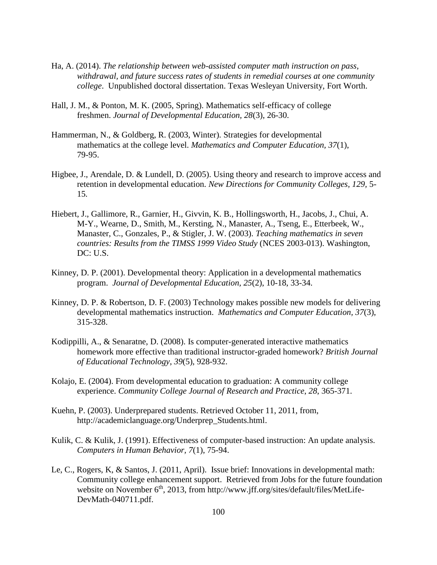- Ha, A. (2014). *The relationship between web-assisted computer math instruction on pass, withdrawal, and future success rates of students in remedial courses at one community college*. Unpublished doctoral dissertation. Texas Wesleyan University, Fort Worth.
- Hall, J. M., & Ponton, M. K. (2005, Spring). Mathematics self-efficacy of college freshmen. *Journal of Developmental Education, 28*(3), 26-30.
- Hammerman, N., & Goldberg, R. (2003, Winter). Strategies for developmental mathematics at the college level. *Mathematics and Computer Education, 37*(1), 79-95.
- Higbee, J., Arendale, D. & Lundell, D. (2005). Using theory and research to improve access and retention in developmental education. *New Directions for Community Colleges, 129,* 5- 15*.*
- Hiebert, J., Gallimore, R., Garnier, H., Givvin, K. B., Hollingsworth, H., Jacobs, J., Chui, A. M-Y., Wearne, D., Smith, M., Kersting, N., Manaster, A., Tseng, E., Etterbeek, W., Manaster, C., Gonzales, P., & Stigler, J. W. (2003). *Teaching mathematics in seven countries: Results from the TIMSS 1999 Video Study* (NCES 2003-013). Washington, DC: U.S.
- Kinney, D. P. (2001). Developmental theory: Application in a developmental mathematics program. *Journal of Developmental Education, 25*(2), 10-18, 33-34.
- Kinney, D. P. & Robertson, D. F. (2003) Technology makes possible new models for delivering developmental mathematics instruction. *Mathematics and Computer Education, 37*(3), 315-328.
- Kodippilli, A., & Senaratne, D. (2008). Is computer-generated interactive mathematics homework more effective than traditional instructor-graded homework? *British Journal of Educational Technology*, *39*(5), 928-932.
- Kolajo, E. (2004). From developmental education to graduation: A community college experience. *Community College Journal of Research and Practice*, *28*, 365-371.
- Kuehn, P. (2003). Underprepared students. Retrieved October 11, 2011, from, [http://academiclanguage.org/Underprep\\_Students.html.](http://academiclanguage.org/Underprep_Students.html)
- Kulik, C. & Kulik, J. (1991). Effectiveness of computer-based instruction: An update analysis. *Computers in Human Behavior, 7*(1), 75-94.
- Le, C., Rogers, K, & Santos, J. (2011, April). Issue brief: Innovations in developmental math: Community college enhancement support. Retrieved from Jobs for the future foundation website on November 6<sup>th</sup>, 2013, from http://www.jff.org/sites/default/files/MetLife-DevMath-040711.pdf.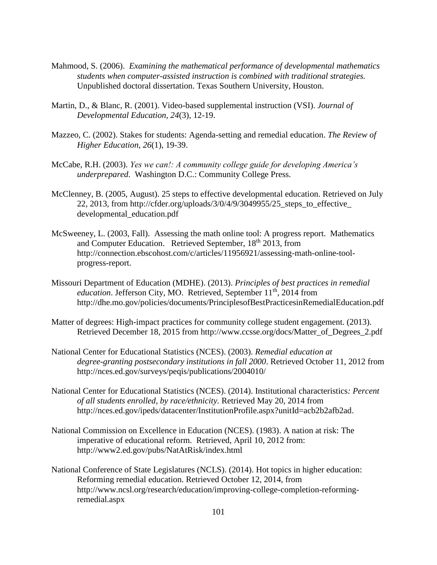- Mahmood, S. (2006). *Examining the mathematical performance of developmental mathematics students when computer-assisted instruction is combined with traditional strategies.*  Unpublished doctoral dissertation. Texas Southern University, Houston.
- Martin, D., & Blanc, R. (2001). Video-based supplemental instruction (VSI). *Journal of Developmental Education, 24*(3), 12-19.
- Mazzeo, C. (2002). Stakes for students: Agenda-setting and remedial education. *The Review of Higher Education, 26*(1), 19-39.
- McCabe, R.H. (2003). *Yes we can!: A community college guide for developing America's underprepared*. Washington D.C.: Community College Press.
- McClenney, B. (2005, August). 25 steps to effective developmental education. Retrieved on July 22, 2013, from [http://cfder.org/uploads/3/0/4/9/3049955/25\\_steps\\_to\\_effective\\_](http://cfder.org/uploads/3/0/4/9/3049955/25_steps_to_effective_) developmental\_education.pdf
- McSweeney, L. (2003, Fall). Assessing the math online tool: A progress report. Mathematics and Computer Education. Retrieved September, 18<sup>th</sup> 2013, from [http://connection.ebscohost.com/c/articles/11956921/assessing-math-online-tool](http://connection.ebscohost.com/c/articles/11956921/assessing-math-online-tool-progress-report)[progress-report.](http://connection.ebscohost.com/c/articles/11956921/assessing-math-online-tool-progress-report)
- Missouri Department of Education (MDHE). (2013). *Principles of best practices in remedial education*. Jefferson City, MO. Retrieved, September 11<sup>th</sup>, 2014 from [http://dhe.mo.gov/policies/documents/PrinciplesofBestPracticesinRemedialEducation.pdf](https://mail.otc.edu/owa/redir.aspx?C=w1LI_F5YFUegKkSzb9nZgshfACSGzNEIeEkMeF0pNH5p33vawVCpyOxklQIet9rHw_Gwd6wMbik.&URL=http%3a%2f%2fdhe.mo.gov%2fpolicies%2fdocuments%2fPrinciplesofBestPracticesinRemedialEducation.pdf)
- Matter of degrees: High-impact practices for community college student engagement. (2013). Retrieved December 18, 2015 from http://www.ccsse.org/docs/Matter\_of\_Degrees\_2.pdf
- National Center for Educational Statistics (NCES). (2003). *Remedial education at degree-granting postsecondary institutions in fall 2000*. Retrieved October 11, 2012 from <http://nces.ed.gov/surveys/peqis/publications/2004010/>
- National Center for Educational Statistics (NCES). (2014). Institutional characteristics*: Percent of all students enrolled, by race/ethnicity.* Retrieved May 20, 2014 from [http://nces.ed.gov/ipeds/datacenter/InstitutionProfile.aspx?unitId=acb2b2afb2ad.](http://nces.ed.gov/ipeds/datacenter/InstitutionProfile.aspx?unitId=acb2b2afb2ad)
- National Commission on Excellence in Education (NCES). (1983). A nation at risk: The imperative of educational reform. Retrieved, April 10, 2012 from: <http://www2.ed.gov/pubs/NatAtRisk/index.html>
- National Conference of State Legislatures (NCLS). (2014). Hot topics in higher education: Reforming remedial education. Retrieved October 12, 2014, from [http://www.ncsl.org/research/education/improving-college-completion-reforming](https://mail.otc.edu/owa/redir.aspx?C=RhrohxrNfkqsItIFpKmch-h6znQwytEIAz7vLErPiPLsG7cHGfK6Rln-jlG8aMMHs4ogmHavHwc.&URL=http%3a%2f%2fwww.ncsl.org%2fresearch%2feducation%2fimproving-college-completion-reforming-remedial.aspx)[remedial.aspx](https://mail.otc.edu/owa/redir.aspx?C=RhrohxrNfkqsItIFpKmch-h6znQwytEIAz7vLErPiPLsG7cHGfK6Rln-jlG8aMMHs4ogmHavHwc.&URL=http%3a%2f%2fwww.ncsl.org%2fresearch%2feducation%2fimproving-college-completion-reforming-remedial.aspx)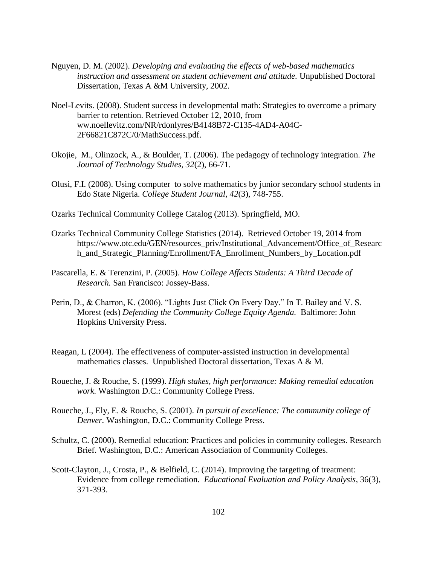- Nguyen, D. M. (2002). *Developing and evaluating the effects of web-based mathematics instruction and assessment on student achievement and attitude.* Unpublished Doctoral Dissertation, Texas A &M University, 2002.
- Noel-Levits. (2008). Student success in developmental math: Strategies to overcome a primary barrier to retention. Retrieved October 12, 2010, from ww.noellevitz.com/NR/rdonlyres/B4148B72-C135-4AD4-A04C-2F66821C872C/0/MathSuccess.pdf.
- Okojie, M., Olinzock, A., & Boulder, T. (2006). The pedagogy of technology integration. *The Journal of Technology Studies, 32*(2), 66-71.
- Olusi, F.I. (2008). Using computer to solve mathematics by junior secondary school students in Edo State Nigeria. *College Student Journal, 42*(3), 748-755.
- Ozarks Technical Community College Catalog (2013). Springfield, MO.
- Ozarks Technical Community College Statistics (2014). Retrieved October 19, 2014 from https://www.otc.edu/GEN/resources\_priv/Institutional\_Advancement/Office\_of\_Researc h\_and\_Strategic\_Planning/Enrollment/FA\_Enrollment\_Numbers\_by\_Location.pdf
- Pascarella, E. & Terenzini, P. (2005). *How College Affects Students: A Third Decade of Research.* San Francisco: Jossey-Bass.
- Perin, D., & Charron, K. (2006). "Lights Just Click On Every Day." In T. Bailey and V. S. Morest (eds) *Defending the Community College Equity Agenda.* Baltimore: John Hopkins University Press.
- Reagan, L (2004). The effectiveness of computer-assisted instruction in developmental mathematics classes. Unpublished Doctoral dissertation, Texas A & M.
- Roueche, J. & Rouche, S. (1999). *High stakes, high performance: Making remedial education work.* Washington D.C.: Community College Press.
- Roueche, J., Ely, E. & Rouche, S. (2001). *In pursuit of excellence: The community college of Denver.* Washington, D.C.: Community College Press.
- Schultz, C. (2000). Remedial education: Practices and policies in community colleges. Research Brief. Washington, D.C.: American Association of Community Colleges.
- Scott-Clayton, J., Crosta, P., & Belfield, C. (2014). Improving the targeting of treatment: Evidence from college remediation. *Educational Evaluation and Policy Analysis*, 36(3), 371-393.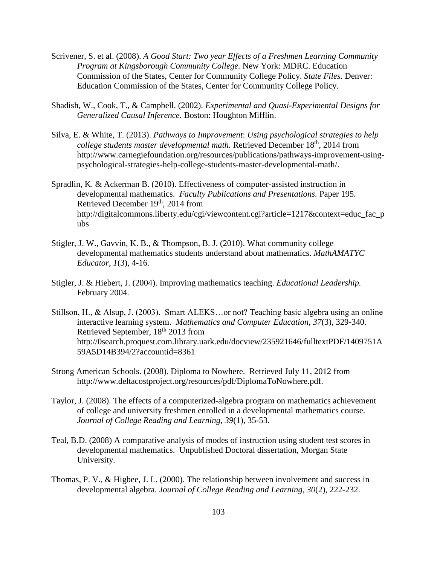- Scrivener, S. et al. (2008). *A Good Start: Two year Effects of a Freshmen Learning Community Program at Kingsborough Community College.* New York: MDRC. Education Commission of the States, Center for Community College Policy. *State Files.* Denver: Education Commission of the States, Center for Community College Policy.
- Shadish, W., Cook, T., & Campbell. (2002). *Experimental and Quasi-Experimental Designs for Generalized Causal Inference.* Boston: Houghton Mifflin.
- Silva, E. & White, T. (2013). *Pathways to Improvement*: *Using psychological strategies to help college students master developmental math.* Retrieved December 18<sup>th</sup>, 2014 from http://www.carnegiefoundation.org/resources/publications/pathways-improvement-usingpsychological-strategies-help-college-students-master-developmental-math/.
- Spradlin, K. & Ackerman B. (2010). Effectiveness of computer-assisted instruction in developmental mathematics. *Faculty Publications and Presentations.* Paper 195. Retrieved December 19th, 2014 from http://digitalcommons.liberty.edu/cgi/viewcontent.cgi?article=1217&context=educ\_fac\_p ubs
- Stigler, J. W., Gavvin, K. B., & Thompson, B. J. (2010). What community college developmental mathematics students understand about mathematics. *MathAMATYC Educator*, *1*(3), 4-16.
- Stigler, J. & Hiebert, J. (2004). Improving mathematics teaching. *Educational Leadership.*  February 2004.
- Stillson, H., & Alsup, J. (2003). Smart ALEKS…or not? Teaching basic algebra using an online interactive learning system. *Mathematics and Computer Education, 37*(3), 329-340. Retrieved September, 18th 2013 from [http://0search.proquest.com.library.uark.edu/docview/235921646/fulltextPDF/1409751A](http://0search.proquest.com.library.uark.edu/docview/235921646/fulltextPDF/1409751A59A5D14B394/2?accountid=8361) [59A5D14B394/2?accountid=8361](http://0search.proquest.com.library.uark.edu/docview/235921646/fulltextPDF/1409751A59A5D14B394/2?accountid=8361)
- Strong American Schools. (2008). Diploma to Nowhere. Retrieved July 11, 2012 from http://www.deltacostproject.org/resources/pdf/DiplomaToNowhere.pdf.
- Taylor, J. (2008). The effects of a computerized-algebra program on mathematics achievement of college and university freshmen enrolled in a developmental mathematics course. *Journal of College Reading and Learning, 39*(1), 35-53.
- Teal, B.D. (2008) A comparative analysis of modes of instruction using student test scores in developmental mathematics. Unpublished Doctoral dissertation, Morgan State University.
- Thomas, P. V., & Higbee, J. L. (2000). The relationship between involvement and success in developmental algebra. *Journal of College Reading and Learning*, *30*(2), 222-232.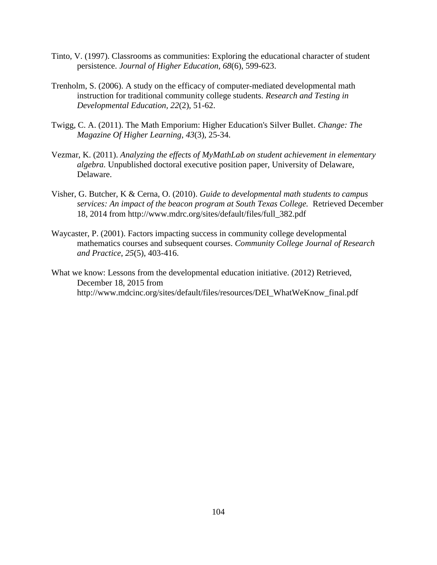- Tinto, V. (1997). Classrooms as communities: Exploring the educational character of student persistence. *Journal of Higher Education, 68*(6), 599-623.
- Trenholm, S. (2006). A study on the efficacy of computer-mediated developmental math instruction for traditional community college students. *Research and Testing in Developmental Education, 22*(2), 51-62.
- Twigg, C. A. (2011). The Math Emporium: Higher Education's Silver Bullet. *Change: The Magazine Of Higher Learning*, *43*(3), 25-34.
- Vezmar, K. (2011). *Analyzing the effects of MyMathLab on student achievement in elementary algebra.* Unpublished doctoral executive position paper, University of Delaware, Delaware.
- Visher, G. Butcher, K & Cerna, O. (2010). *Guide to developmental math students to campus services: An impact of the beacon program at South Texas College.* Retrieved December 18, 2014 from http://www.mdrc.org/sites/default/files/full\_382.pdf
- Waycaster, P. (2001). Factors impacting success in community college developmental mathematics courses and subsequent courses. *Community College Journal of Research and Practice*, *25*(5), 403-416.
- What we know: Lessons from the developmental education initiative. (2012) Retrieved, December 18, 2015 from [http://www.mdcinc.org/sites/default/files/resources/DEI\\_WhatWeKnow\\_final.pdf](http://www.mdcinc.org/sites/default/files/resources/DEI_WhatWeKnow_final.pdf)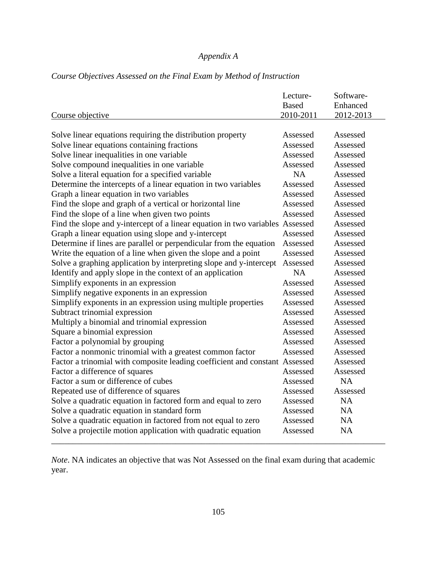## *Appendix A*

|                                                                               | Lecture-     | Software- |
|-------------------------------------------------------------------------------|--------------|-----------|
|                                                                               | <b>Based</b> | Enhanced  |
| Course objective                                                              | 2010-2011    | 2012-2013 |
|                                                                               |              |           |
| Solve linear equations requiring the distribution property                    | Assessed     | Assessed  |
| Solve linear equations containing fractions                                   | Assessed     | Assessed  |
| Solve linear inequalities in one variable                                     | Assessed     | Assessed  |
| Solve compound inequalities in one variable                                   | Assessed     | Assessed  |
| Solve a literal equation for a specified variable                             | <b>NA</b>    | Assessed  |
| Determine the intercepts of a linear equation in two variables                | Assessed     | Assessed  |
| Graph a linear equation in two variables                                      | Assessed     | Assessed  |
| Find the slope and graph of a vertical or horizontal line                     | Assessed     | Assessed  |
| Find the slope of a line when given two points                                | Assessed     | Assessed  |
| Find the slope and y-intercept of a linear equation in two variables Assessed |              | Assessed  |
| Graph a linear equation using slope and y-intercept                           | Assessed     | Assessed  |
| Determine if lines are parallel or perpendicular from the equation            | Assessed     | Assessed  |
| Write the equation of a line when given the slope and a point                 | Assessed     | Assessed  |
| Solve a graphing application by interpreting slope and y-intercept            | Assessed     | Assessed  |
| Identify and apply slope in the context of an application                     | <b>NA</b>    | Assessed  |
| Simplify exponents in an expression                                           | Assessed     | Assessed  |
| Simplify negative exponents in an expression                                  | Assessed     | Assessed  |
| Simplify exponents in an expression using multiple properties                 | Assessed     | Assessed  |
| Subtract trinomial expression                                                 | Assessed     | Assessed  |
| Multiply a binomial and trinomial expression                                  | Assessed     | Assessed  |
| Square a binomial expression                                                  | Assessed     | Assessed  |
| Factor a polynomial by grouping                                               | Assessed     | Assessed  |
| Factor a nonmonic trinomial with a greatest common factor                     | Assessed     | Assessed  |
| Factor a trinomial with composite leading coefficient and constant Assessed   |              | Assessed  |
| Factor a difference of squares                                                | Assessed     | Assessed  |
| Factor a sum or difference of cubes                                           | Assessed     | <b>NA</b> |
| Repeated use of difference of squares                                         | Assessed     | Assessed  |
| Solve a quadratic equation in factored form and equal to zero                 | Assessed     | <b>NA</b> |
| Solve a quadratic equation in standard form                                   | Assessed     | <b>NA</b> |
| Solve a quadratic equation in factored from not equal to zero                 | Assessed     | <b>NA</b> |
| Solve a projectile motion application with quadratic equation                 | Assessed     | <b>NA</b> |

## *Course Objectives Assessed on the Final Exam by Method of Instruction*

*Note*. NA indicates an objective that was Not Assessed on the final exam during that academic year.